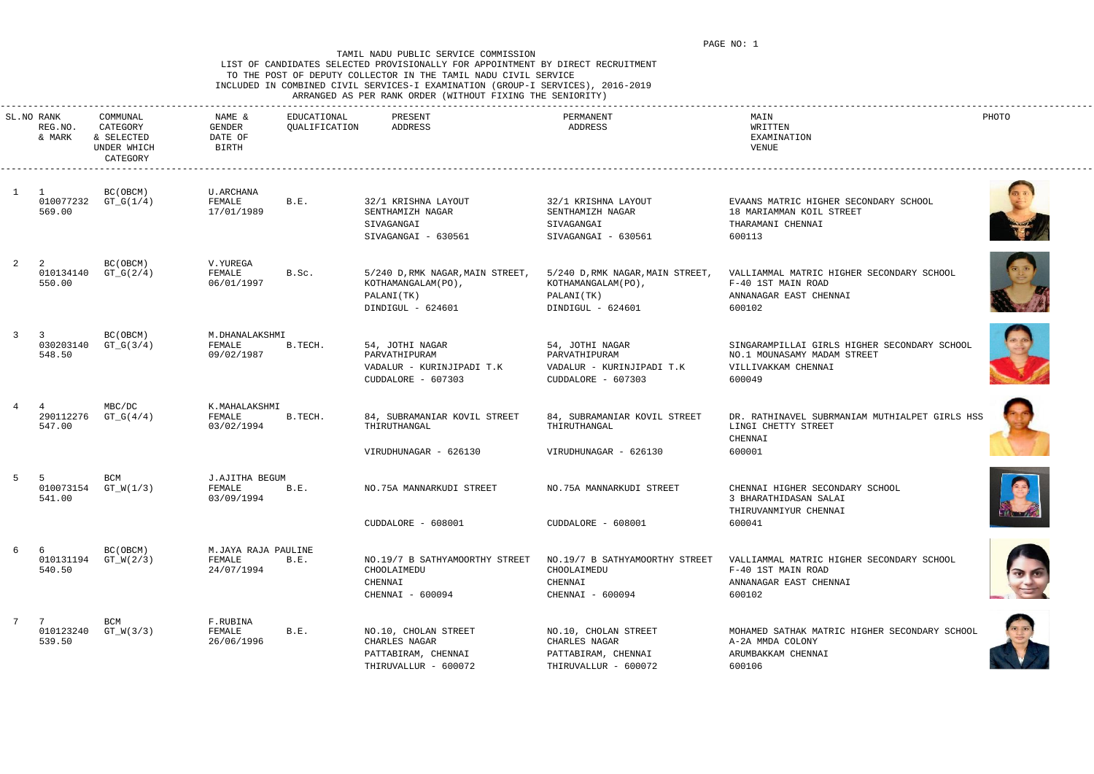### LIST OF CANDIDATES SELECTED PROVISIONALLY FOR APPOINTMENT BY DIRECT RECRUITMENT TO THE POST OF DEPUTY COLLECTOR IN THE TAMIL NADU CIVIL SERVICE INCLUDED IN COMBINED CIVIL SERVICES-I EXAMINATION (GROUP-I SERVICES), 2016-2019 ARRANGED AS PER RANK ORDER (WITHOUT FIXING THE SENIORITY)

|  |  |  |  | ARRANGLU AS FIR RANR URDIR (WIINUUI FIAING INI SINIURIII) |  |
|--|--|--|--|-----------------------------------------------------------|--|
|  |  |  |  |                                                           |  |

|   | SL.NO RANK<br>REG.NO.<br>& MARK | COMMUNAL<br>CATEGORY<br>& SELECTED<br>UNDER WHICH<br>CATEGORY | NAME &<br>GENDER<br>DATE OF<br>BIRTH        | EDUCATIONAL<br>QUALIFICATION | PRESENT<br>ADDRESS                                                                         | PERMANENT<br>ADDRESS                                                                       | MAIN<br>WRITTEN<br>EXAMINATION<br>VENUE                                                                      | PHOTO |
|---|---------------------------------|---------------------------------------------------------------|---------------------------------------------|------------------------------|--------------------------------------------------------------------------------------------|--------------------------------------------------------------------------------------------|--------------------------------------------------------------------------------------------------------------|-------|
|   | 010077232<br>569.00             | BC(OBCM)<br>$GT_G(1/4)$                                       | U.ARCHANA<br>FEMALE<br>17/01/1989           | B.E.                         | 32/1 KRISHNA LAYOUT<br>SENTHAMIZH NAGAR<br>SIVAGANGAI<br>SIVAGANGAI - 630561               | 32/1 KRISHNA LAYOUT<br>SENTHAMIZH NAGAR<br>SIVAGANGAI<br>SIVAGANGAI - 630561               | EVAANS MATRIC HIGHER SECONDARY SCHOOL<br>18 MARIAMMAN KOIL STREET<br>THARAMANI CHENNAI<br>600113             |       |
|   | 010134140<br>550.00             | BC(OBCM)<br>$GT_G(2/4)$                                       | V.YUREGA<br>FEMALE<br>06/01/1997            | B.Sc.                        | 5/240 D, RMK NAGAR, MAIN STREET,<br>KOTHAMANGALAM (PO),<br>PALANI(TK)<br>DINDIGUL - 624601 | 5/240 D, RMK NAGAR, MAIN STREET,<br>KOTHAMANGALAM (PO),<br>PALANI(TK)<br>DINDIGUL - 624601 | VALLIAMMAL MATRIC HIGHER SECONDARY SCHOOL<br>F-40 1ST MAIN ROAD<br>ANNANAGAR EAST CHENNAI<br>600102          |       |
|   | -3<br>030203140<br>548.50       | BC(OBCM)<br>$GT_G(3/4)$                                       | M.DHANALAKSHMI<br>FEMALE<br>09/02/1987      | B.TECH.                      | 54, JOTHI NAGAR<br>PARVATHIPURAM<br>VADALUR - KURINJIPADI T.K<br>CUDDALORE - 607303        | 54, JOTHI NAGAR<br>PARVATHIPURAM<br>VADALUR - KURINJIPADI T.K<br>CUDDALORE - 607303        | SINGARAMPILLAI GIRLS HIGHER SECONDARY SCHOOL<br>NO.1 MOUNASAMY MADAM STREET<br>VILLIVAKKAM CHENNAI<br>600049 |       |
|   | 290112276<br>547.00             | MBC/DC<br>$GT_G(4/4)$                                         | K.MAHALAKSHMI<br>FEMALE<br>03/02/1994       | B.TECH.                      | 84, SUBRAMANIAR KOVIL STREET<br>THIRUTHANGAL<br>VIRUDHUNAGAR - 626130                      | 84, SUBRAMANIAR KOVIL STREET<br>THIRUTHANGAL<br>VIRUDHUNAGAR - 626130                      | DR. RATHINAVEL SUBRMANIAM MUTHIALPET GIRLS HSS<br>LINGI CHETTY STREET<br>CHENNAI<br>600001                   |       |
|   | 010073154<br>541.00             | <b>BCM</b><br>$GT_W(1/3)$                                     | J.AJITHA BEGUM<br>FEMALE<br>03/09/1994      | B.E.                         | NO.75A MANNARKUDI STREET<br>CUDDALORE - 608001                                             | NO.75A MANNARKUDI STREET<br>CUDDALORE - 608001                                             | CHENNAI HIGHER SECONDARY SCHOOL<br>3 BHARATHIDASAN SALAI<br>THIRUVANMIYUR CHENNAI<br>600041                  |       |
| 6 | - 6<br>540.50                   | BC (OBCM)<br>010131194 GT_W(2/3)                              | M.JAYA RAJA PAULINE<br>FEMALE<br>24/07/1994 | B.E.                         | NO.19/7 B SATHYAMOORTHY STREET<br>CHOOLAIMEDU<br>CHENNAI<br>CHENNAI - 600094               | NO.19/7 B SATHYAMOORTHY STREET<br>CHOOLAIMEDU<br>CHENNAI<br>CHENNAI - 600094               | VALLIAMMAL MATRIC HIGHER SECONDARY SCHOOL<br>F-40 1ST MAIN ROAD<br>ANNANAGAR EAST CHENNAI<br>600102          |       |
| 7 | 7<br>010123240<br>539.50        | BCM<br>$GT_W(3/3)$                                            | F.RUBINA<br>FEMALE<br>26/06/1996            | B.E.                         | NO.10, CHOLAN STREET<br>CHARLES NAGAR<br>PATTABIRAM, CHENNAI<br>THIRUVALLUR - 600072       | NO.10, CHOLAN STREET<br>CHARLES NAGAR<br>PATTABIRAM, CHENNAI<br>THIRUVALLUR - 600072       | MOHAMED SATHAK MATRIC HIGHER SECONDARY SCHOOL<br>A-2A MMDA COLONY<br>ARUMBAKKAM CHENNAI<br>600106            |       |













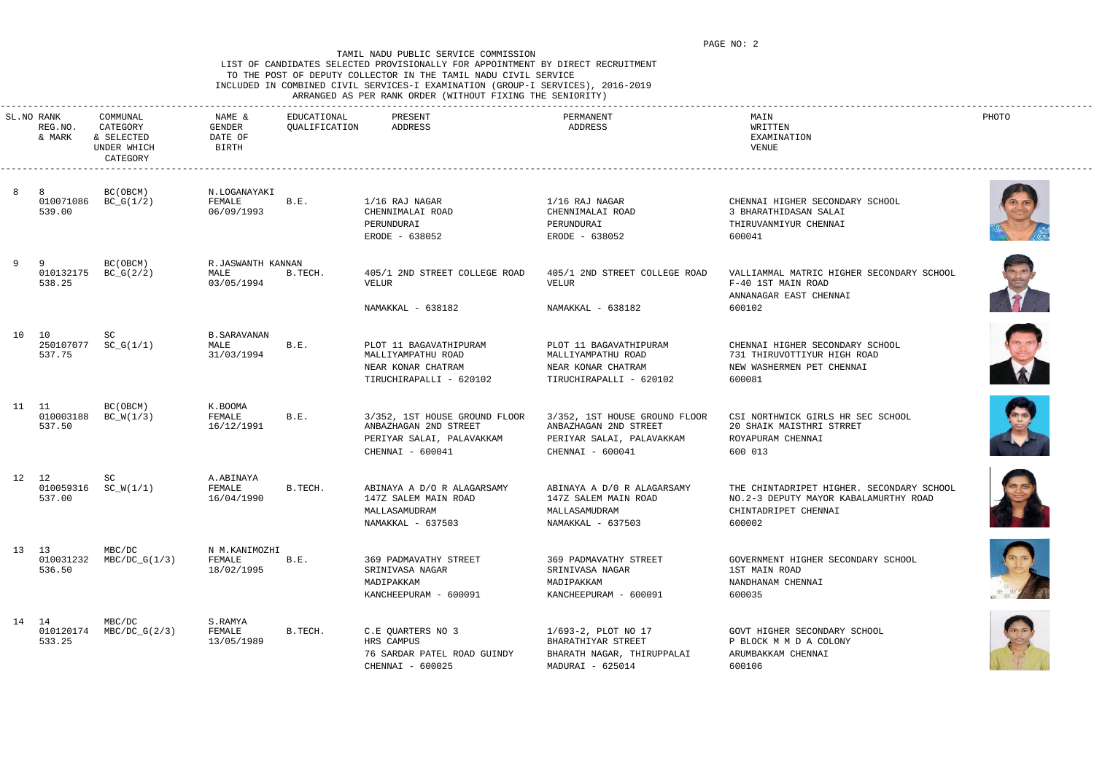### LIST OF CANDIDATES SELECTED PROVISIONALLY FOR APPOINTMENT BY DIRECT RECRUITMENT TO THE POST OF DEPUTY COLLECTOR IN THE TAMIL NADU CIVIL SERVICE INCLUDED IN COMBINED CIVIL SERVICES-I EXAMINATION (GROUP-I SERVICES), 2016-2019 ARRANGED AS PER RANK ORDER (WITHOUT FIXING THE SENIORITY)

|  |  |  |  | INNANGED AS FER RANN URDER (WIINUUI FIAING INE SENIURIII) |  |
|--|--|--|--|-----------------------------------------------------------|--|
|  |  |  |  |                                                           |  |

|    | SL.NO RANK<br>REG.NO.<br>& MARK | COMMUNAL<br>CATEGORY<br>& SELECTED<br>UNDER WHICH<br>CATEGORY | NAME &<br>GENDER<br>DATE OF<br>BIRTH      | EDUCATIONAL<br>QUALIFICATION | PRESENT<br>ADDRESS                                                                                      | PERMANENT<br>ADDRESS                                                                                    | MAIN<br>WRITTEN<br>EXAMINATION<br>VENUE                                                                              | PHOTO          |
|----|---------------------------------|---------------------------------------------------------------|-------------------------------------------|------------------------------|---------------------------------------------------------------------------------------------------------|---------------------------------------------------------------------------------------------------------|----------------------------------------------------------------------------------------------------------------------|----------------|
|    | 010071086<br>539.00             | BC (OBCM)<br>$BC_G(1/2)$                                      | N.LOGANAYAKI<br>FEMALE<br>06/09/1993      | B.E.                         | 1/16 RAJ NAGAR<br>CHENNIMALAI ROAD<br>PERUNDURAI<br>ERODE - 638052                                      | $1/16$ RAJ NAGAR<br>CHENNIMALAI ROAD<br>PERUNDURAI<br>ERODE - 638052                                    | CHENNAI HIGHER SECONDARY SCHOOL<br>3 BHARATHIDASAN SALAI<br>THIRUVANMIYUR CHENNAI<br>600041                          |                |
| -9 | - 9<br>010132175<br>538.25      | BC(OBCM)<br>$BC_G(2/2)$                                       | R.JASWANTH KANNAN<br>MALE<br>03/05/1994   | B.TECH.                      | 405/1 2ND STREET COLLEGE ROAD<br>VELUR<br>NAMAKKAL - 638182                                             | 405/1 2ND STREET COLLEGE ROAD<br>VELUR<br>NAMAKKAL - 638182                                             | VALLIAMMAL MATRIC HIGHER SECONDARY SCHOOL<br>F-40 1ST MAIN ROAD<br>ANNANAGAR EAST CHENNAI<br>600102                  |                |
|    | 10 10<br>250107077<br>537.75    | SC<br>$SC_G(1/1)$                                             | <b>B. SARAVANAN</b><br>MALE<br>31/03/1994 | B.E.                         | PLOT 11 BAGAVATHIPURAM<br>MALLIYAMPATHU ROAD<br>NEAR KONAR CHATRAM<br>TIRUCHIRAPALLI - 620102           | PLOT 11 BAGAVATHIPURAM<br>MALLIYAMPATHU ROAD<br>NEAR KONAR CHATRAM<br>TIRUCHIRAPALLI - 620102           | CHENNAI HIGHER SECONDARY SCHOOL<br>731 THIRUVOTTIYUR HIGH ROAD<br>NEW WASHERMEN PET CHENNAI<br>600081                |                |
|    | 11 11<br>010003188<br>537.50    | BC(OBCM)<br>$BC_W(1/3)$                                       | K.BOOMA<br>FEMALE<br>16/12/1991           | B.E.                         | 3/352, 1ST HOUSE GROUND FLOOR<br>ANBAZHAGAN 2ND STREET<br>PERIYAR SALAI, PALAVAKKAM<br>CHENNAI - 600041 | 3/352, 1ST HOUSE GROUND FLOOR<br>ANBAZHAGAN 2ND STREET<br>PERIYAR SALAI, PALAVAKKAM<br>CHENNAI - 600041 | CSI NORTHWICK GIRLS HR SEC SCHOOL<br>20 SHAIK MAISTHRI STRRET<br>ROYAPURAM CHENNAI<br>600 013                        |                |
|    | 12 12<br>010059316<br>537.00    | SC<br>$SC_W(1/1)$                                             | A.ABINAYA<br>FEMALE<br>16/04/1990         | B.TECH.                      | ABINAYA A D/O R ALAGARSAMY<br>147Z SALEM MAIN ROAD<br>MALLASAMUDRAM<br>NAMAKKAL - 637503                | ABINAYA A D/0 R ALAGARSAMY<br>147Z SALEM MAIN ROAD<br>MALLASAMUDRAM<br>NAMAKKAL - 637503                | THE CHINTADRIPET HIGHER. SECONDARY SCHOOL<br>NO.2-3 DEPUTY MAYOR KABALAMURTHY ROAD<br>CHINTADRIPET CHENNAI<br>600002 | <b>Britain</b> |
|    | 13 13<br>010031232<br>536.50    | MBC/DC<br>$MBC/DC_G(1/3)$                                     | N M.KANIMOZHI<br>FEMALE<br>18/02/1995     | B.E.                         | 369 PADMAVATHY STREET<br>SRINIVASA NAGAR<br>MADIPAKKAM<br>KANCHEEPURAM - 600091                         | 369 PADMAVATHY STREET<br>SRINIVASA NAGAR<br>MADIPAKKAM<br>KANCHEEPURAM - 600091                         | GOVERNMENT HIGHER SECONDARY SCHOOL<br>1ST MAIN ROAD<br>NANDHANAM CHENNAI<br>600035                                   |                |
|    | 14 14<br>010120174<br>533.25    | MBC/DC<br>$MBC/DC_G(2/3)$                                     | S.RAMYA<br>FEMALE<br>13/05/1989           | B.TECH.                      | C.E QUARTERS NO 3<br>HRS CAMPUS<br>76 SARDAR PATEL ROAD GUINDY<br>CHENNAI - 600025                      | 1/693-2, PLOT NO 17<br>BHARATHIYAR STREET<br>BHARATH NAGAR, THIRUPPALAI<br>MADURAI - 625014             | GOVT HIGHER SECONDARY SCHOOL<br>P BLOCK M M D A COLONY<br>ARUMBAKKAM CHENNAI<br>600106                               |                |













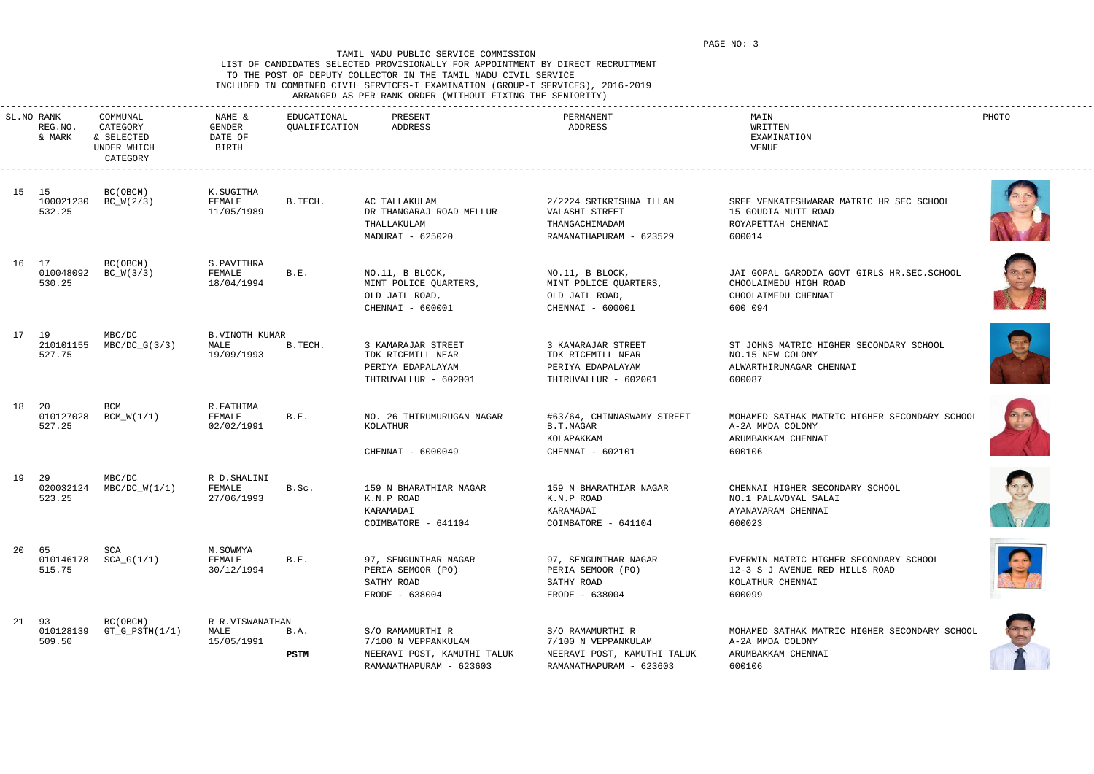### LIST OF CANDIDATES SELECTED PROVISIONALLY FOR APPOINTMENT BY DIRECT RECRUITMENT TO THE POST OF DEPUTY COLLECTOR IN THE TAMIL NADU CIVIL SERVICE INCLUDED IN COMBINED CIVIL SERVICES-I EXAMINATION (GROUP-I SERVICES), 2016-2019 ARRANGED AS PER RANK ORDER (WITHOUT FIXING THE SENIORITY)

|  |  | the contract of the contract of the contract of the contract of the contract of the contract of the contract of |  | INNANGED AS FEN NANN UNDEN (WIINUUI FIAING INE SENIUNIII) |  |
|--|--|-----------------------------------------------------------------------------------------------------------------|--|-----------------------------------------------------------|--|
|  |  |                                                                                                                 |  |                                                           |  |

| SL.NO RANK<br>REG.NO.<br>& MARK | COMMUNAL<br>CATEGORY<br>& SELECTED<br>UNDER WHICH<br>CATEGORY | NAME &<br>GENDER<br>DATE OF<br>BIRTH        | EDUCATIONAL<br>QUALIFICATION | PRESENT<br>ADDRESS                                                                                | PERMANENT<br>ADDRESS                                                                              | MAIN<br>WRITTEN<br>EXAMINATION<br>VENUE                                                                | PHOTO              |
|---------------------------------|---------------------------------------------------------------|---------------------------------------------|------------------------------|---------------------------------------------------------------------------------------------------|---------------------------------------------------------------------------------------------------|--------------------------------------------------------------------------------------------------------|--------------------|
| 15 15<br>100021230<br>532.25    | BC(OBCM)<br>$BC_W(2/3)$                                       | K.SUGITHA<br>FEMALE<br>11/05/1989           | B.TECH.                      | AC TALLAKULAM<br>DR THANGARAJ ROAD MELLUR<br>THALLAKULAM<br>MADURAI - 625020                      | 2/2224 SRIKRISHNA ILLAM<br>VALASHI STREET<br>THANGACHIMADAM<br>RAMANATHAPURAM - 623529            | SREE VENKATESHWARAR MATRIC HR SEC SCHOOL<br>15 GOUDIA MUTT ROAD<br>ROYAPETTAH CHENNAI<br>600014        |                    |
| 16 17<br>010048092<br>530.25    | BC(OBCM)<br>$BC_W(3/3)$                                       | S.PAVITHRA<br>FEMALE<br>18/04/1994          | B.E.                         | NO.11, B BLOCK,<br>MINT POLICE QUARTERS,<br>OLD JAIL ROAD,<br>CHENNAI - 600001                    | NO.11, B BLOCK,<br>MINT POLICE QUARTERS,<br>OLD JAIL ROAD,<br>CHENNAI - 600001                    | JAI GOPAL GARODIA GOVT GIRLS HR.SEC.SCHOOL<br>CHOOLAIMEDU HIGH ROAD<br>CHOOLAIMEDU CHENNAI<br>600 094  |                    |
| 17 19<br>210101155<br>527.75    | MBC/DC<br>$MBC/DC_G(3/3)$                                     | <b>B.VINOTH KUMAR</b><br>MALE<br>19/09/1993 | B.TECH.                      | 3 KAMARAJAR STREET<br>TDK RICEMILL NEAR<br>PERIYA EDAPALAYAM<br>THIRUVALLUR - 602001              | 3 KAMARAJAR STREET<br>TDK RICEMILL NEAR<br>PERIYA EDAPALAYAM<br>THIRUVALLUR - 602001              | ST JOHNS MATRIC HIGHER SECONDARY SCHOOL<br>NO.15 NEW COLONY<br>ALWARTHIRUNAGAR CHENNAI<br>600087       |                    |
| 18 20<br>010127028<br>527.25    | BCM<br>$BCM_W(1/1)$                                           | R.FATHIMA<br>FEMALE<br>02/02/1991           | B.E.                         | NO. 26 THIRUMURUGAN NAGAR<br>KOLATHUR<br>CHENNAI - 6000049                                        | #63/64, CHINNASWAMY STREET<br>B.T.NAGAR<br>KOLAPAKKAM<br>CHENNAI - 602101                         | MOHAMED SATHAK MATRIC HIGHER SECONDARY SCHOOL<br>A-2A MMDA COLONY<br>ARUMBAKKAM CHENNAI<br>600106      |                    |
| 19 29<br>020032124<br>523.25    | MBC/DC<br>$MBC/DC_W(1/1)$                                     | R D. SHALINI<br>FEMALE<br>27/06/1993        | B.Sc.                        | 159 N BHARATHIAR NAGAR<br>K.N.P ROAD<br>KARAMADAI<br>COIMBATORE - 641104                          | 159 N BHARATHIAR NAGAR<br>K.N.P ROAD<br>KARAMADAI<br>COIMBATORE - 641104                          | CHENNAI HIGHER SECONDARY SCHOOL<br>NO.1 PALAVOYAL SALAI<br>AYANAVARAM CHENNAI<br>600023                | W                  |
| 20 65<br>515.75                 | SCA<br>$010146178$ $SCA_G(1/1)$                               | M.SOWMYA<br>FEMALE<br>30/12/1994            | B.E.                         | 97, SENGUNTHAR NAGAR<br>PERIA SEMOOR (PO)<br>SATHY ROAD<br>ERODE - 638004                         | 97, SENGUNTHAR NAGAR<br>PERIA SEMOOR (PO)<br>SATHY ROAD<br>ERODE - 638004                         | EVERWIN MATRIC HIGHER SECONDARY SCHOOL<br>12-3 S J AVENUE RED HILLS ROAD<br>KOLATHUR CHENNAI<br>600099 | $\left( 25\right)$ |
| 21 93<br>010128139<br>509.50    | BC (OBCM)<br>$GT_G_PSTM(1/1)$                                 | R R.VISWANATHAN<br>MALE<br>15/05/1991       | B.A.<br>PSTM                 | S/O RAMAMURTHI R<br>7/100 N VEPPANKULAM<br>NEERAVI POST, KAMUTHI TALUK<br>RAMANATHAPURAM - 623603 | S/O RAMAMURTHI R<br>7/100 N VEPPANKULAM<br>NEERAVI POST, KAMUTHI TALUK<br>RAMANATHAPURAM - 623603 | MOHAMED SATHAK MATRIC HIGHER SECONDARY SCHOOL<br>A-2A MMDA COLONY<br>ARUMBAKKAM CHENNAI<br>600106      |                    |













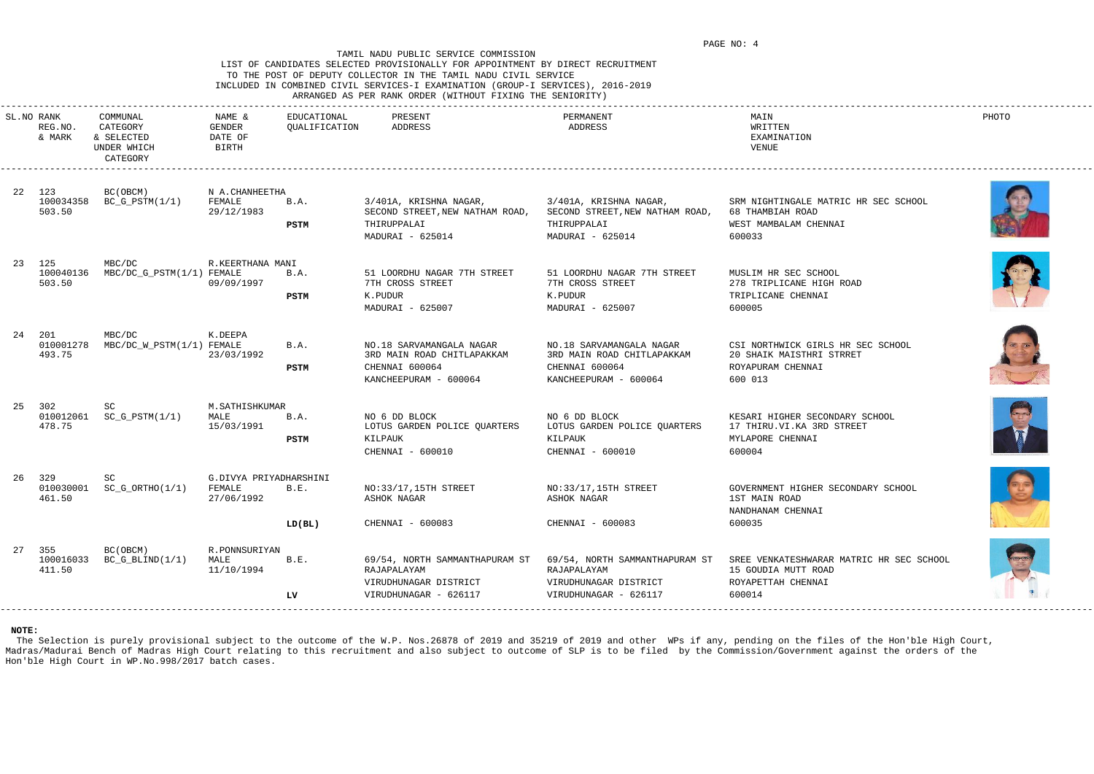### LIST OF CANDIDATES SELECTED PROVISIONALLY FOR APPOINTMENT BY DIRECT RECRUITMENT TO THE POST OF DEPUTY COLLECTOR IN THE TAMIL NADU CIVIL SERVICE INCLUDED IN COMBINED CIVIL SERVICES-I EXAMINATION (GROUP-I SERVICES), 2016-2019 ARRANGED AS PER RANK ORDER (WITHOUT FIXING THE SENIORITY)

|  |  |  |  | IKKANGED AS FEK KANK UKDEK (WIINUUI FIAING INE SENIUKIII) |  |
|--|--|--|--|-----------------------------------------------------------|--|
|  |  |  |  |                                                           |  |

|    | SL.NO RANK<br>REG.NO.<br>& MARK | COMMUNAL<br>CATEGORY<br>& SELECTED<br>UNDER WHICH<br>CATEGORY | NAME &<br>GENDER<br>DATE OF<br><b>BIRTH</b>    | EDUCATIONAL<br>QUALIFICATION | PRESENT<br>ADDRESS                                                                                | PERMANENT<br>ADDRESS                                                                              | MAIN<br>WRITTEN<br>EXAMINATION<br>VENUE                                                                                        | PHOTO |
|----|---------------------------------|---------------------------------------------------------------|------------------------------------------------|------------------------------|---------------------------------------------------------------------------------------------------|---------------------------------------------------------------------------------------------------|--------------------------------------------------------------------------------------------------------------------------------|-------|
|    | 22 123<br>100034358<br>503.50   | BC (OBCM)<br>$BC_G_PSTM(1/1)$                                 | N A.CHANHEETHA<br>FEMALE<br>29/12/1983         | B.A.<br><b>PSTM</b>          | 3/401A, KRISHNA NAGAR,<br>SECOND STREET, NEW NATHAM ROAD,<br>THIRUPPALAI<br>MADURAI - 625014      | 3/401A, KRISHNA NAGAR,<br>SECOND STREET, NEW NATHAM ROAD,<br>THIRUPPALAI<br>MADURAI - 625014      | SRM NIGHTINGALE MATRIC HR SEC SCHOOL<br>68 THAMBIAH ROAD<br>WEST MAMBALAM CHENNAI<br>600033                                    |       |
|    | 23 125<br>100040136<br>503.50   | MBC/DC<br>MBC/DC_G_PSTM(1/1) FEMALE                           | R.KEERTHANA MANI<br>09/09/1997                 | B.A.<br>PSTM                 | 51 LOORDHU NAGAR 7TH STREET<br>7TH CROSS STREET<br>K.PUDUR<br>MADURAI - 625007                    | 51 LOORDHU NAGAR 7TH STREET<br>7TH CROSS STREET<br>K.PUDUR<br>MADURAI - 625007                    | MUSLIM HR SEC SCHOOL<br>278 TRIPLICANE HIGH ROAD<br>TRIPLICANE CHENNAI<br>600005                                               |       |
|    | 24 201<br>010001278<br>493.75   | MBC/DC<br>MBC/DC_W_PSTM(1/1) FEMALE                           | K.DEEPA<br>23/03/1992                          | B.A.<br>PSTM                 | NO.18 SARVAMANGALA NAGAR<br>3RD MAIN ROAD CHITLAPAKKAM<br>CHENNAI 600064<br>KANCHEEPURAM - 600064 | NO.18 SARVAMANGALA NAGAR<br>3RD MAIN ROAD CHITLAPAKKAM<br>CHENNAI 600064<br>KANCHEEPURAM - 600064 | CSI NORTHWICK GIRLS HR SEC SCHOOL<br>20 SHAIK MAISTHRI STRRET<br>ROYAPURAM CHENNAI<br>600 013                                  |       |
| 25 | 302<br>010012061<br>478.75      | SC.<br>$SC_G_PSTM(1/1)$                                       | M.SATHISHKUMAR<br>MALE<br>15/03/1991           | B.A.<br>PSTM                 | NO 6 DD BLOCK<br>LOTUS GARDEN POLICE QUARTERS<br>KILPAUK<br>CHENNAI - 600010                      | NO 6 DD BLOCK<br>LOTUS GARDEN POLICE QUARTERS<br>KILPAUK<br>CHENNAI - 600010                      | KESARI HIGHER SECONDARY SCHOOL<br>17 THIRU.VI.KA 3RD STREET<br>MYLAPORE CHENNAI<br>600004                                      |       |
| 26 | 329<br>010030001<br>461.50      | $SC_G_ORTHO(1/1)$                                             | G.DIVYA PRIYADHARSHINI<br>FEMALE<br>27/06/1992 | B.E.<br>LD(BL)               | NO:33/17,15TH STREET<br>ASHOK NAGAR<br>CHENNAI - 600083                                           | NO: 33/17, 15TH STREET<br>ASHOK NAGAR<br>CHENNAI - 600083                                         | GOVERNMENT HIGHER SECONDARY SCHOOL<br>1ST MAIN ROAD<br>NANDHANAM CHENNAI<br>600035                                             |       |
| 27 | 355<br>100016033<br>411.50      | BC (OBCM)<br>$BC_G_BLIND(1/1)$                                | R.PONNSURIYAN<br>MALE<br>11/10/1994            | B.E.<br>LV                   | 69/54, NORTH SAMMANTHAPURAM ST<br>RAJAPALAYAM<br>VIRUDHUNAGAR DISTRICT<br>VIRUDHUNAGAR - 626117   | RAJAPALAYAM<br>VIRUDHUNAGAR DISTRICT<br>VIRUDHUNAGAR - 626117                                     | 69/54, NORTH SAMMANTHAPURAM ST SREE VENKATESHWARAR MATRIC HR SEC SCHOOL<br>15 GOUDIA MUTT ROAD<br>ROYAPETTAH CHENNAI<br>600014 |       |

The Selection is purely provisional subject to the outcome of the W.P. Nos.26878 of 2019 and 35219 of 2019 and other WPs if any, pending on the files of the Hon'ble High Court, Madras/Madurai Bench of Madras High Court relating to this recruitment and also subject to outcome of SLP is to be filed by the Commission/Government against the orders of the Hon'ble High Court in WP.No.998/2017 batch cases.











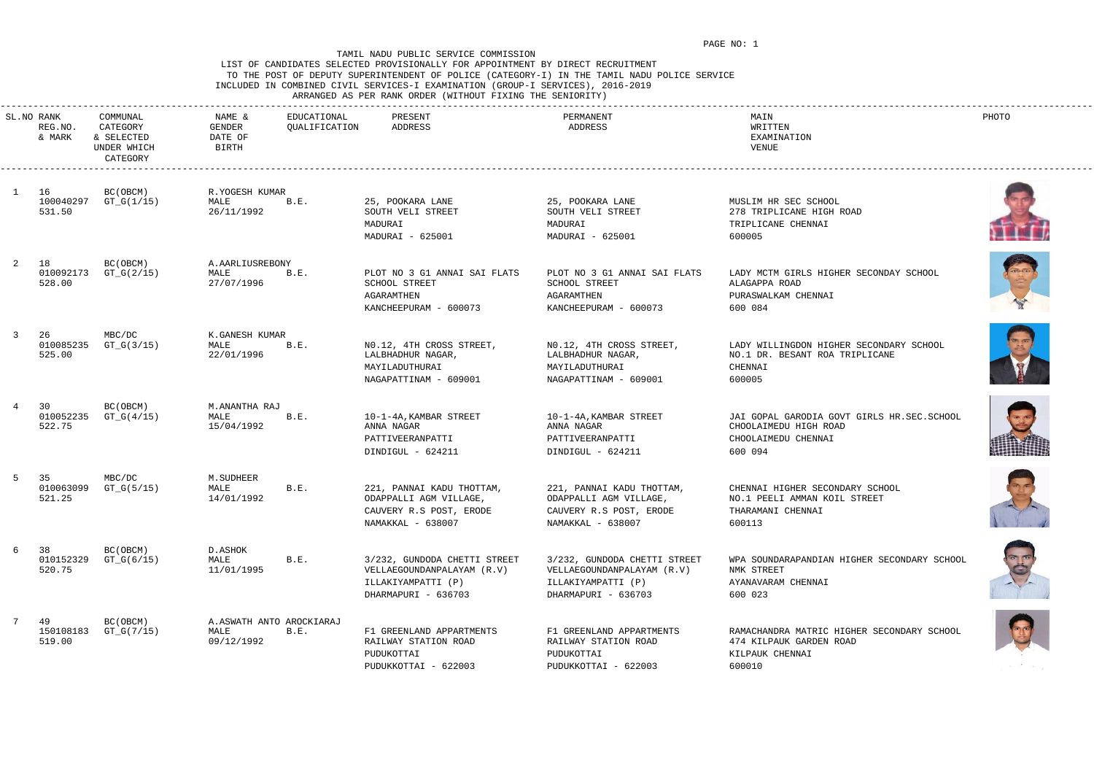## LIST OF CANDIDATES SELECTED PROVISIONALLY FOR APPOINTMENT BY DIRECT RECRUITMENT TO THE POST OF DEPUTY SUPERINTENDENT OF POLICE (CATEGORY-I) IN THE TAMIL NADU POLICE SERVICE INCLUDED IN COMBINED CIVIL SERVICES-I EXAMINATION (GROUP-I SERVICES), 2016-2019 ARRANGED AS PER RANK ORDER (WITHOUT FIXING THE SENIORITY)

|    | SL.NO RANK<br>REG.NO.<br>& MARK | COMMUNAL<br>CATEGORY<br>& SELECTED<br>UNDER WHICH<br>CATEGORY | EDUCATIONAL<br>NAME &<br>QUALIFICATION<br>GENDER<br>DATE OF<br>BIRTH | PRESENT<br>ADDRESS                                                                                      | PERMANENT<br>ADDRESS                                                                                    | MAIN<br>WRITTEN<br>EXAMINATION<br>VENUE                                                               | PHOTO                                 |
|----|---------------------------------|---------------------------------------------------------------|----------------------------------------------------------------------|---------------------------------------------------------------------------------------------------------|---------------------------------------------------------------------------------------------------------|-------------------------------------------------------------------------------------------------------|---------------------------------------|
|    | 16<br>100040297<br>531.50       | BC (OBCM)<br>GT_G(1/15)                                       | R.YOGESH KUMAR<br>MALE<br>B.E.<br>26/11/1992                         | 25, POOKARA LANE<br>SOUTH VELI STREET<br>MADURAI<br>MADURAI - 625001                                    | 25, POOKARA LANE<br>SOUTH VELI STREET<br>MADURAI<br>MADURAI - 625001                                    | MUSLIM HR SEC SCHOOL<br>278 TRIPLICANE HIGH ROAD<br>TRIPLICANE CHENNAI<br>600005                      |                                       |
|    | 18<br>010092173<br>528.00       | BC(OBCM)<br>$GT_G(2/15)$                                      | A. AARLIUSREBONY<br>MALE<br>B.E.<br>27/07/1996                       | PLOT NO 3 G1 ANNAI SAI FLATS<br>SCHOOL STREET<br>AGARAMTHEN<br>KANCHEEPURAM - 600073                    | PLOT NO 3 G1 ANNAI SAI FLATS<br>SCHOOL STREET<br>AGARAMTHEN<br>KANCHEEPURAM - 600073                    | LADY MCTM GIRLS HIGHER SECONDAY SCHOOL<br>ALAGAPPA ROAD<br>PURASWALKAM CHENNAI<br>600 084             |                                       |
|    | 26<br>010085235<br>525.00       | MBC/DC<br>$GT_G(3/15)$                                        | K.GANESH KUMAR<br>B.E.<br>MALE<br>22/01/1996                         | NO.12, 4TH CROSS STREET,<br>LALBHADHUR NAGAR,<br>MAYILADUTHURAI<br>NAGAPATTINAM - 609001                | NO.12, 4TH CROSS STREET,<br>LALBHADHUR NAGAR,<br>MAYILADUTHURAI<br>NAGAPATTINAM - 609001                | LADY WILLINGDON HIGHER SECONDARY SCHOOL<br>NO.1 DR. BESANT ROA TRIPLICANE<br>CHENNAI<br>600005        |                                       |
|    | 30<br>010052235<br>522.75       | BC(OBCM)<br>$GT_G(4/15)$                                      | M.ANANTHA RAJ<br>MALE<br>B.E.<br>15/04/1992                          | 10-1-4A, KAMBAR STREET<br>ANNA NAGAR<br>PATTIVEERANPATTI<br>DINDIGUL - 624211                           | 10-1-4A, KAMBAR STREET<br>ANNA NAGAR<br>PATTIVEERANPATTI<br>DINDIGUL - 624211                           | JAI GOPAL GARODIA GOVT GIRLS HR.SEC.SCHOOL<br>CHOOLAIMEDU HIGH ROAD<br>CHOOLAIMEDU CHENNAI<br>600 094 |                                       |
| -5 | -35<br>010063099<br>521.25      | MBC/DC<br>GT_G(5/15)                                          | M. SUDHEER<br>MALE<br>B.E.<br>14/01/1992                             | 221, PANNAI KADU THOTTAM,<br>ODAPPALLI AGM VILLAGE,<br>CAUVERY R.S POST, ERODE<br>NAMAKKAL - 638007     | 221, PANNAI KADU THOTTAM,<br>ODAPPALLI AGM VILLAGE,<br>CAUVERY R.S POST, ERODE<br>NAMAKKAL - 638007     | CHENNAI HIGHER SECONDARY SCHOOL<br>NO.1 PEELI AMMAN KOIL STREET<br>THARAMANI CHENNAI<br>600113        | $\mathcal{N} \rightarrow \mathcal{N}$ |
| 6  | 38<br>010152329<br>520.75       | BC (OBCM)<br>$GT_G(6/15)$                                     | D.ASHOK<br>MALE<br>B.E.<br>11/01/1995                                | 3/232, GUNDODA CHETTI STREET<br>VELLAEGOUNDANPALAYAM (R.V)<br>ILLAKIYAMPATTI (P)<br>DHARMAPURI - 636703 | 3/232, GUNDODA CHETTI STREET<br>VELLAEGOUNDANPALAYAM (R.V)<br>ILLAKIYAMPATTI (P)<br>DHARMAPURI - 636703 | WPA SOUNDARAPANDIAN HIGHER SECONDARY SCHOOL<br>NMK STREET<br>AYANAVARAM CHENNAI<br>600 023            | B                                     |
| 7  | 49<br>150108183<br>519.00       | BC (OBCM)<br>$GT_G(7/15)$                                     | A.ASWATH ANTO AROCKIARAJ<br>MALE<br>B.E.<br>09/12/1992               | F1 GREENLAND APPARTMENTS<br>RAILWAY STATION ROAD<br>PUDUKOTTAI<br>PUDUKKOTTAI - 622003                  | F1 GREENLAND APPARTMENTS<br>RAILWAY STATION ROAD<br>PUDUKOTTAI<br>PUDUKKOTTAI - 622003                  | RAMACHANDRA MATRIC HIGHER SECONDARY SCHOOL<br>474 KILPAUK GARDEN ROAD<br>KILPAUK CHENNAI<br>600010    |                                       |
|    |                                 |                                                               |                                                                      |                                                                                                         |                                                                                                         |                                                                                                       |                                       |









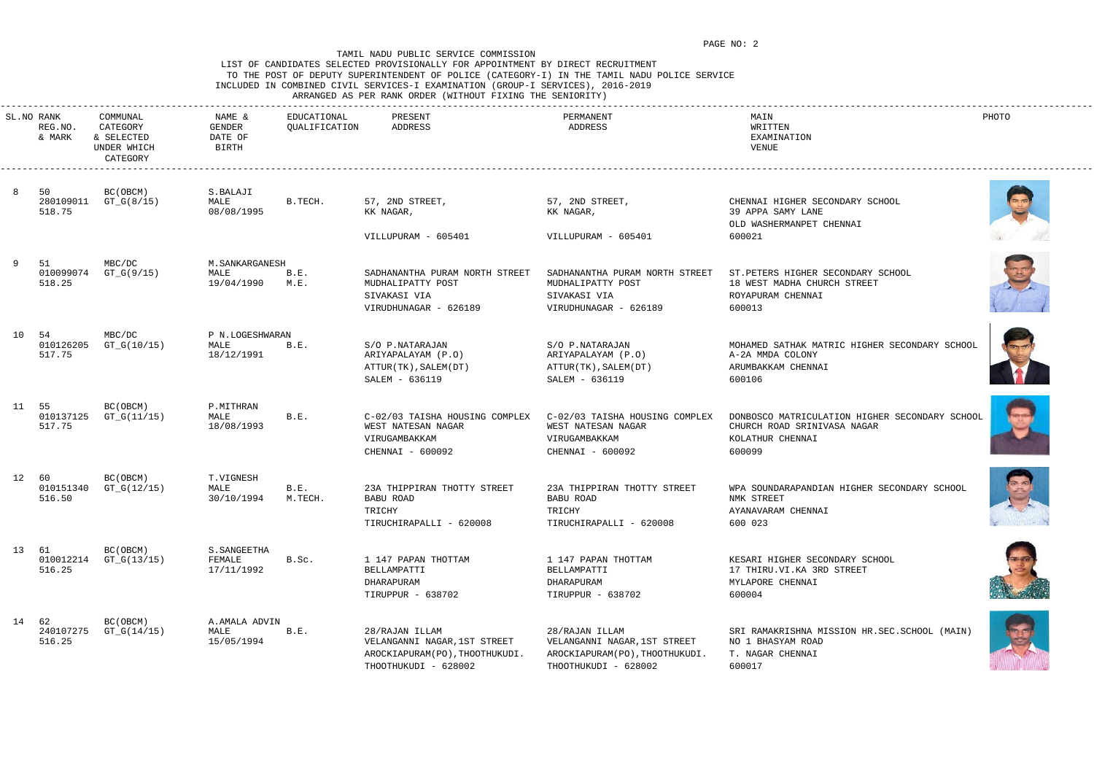# LIST OF CANDIDATES SELECTED PROVISIONALLY FOR APPOINTMENT BY DIRECT RECRUITMENT TO THE POST OF DEPUTY SUPERINTENDENT OF POLICE (CATEGORY-I) IN THE TAMIL NADU POLICE SERVICE INCLUDED IN COMBINED CIVIL SERVICES-I EXAMINATION (GROUP-I SERVICES), 2016-2019

# ARRANGED AS PER RANK ORDER (WITHOUT FIXING THE SENIORITY)

|       | SL.NO RANK<br>REG.NO.<br>& MARK | COMMUNAL<br>CATEGORY<br>& SELECTED<br>UNDER WHICH<br>CATEGORY | NAME &<br>GENDER<br>DATE OF<br>BIRTH  | EDUCATIONAL<br>QUALIFICATION | PRESENT<br>ADDRESS                                                                                       | PERMANENT<br>ADDRESS                                                                                     | MAIN<br>WRITTEN<br>EXAMINATION<br>VENUE                                                                     | PHOTO |
|-------|---------------------------------|---------------------------------------------------------------|---------------------------------------|------------------------------|----------------------------------------------------------------------------------------------------------|----------------------------------------------------------------------------------------------------------|-------------------------------------------------------------------------------------------------------------|-------|
|       | 50<br>280109011<br>518.75       | BC(OBCM)<br>GT_G(8/15)                                        | S.BALAJI<br>MALE<br>08/08/1995        | B.TECH.                      | 57, 2ND STREET,<br>KK NAGAR,                                                                             | 57, 2ND STREET,<br>KK NAGAR,                                                                             | CHENNAI HIGHER SECONDARY SCHOOL<br>39 APPA SAMY LANE<br>OLD WASHERMANPET CHENNAI                            |       |
|       |                                 |                                                               |                                       |                              | VILLUPURAM - 605401                                                                                      | VILLUPURAM - 605401                                                                                      | 600021                                                                                                      |       |
|       | 51<br>010099074<br>518.25       | MBC/DC<br>GT_G(9/15)                                          | M.SANKARGANESH<br>MALE<br>19/04/1990  | B.E.<br>М.Е.                 | SADHANANTHA PURAM NORTH STREET<br>MUDHALIPATTY POST<br>SIVAKASI VIA<br>VIRUDHUNAGAR - 626189             | SADHANANTHA PURAM NORTH STREET<br>MUDHALIPATTY POST<br>SIVAKASI VIA<br>VIRUDHUNAGAR - 626189             | ST. PETERS HIGHER SECONDARY SCHOOL<br>18 WEST MADHA CHURCH STREET<br>ROYAPURAM CHENNAI<br>600013            |       |
| 10 54 | 010126205<br>517.75             | MBC/DC<br>GT_G(10/15)                                         | P N.LOGESHWARAN<br>MALE<br>18/12/1991 | B.E.                         | S/O P.NATARAJAN<br>ARIYAPALAYAM (P.O)<br>ATTUR(TK), SALEM(DT)<br>SALEM - 636119                          | S/O P.NATARAJAN<br>ARIYAPALAYAM (P.O)<br>ATTUR(TK), SALEM(DT)<br>SALEM - 636119                          | MOHAMED SATHAK MATRIC HIGHER SECONDARY SCHOOL<br>A-2A MMDA COLONY<br>ARUMBAKKAM CHENNAI<br>600106           |       |
| 11 55 | 010137125<br>517.75             | BC (OBCM)<br>GT_G(11/15)                                      | P.MITHRAN<br>MALE<br>18/08/1993       | B.E.                         | C-02/03 TAISHA HOUSING COMPLEX<br>WEST NATESAN NAGAR<br>VIRUGAMBAKKAM<br>CHENNAI - 600092                | C-02/03 TAISHA HOUSING COMPLEX<br>WEST NATESAN NAGAR<br>VIRUGAMBAKKAM<br>CHENNAI - 600092                | DONBOSCO MATRICULATION HIGHER SECONDARY SCHOOL<br>CHURCH ROAD SRINIVASA NAGAR<br>KOLATHUR CHENNAI<br>600099 |       |
| 12 60 | 010151340<br>516.50             | BC (OBCM)<br>$GT_G(12/15)$                                    | T.VIGNESH<br>MALE<br>30/10/1994       | B.E.<br>M.TECH.              | 23A THIPPIRAN THOTTY STREET<br>BABU ROAD<br>TRICHY<br>TIRUCHIRAPALLI - 620008                            | 23A THIPPIRAN THOTTY STREET<br>BABU ROAD<br>TRICHY<br>TIRUCHIRAPALLI - 620008                            | WPA SOUNDARAPANDIAN HIGHER SECONDARY SCHOOL<br>NMK STREET<br>AYANAVARAM CHENNAI<br>600 023                  |       |
| 13 61 | 010012214<br>516.25             | BC (OBCM)<br>$GT_G(13/15)$                                    | S. SANGEETHA<br>FEMALE<br>17/11/1992  | B.Sc.                        | 1 147 PAPAN THOTTAM<br>BELLAMPATTI<br>DHARAPURAM<br>TIRUPPUR - 638702                                    | 1 147 PAPAN THOTTAM<br>BELLAMPATTI<br>DHARAPURAM<br>TIRUPPUR - 638702                                    | KESARI HIGHER SECONDARY SCHOOL<br>17 THIRU.VI.KA 3RD STREET<br>MYLAPORE CHENNAI<br>600004                   |       |
| 14 62 | 240107275<br>516.25             | BC (OBCM)<br>$GT_G(14/15)$                                    | A.AMALA ADVIN<br>MALE<br>15/05/1994   | B.E.                         | 28/RAJAN ILLAM<br>VELANGANNI NAGAR, 1ST STREET<br>AROCKIAPURAM(PO), THOOTHUKUDI.<br>THOOTHUKUDI - 628002 | 28/RAJAN ILLAM<br>VELANGANNI NAGAR, 1ST STREET<br>AROCKIAPURAM(PO), THOOTHUKUDI.<br>THOOTHUKUDI - 628002 | SRI RAMAKRISHNA MISSION HR.SEC.SCHOOL (MAIN)<br>NO 1 BHASYAM ROAD<br>T. NAGAR CHENNAI<br>600017             |       |













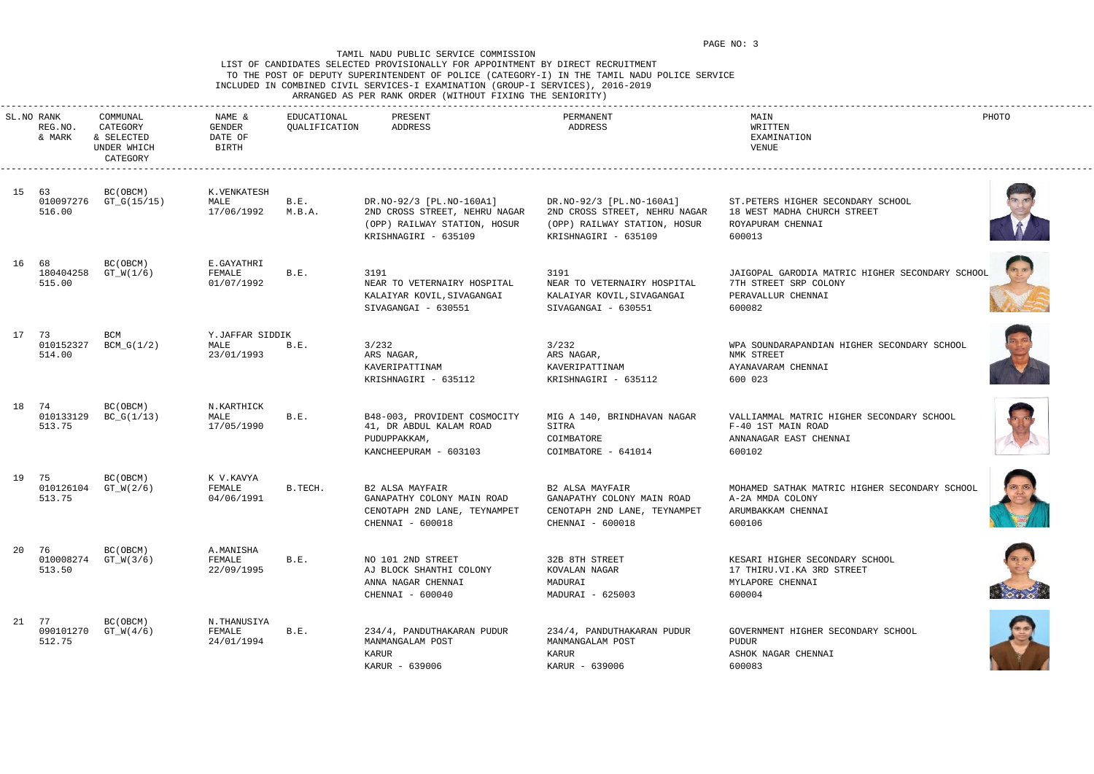# LIST OF CANDIDATES SELECTED PROVISIONALLY FOR APPOINTMENT BY DIRECT RECRUITMENT TO THE POST OF DEPUTY SUPERINTENDENT OF POLICE (CATEGORY-I) IN THE TAMIL NADU POLICE SERVICE INCLUDED IN COMBINED CIVIL SERVICES-I EXAMINATION (GROUP-I SERVICES), 2016-2019

ARRANGED AS PER RANK ORDER (WITHOUT FIXING THE SENIORITY)

| SL.NO RANK<br>REG.NO.<br>& MARK | COMMUNAL<br>CATEGORY<br>& SELECTED<br>UNDER WHICH<br>CATEGORY | NAME &<br>GENDER<br>DATE OF<br>BIRTH  | EDUCATIONAL<br>QUALIFICATION | PRESENT<br>ADDRESS                                                                                                | PERMANENT<br>ADDRESS                                                                                              | MAIN<br>WRITTEN<br>EXAMINATION<br>VENUE                                                                  | PHOTO |
|---------------------------------|---------------------------------------------------------------|---------------------------------------|------------------------------|-------------------------------------------------------------------------------------------------------------------|-------------------------------------------------------------------------------------------------------------------|----------------------------------------------------------------------------------------------------------|-------|
| 15 63<br>010097276<br>516.00    | BC (OBCM)<br>GT_G(15/15)                                      | K.VENKATESH<br>MALE<br>17/06/1992     | B.E.<br>M.B.A.               | DR.NO-92/3 [PL.NO-160A1]<br>2ND CROSS STREET, NEHRU NAGAR<br>(OPP) RAILWAY STATION, HOSUR<br>KRISHNAGIRI - 635109 | DR.NO-92/3 [PL.NO-160A1]<br>2ND CROSS STREET, NEHRU NAGAR<br>(OPP) RAILWAY STATION, HOSUR<br>KRISHNAGIRI - 635109 | ST. PETERS HIGHER SECONDARY SCHOOL<br>18 WEST MADHA CHURCH STREET<br>ROYAPURAM CHENNAI<br>600013         |       |
| 16 68<br>180404258<br>515.00    | BC(OBCM)<br>$GT_W(1/6)$                                       | E.GAYATHRI<br>FEMALE<br>01/07/1992    | B.E.                         | 3191<br>NEAR TO VETERNAIRY HOSPITAL<br>KALAIYAR KOVIL, SIVAGANGAI<br>SIVAGANGAI - 630551                          | 3191<br>NEAR TO VETERNAIRY HOSPITAL<br>KALAIYAR KOVIL, SIVAGANGAI<br>SIVAGANGAI - 630551                          | JAIGOPAL GARODIA MATRIC HIGHER SECONDARY SCHOOL<br>7TH STREET SRP COLONY<br>PERAVALLUR CHENNAI<br>600082 |       |
| 17 73<br>010152327<br>514.00    | BCM<br>BCM_G(1/2)                                             | Y.JAFFAR SIDDIK<br>MALE<br>23/01/1993 | B.E.                         | 3/232<br>ARS NAGAR,<br>KAVERIPATTINAM<br>KRISHNAGIRI - 635112                                                     | 3/232<br>ARS NAGAR,<br>KAVERIPATTINAM<br>KRISHNAGIRI - 635112                                                     | WPA SOUNDARAPANDIAN HIGHER SECONDARY SCHOOL<br>NMK STREET<br>AYANAVARAM CHENNAI<br>600 023               |       |
| 18 74<br>010133129<br>513.75    | BC (OBCM)<br>$BC_G(1/13)$                                     | N.KARTHICK<br>MALE<br>17/05/1990      | B.E.                         | B48-003, PROVIDENT COSMOCITY<br>41, DR ABDUL KALAM ROAD<br>PUDUPPAKKAM,<br>KANCHEEPURAM - 603103                  | MIG A 140, BRINDHAVAN NAGAR<br>SITRA<br>COIMBATORE<br>COIMBATORE - 641014                                         | VALLIAMMAL MATRIC HIGHER SECONDARY SCHOOL<br>F-40 1ST MAIN ROAD<br>ANNANAGAR EAST CHENNAI<br>600102      |       |
| 19 75<br>010126104<br>513.75    | BC(OBCM)<br>$GT_W(2/6)$                                       | K V.KAVYA<br>FEMALE<br>04/06/1991     | B.TECH.                      | <b>B2 ALSA MAYFAIR</b><br>GANAPATHY COLONY MAIN ROAD<br>CENOTAPH 2ND LANE, TEYNAMPET<br>CHENNAI - 600018          | <b>B2 ALSA MAYFAIR</b><br>GANAPATHY COLONY MAIN ROAD<br>CENOTAPH 2ND LANE, TEYNAMPET<br>CHENNAI - 600018          | MOHAMED SATHAK MATRIC HIGHER SECONDARY SCHOOL<br>A-2A MMDA COLONY<br>ARUMBAKKAM CHENNAI<br>600106        |       |
| 20 76<br>513.50                 | BC (OBCM)<br>010008274 GT_W(3/6)                              | A.MANISHA<br>FEMALE<br>22/09/1995     | B.E.                         | NO 101 2ND STREET<br>AJ BLOCK SHANTHI COLONY<br>ANNA NAGAR CHENNAI<br>CHENNAI - 600040                            | 32B 8TH STREET<br>KOVALAN NAGAR<br>MADURAI<br>MADURAI - 625003                                                    | KESARI HIGHER SECONDARY SCHOOL<br>17 THIRU.VI.KA 3RD STREET<br>MYLAPORE CHENNAI<br>600004                |       |
| 21 77<br>090101270<br>512.75    | BC (OBCM)<br>$GT_W(4/6)$                                      | N.THANUSIYA<br>FEMALE<br>24/01/1994   | B.E.                         | 234/4, PANDUTHAKARAN PUDUR<br>MANMANGALAM POST<br>KARUR<br>KARUR - 639006                                         | 234/4, PANDUTHAKARAN PUDUR<br>MANMANGALAM POST<br>KARUR<br>KARUR - 639006                                         | GOVERNMENT HIGHER SECONDARY SCHOOL<br>PUDUR<br>ASHOK NAGAR CHENNAI<br>600083                             |       |













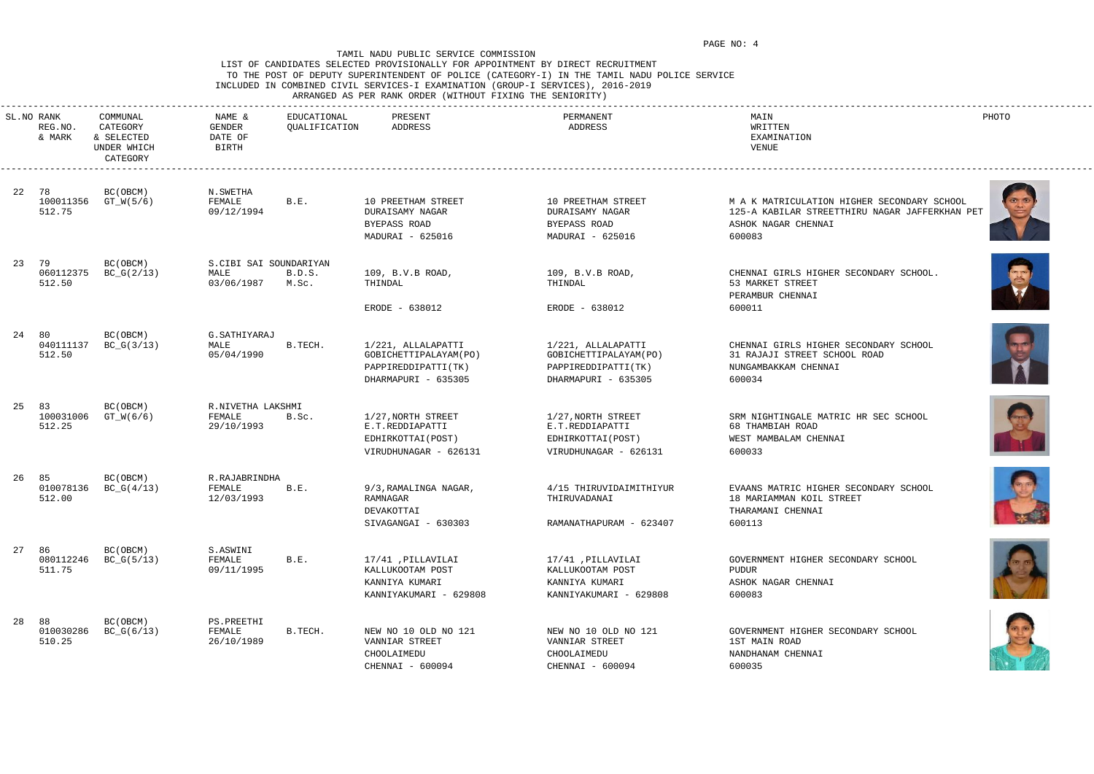## LIST OF CANDIDATES SELECTED PROVISIONALLY FOR APPOINTMENT BY DIRECT RECRUITMENT TO THE POST OF DEPUTY SUPERINTENDENT OF POLICE (CATEGORY-I) IN THE TAMIL NADU POLICE SERVICE INCLUDED IN COMBINED CIVIL SERVICES-I EXAMINATION (GROUP-I SERVICES), 2016-2019 ARRANGED AS PER RANK ORDER (WITHOUT FIXING THE SENIORITY)

| SL.NO RANK          | COMMUNAL                                          | NAME &                      | EDUCATIONAL     | PRESENT                                     | PERMANENT                                    | MAIN                                                                                          | PHOTO |
|---------------------|---------------------------------------------------|-----------------------------|-----------------|---------------------------------------------|----------------------------------------------|-----------------------------------------------------------------------------------------------|-------|
| REG.NO.<br>& MARK   | CATEGORY<br>& SELECTED<br>UNDER WHICH<br>CATEGORY | GENDER<br>DATE OF<br>BIRTH  | QUALIFICATION   | ADDRESS                                     | ADDRESS                                      | WRITTEN<br>EXAMINATION<br>VENUE                                                               |       |
| 22 78               | BC(OBCM)                                          | N.SWETHA                    |                 |                                             |                                              |                                                                                               |       |
| 100011356<br>512.75 | GT_W(5/6)                                         | FEMALE<br>09/12/1994        | B.E.            | 10 PREETHAM STREET                          | 10 PREETHAM STREET<br>DURAISAMY NAGAR        | M A K MATRICULATION HIGHER SECONDARY SCHOOL<br>125-A KABILAR STREETTHIRU NAGAR JAFFERKHAN PET |       |
|                     |                                                   |                             |                 | DURAISAMY NAGAR<br>BYEPASS ROAD             | BYEPASS ROAD                                 | ASHOK NAGAR CHENNAI                                                                           |       |
|                     |                                                   |                             |                 | MADURAI - 625016                            | MADURAI - 625016                             | 600083                                                                                        |       |
|                     |                                                   |                             |                 |                                             |                                              |                                                                                               |       |
| 23 79               | BC(OBCM)                                          | S.CIBI SAI SOUNDARIYAN      |                 |                                             |                                              |                                                                                               |       |
| 060112375<br>512.50 | $BC_G(2/13)$                                      | MALE<br>03/06/1987          | B.D.S.<br>M.Sc. | 109, B.V.B ROAD,<br>THINDAL                 | 109, B.V.B ROAD,<br>THINDAL                  | CHENNAI GIRLS HIGHER SECONDARY SCHOOL.<br>53 MARKET STREET                                    |       |
|                     |                                                   |                             |                 |                                             |                                              | PERAMBUR CHENNAI                                                                              |       |
|                     |                                                   |                             |                 | ERODE - 638012                              | ERODE - 638012                               | 600011                                                                                        |       |
|                     |                                                   |                             |                 |                                             |                                              |                                                                                               |       |
| 24 80               | BC(OBCM)                                          | G. SATHIYARAJ               |                 |                                             |                                              |                                                                                               |       |
| 040111137<br>512.50 | $BC_G(3/13)$                                      | MALE<br>05/04/1990          | B.TECH.         | 1/221, ALLALAPATTI<br>GOBICHETTIPALAYAM(PO) | 1/221, ALLALAPATTI<br>GOBICHETTIPALAYAM (PO) | CHENNAI GIRLS HIGHER SECONDARY SCHOOL<br>31 RAJAJI STREET SCHOOL ROAD                         |       |
|                     |                                                   |                             |                 | PAPPIREDDIPATTI(TK)                         | PAPPIREDDIPATTI(TK)                          | NUNGAMBAKKAM CHENNAI                                                                          |       |
|                     |                                                   |                             |                 | DHARMAPURI - 635305                         | DHARMAPURI - 635305                          | 600034                                                                                        |       |
|                     |                                                   |                             |                 |                                             |                                              |                                                                                               |       |
| 25 83<br>100031006  | BC(OBCM)<br>GT_W(6/6)                             | R.NIVETHA LAKSHMI<br>FEMALE | B.Sc.           | 1/27, NORTH STREET                          | 1/27, NORTH STREET                           | SRM NIGHTINGALE MATRIC HR SEC SCHOOL                                                          |       |
| 512.25              |                                                   | 29/10/1993                  |                 | E.T.REDDIAPATTI                             | E.T.REDDIAPATTI                              | 68 THAMBIAH ROAD                                                                              |       |
|                     |                                                   |                             |                 | EDHIRKOTTAI (POST)                          | EDHIRKOTTAI (POST)                           | WEST MAMBALAM CHENNAI                                                                         |       |
|                     |                                                   |                             |                 | VIRUDHUNAGAR - 626131                       | VIRUDHUNAGAR - 626131                        | 600033                                                                                        |       |
| 26 85               | BC(OBCM)                                          | R.RAJABRINDHA               |                 |                                             |                                              |                                                                                               |       |
| 010078136           | $BC_G(4/13)$                                      | FEMALE                      | B.E.            | 9/3, RAMALINGA NAGAR,                       | 4/15 THIRUVIDAIMITHIYUR                      | EVAANS MATRIC HIGHER SECONDARY SCHOOL                                                         |       |
| 512.00              |                                                   | 12/03/1993                  |                 | RAMNAGAR<br>DEVAKOTTAI                      | THIRUVADANAI                                 | 18 MARIAMMAN KOIL STREET<br>THARAMANI CHENNAI                                                 |       |
|                     |                                                   |                             |                 | SIVAGANGAI - 630303                         | RAMANATHAPURAM - 623407                      | 600113                                                                                        | $-86$ |
|                     |                                                   |                             |                 |                                             |                                              |                                                                                               |       |
| 27 86               | BC (OBCM)                                         | S.ASWINI                    |                 |                                             |                                              |                                                                                               |       |
| 080112246<br>511.75 | $BC_G(5/13)$                                      | FEMALE<br>09/11/1995        | B.E.            | 17/41 , PILLAVILAI<br>KALLUKOOTAM POST      | 17/41 , PILLAVILAI<br>KALLUKOOTAM POST       | GOVERNMENT HIGHER SECONDARY SCHOOL<br>PUDUR                                                   |       |
|                     |                                                   |                             |                 | KANNIYA KUMARI                              | KANNIYA KUMARI                               | ASHOK NAGAR CHENNAI                                                                           |       |
|                     |                                                   |                             |                 | KANNIYAKUMARI - 629808                      | KANNIYAKUMARI - 629808                       | 600083                                                                                        |       |
|                     |                                                   |                             |                 |                                             |                                              |                                                                                               |       |
| 28 88<br>010030286  | BC (OBCM)<br>$BC_G(6/13)$                         | PS.PREETHI<br>FEMALE        | B.TECH.         | NEW NO 10 OLD NO 121                        | NEW NO 10 OLD NO 121                         | GOVERNMENT HIGHER SECONDARY SCHOOL                                                            |       |
| 510.25              |                                                   | 26/10/1989                  |                 | VANNIAR STREET                              | VANNIAR STREET                               | 1ST MAIN ROAD                                                                                 |       |
|                     |                                                   |                             |                 | CHOOLAIMEDU                                 | CHOOLAIMEDU                                  | NANDHANAM CHENNAI                                                                             |       |
|                     |                                                   |                             |                 | CHENNAI - 600094                            | CHENNAI - 600094                             | 600035                                                                                        |       |













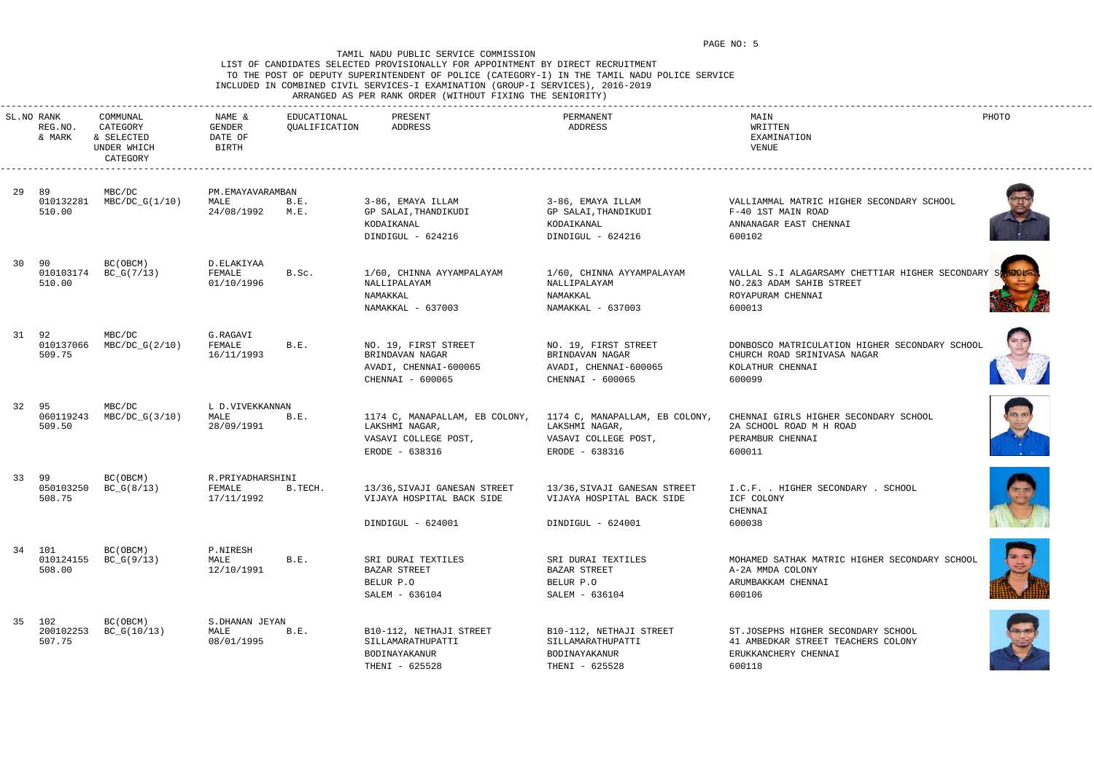## LIST OF CANDIDATES SELECTED PROVISIONALLY FOR APPOINTMENT BY DIRECT RECRUITMENT TO THE POST OF DEPUTY SUPERINTENDENT OF POLICE (CATEGORY-I) IN THE TAMIL NADU POLICE SERVICE INCLUDED IN COMBINED CIVIL SERVICES-I EXAMINATION (GROUP-I SERVICES), 2016-2019 ARRANGED AS PER RANK ORDER (WITHOUT FIXING THE SENIORITY)

|    | SL.NO RANK<br>REG.NO.<br>& MARK | COMMUNAL<br>CATEGORY<br>& SELECTED<br>UNDER WHICH<br>CATEGORY | NAME &<br>GENDER<br>DATE OF<br><b>BIRTH</b> | EDUCATIONAL<br>QUALIFICATION | PRESENT<br>ADDRESS                                                                         | PERMANENT<br>ADDRESS                                                                       | MAIN<br>WRITTEN<br>EXAMINATION<br>VENUE                                                                     | PHOTO |
|----|---------------------------------|---------------------------------------------------------------|---------------------------------------------|------------------------------|--------------------------------------------------------------------------------------------|--------------------------------------------------------------------------------------------|-------------------------------------------------------------------------------------------------------------|-------|
| 29 | 89<br>010132281<br>510.00       | MBC/DC<br>$MBC/DC_G(1/10)$                                    | PM.EMAYAVARAMBAN<br>MALE<br>24/08/1992      | B.E.<br>M.E.                 | 3-86, EMAYA ILLAM<br>GP SALAI, THANDIKUDI<br>KODAIKANAL<br>DINDIGUL - 624216               | 3-86, EMAYA ILLAM<br>GP SALAI, THANDIKUDI<br>KODAIKANAL<br>DINDIGUL - 624216               | VALLIAMMAL MATRIC HIGHER SECONDARY SCHOOL<br>F-40 1ST MAIN ROAD<br>ANNANAGAR EAST CHENNAI<br>600102         |       |
|    | 30 90<br>010103174<br>510.00    | BC(OBCM)<br>$BC_G(7/13)$                                      | D.ELAKIYAA<br>FEMALE<br>01/10/1996          | B.Sc.                        | 1/60, CHINNA AYYAMPALAYAM<br>NALLIPALAYAM<br>NAMAKKAL<br>NAMAKKAL - 637003                 | 1/60, CHINNA AYYAMPALAYAM<br>NALLIPALAYAM<br>NAMAKKAL<br>NAMAKKAL - 637003                 | VALLAL S.I ALAGARSAMY CHETTIAR HIGHER SECONDARY<br>NO.2&3 ADAM SAHIB STREET<br>ROYAPURAM CHENNAI<br>600013  |       |
|    | 31 92<br>010137066<br>509.75    | MBC/DC<br>MBC/DC_G(2/10)                                      | G.RAGAVI<br>FEMALE<br>16/11/1993            | B.E.                         | NO. 19, FIRST STREET<br>BRINDAVAN NAGAR<br>AVADI, CHENNAI-600065<br>CHENNAI - 600065       | NO. 19, FIRST STREET<br>BRINDAVAN NAGAR<br>AVADI, CHENNAI-600065<br>CHENNAI - 600065       | DONBOSCO MATRICULATION HIGHER SECONDARY SCHOOL<br>CHURCH ROAD SRINIVASA NAGAR<br>KOLATHUR CHENNAI<br>600099 |       |
|    | 32 95<br>060119243<br>509.50    | MBC/DC<br>MBC/DC_G(3/10)                                      | L D.VIVEKKANNAN<br>MALE<br>28/09/1991       | B.E.                         | 1174 C, MANAPALLAM, EB COLONY,<br>LAKSHMI NAGAR,<br>VASAVI COLLEGE POST,<br>ERODE - 638316 | 1174 C, MANAPALLAM, EB COLONY,<br>LAKSHMI NAGAR,<br>VASAVI COLLEGE POST,<br>ERODE - 638316 | CHENNAI GIRLS HIGHER SECONDARY SCHOOL<br>2A SCHOOL ROAD M H ROAD<br>PERAMBUR CHENNAI<br>600011              |       |
|    | 33 99<br>050103250<br>508.75    | BC(OBCM)<br>$BC_G(8/13)$                                      | R.PRIYADHARSHINI<br>FEMALE<br>17/11/1992    | B.TECH.                      | 13/36, SIVAJI GANESAN STREET<br>VIJAYA HOSPITAL BACK SIDE<br>DINDIGUL - 624001             | 13/36, SIVAJI GANESAN STREET<br>VIJAYA HOSPITAL BACK SIDE<br>DINDIGUL - 624001             | I.C.F. . HIGHER SECONDARY . SCHOOL<br>ICF COLONY<br>CHENNAI<br>600038                                       |       |
|    | 34 101<br>508.00                | BC (OBCM)<br>010124155 BC_G(9/13)                             | P.NIRESH<br>MALE<br>12/10/1991              | B.E.                         | SRI DURAI TEXTILES<br>BAZAR STREET<br>BELUR P.O<br>SALEM - 636104                          | SRI DURAI TEXTILES<br>BAZAR STREET<br>BELUR P.O<br>SALEM - 636104                          | MOHAMED SATHAK MATRIC HIGHER SECONDARY SCHOOL<br>A-2A MMDA COLONY<br>ARUMBAKKAM CHENNAI<br>600106           |       |
|    | 35 102<br>200102253<br>507.75   | BC (OBCM)<br>$BC_G(10/13)$                                    | S.DHANAN JEYAN<br>MALE<br>08/01/1995        | B.E.                         | B10-112, NETHAJI STREET<br>SILLAMARATHUPATTI<br>BODINAYAKANUR<br>THENI - 625528            | B10-112, NETHAJI STREET<br>SILLAMARATHUPATTI<br>BODINAYAKANUR<br>THENI - 625528            | ST.JOSEPHS HIGHER SECONDARY SCHOOL<br>41 AMBEDKAR STREET TEACHERS COLONY<br>ERUKKANCHERY CHENNAI<br>600118  |       |













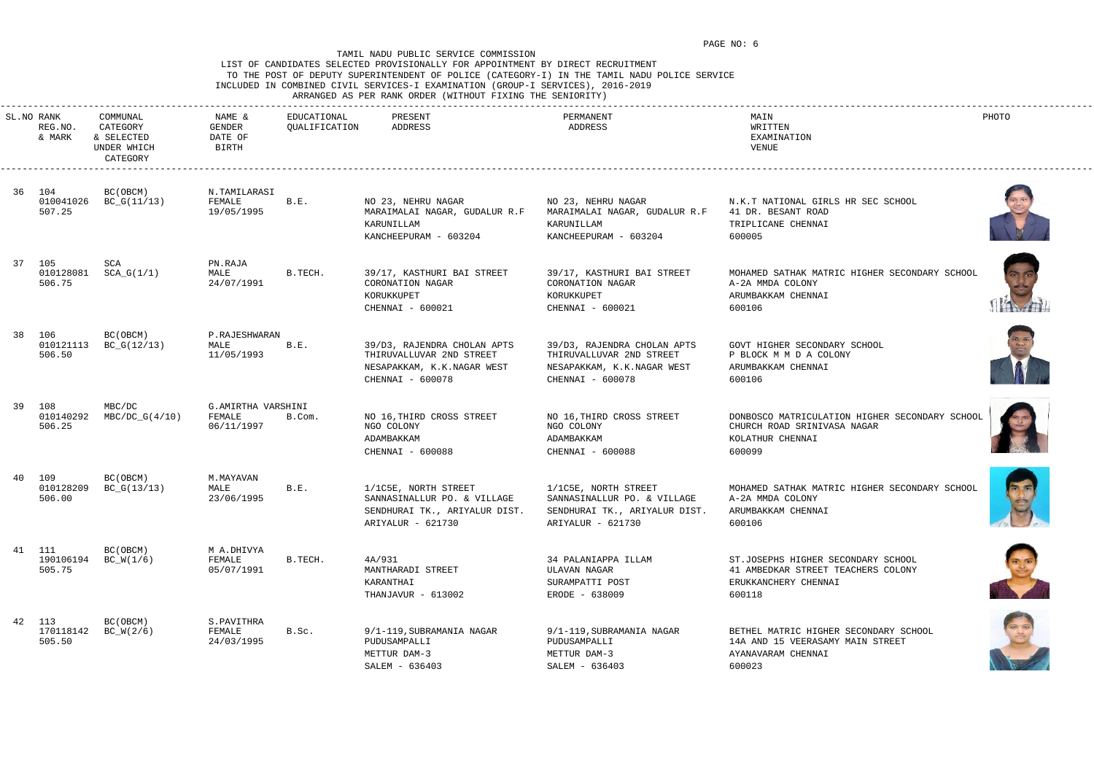# LIST OF CANDIDATES SELECTED PROVISIONALLY FOR APPOINTMENT BY DIRECT RECRUITMENT TO THE POST OF DEPUTY SUPERINTENDENT OF POLICE (CATEGORY-I) IN THE TAMIL NADU POLICE SERVICE INCLUDED IN COMBINED CIVIL SERVICES-I EXAMINATION (GROUP-I SERVICES), 2016-2019

ARRANGED AS PER RANK ORDER (WITHOUT FIXING THE SENIORITY)

| SL.NO RANK<br>REG.NO.<br>& MARK | COMMUNAL<br>CATEGORY<br>& SELECTED<br>UNDER WHICH<br>CATEGORY | NAME &<br>GENDER<br>DATE OF<br><b>BIRTH</b> | EDUCATIONAL<br>QUALIFICATION | PRESENT<br>ADDRESS                                                                                        | PERMANENT<br>ADDRESS                                                                                      | MAIN<br>WRITTEN<br>EXAMINATION<br>VENUE                                                                     | PHOTO           |
|---------------------------------|---------------------------------------------------------------|---------------------------------------------|------------------------------|-----------------------------------------------------------------------------------------------------------|-----------------------------------------------------------------------------------------------------------|-------------------------------------------------------------------------------------------------------------|-----------------|
| 36 104<br>010041026<br>507.25   | BC (OBCM)<br>$BC_G(11/13)$                                    | N.TAMILARASI<br>FEMALE<br>19/05/1995        | B.E.                         | NO 23, NEHRU NAGAR<br>MARAIMALAI NAGAR, GUDALUR R.F<br>KARUNILLAM<br>KANCHEEPURAM - 603204                | NO 23, NEHRU NAGAR<br>MARAIMALAI NAGAR, GUDALUR R.F<br>KARUNILLAM<br>KANCHEEPURAM - 603204                | N.K.T NATIONAL GIRLS HR SEC SCHOOL<br>41 DR. BESANT ROAD<br>TRIPLICANE CHENNAI<br>600005                    |                 |
| 37 105<br>010128081<br>506.75   | SCA<br>$SCA_G(1/1)$                                           | PN.RAJA<br>MALE<br>24/07/1991               | B.TECH.                      | 39/17, KASTHURI BAI STREET<br>CORONATION NAGAR<br>KORUKKUPET<br>CHENNAI - 600021                          | 39/17, KASTHURI BAI STREET<br>CORONATION NAGAR<br>KORUKKUPET<br>CHENNAI - 600021                          | MOHAMED SATHAK MATRIC HIGHER SECONDARY SCHOOL<br>A-2A MMDA COLONY<br>ARUMBAKKAM CHENNAI<br>600106           |                 |
| 38 106<br>010121113<br>506.50   | BC (OBCM)<br>$BC_G(12/13)$                                    | P.RAJESHWARAN<br>MALE<br>11/05/1993         | B.E.                         | 39/D3, RAJENDRA CHOLAN APTS<br>THIRUVALLUVAR 2ND STREET<br>NESAPAKKAM, K.K.NAGAR WEST<br>CHENNAI - 600078 | 39/D3, RAJENDRA CHOLAN APTS<br>THIRUVALLUVAR 2ND STREET<br>NESAPAKKAM, K.K.NAGAR WEST<br>CHENNAI - 600078 | GOVT HIGHER SECONDARY SCHOOL<br>P BLOCK M M D A COLONY<br>ARUMBAKKAM CHENNAI<br>600106                      |                 |
| 39 108<br>010140292<br>506.25   | MBC/DC<br>$MBC/DC_G(4/10)$                                    | G.AMIRTHA VARSHINI<br>FEMALE<br>06/11/1997  | B.Com.                       | NO 16, THIRD CROSS STREET<br>NGO COLONY<br>ADAMBAKKAM<br>CHENNAI - 600088                                 | NO 16, THIRD CROSS STREET<br>NGO COLONY<br>ADAMBAKKAM<br>CHENNAI - 600088                                 | DONBOSCO MATRICULATION HIGHER SECONDARY SCHOOL<br>CHURCH ROAD SRINIVASA NAGAR<br>KOLATHUR CHENNAI<br>600099 |                 |
| 40 109<br>010128209<br>506.00   | BC (OBCM)<br>$BC_G(13/13)$                                    | M. MAYAVAN<br>MALE<br>23/06/1995            | B.E.                         | 1/1C5E, NORTH STREET<br>SANNASINALLUR PO. & VILLAGE<br>SENDHURAI TK., ARIYALUR DIST.<br>ARIYALUR - 621730 | 1/1C5E, NORTH STREET<br>SANNASINALLUR PO. & VILLAGE<br>SENDHURAI TK., ARIYALUR DIST.<br>ARIYALUR - 621730 | MOHAMED SATHAK MATRIC HIGHER SECONDARY SCHOOL<br>A-2A MMDA COLONY<br>ARUMBAKKAM CHENNAI<br>600106           | de la provincia |
| 41 111<br>505.75                | BC (OBCM)<br>190106194 BC_W(1/6)                              | M A.DHIVYA<br>FEMALE<br>05/07/1991          | B.TECH.                      | 4A/931<br>MANTHARADI STREET<br>KARANTHAI<br>THANJAVUR - 613002                                            | 34 PALANIAPPA ILLAM<br>ULAVAN NAGAR<br>SURAMPATTI POST<br>ERODE - 638009                                  | ST.JOSEPHS HIGHER SECONDARY SCHOOL<br>41 AMBEDKAR STREET TEACHERS COLONY<br>ERUKKANCHERY CHENNAI<br>600118  |                 |
| 42 113<br>170118142<br>505.50   | BC (OBCM)<br>$BC_W(2/6)$                                      | S.PAVITHRA<br>FEMALE<br>24/03/1995          | B.Sc.                        | 9/1-119, SUBRAMANIA NAGAR<br>PUDUSAMPALLI<br>METTUR DAM-3<br>SALEM - 636403                               | 9/1-119, SUBRAMANIA NAGAR<br>PUDUSAMPALLI<br>METTUR DAM-3<br>SALEM - 636403                               | BETHEL MATRIC HIGHER SECONDARY SCHOOL<br>14A AND 15 VEERASAMY MAIN STREET<br>AYANAVARAM CHENNAI<br>600023   |                 |













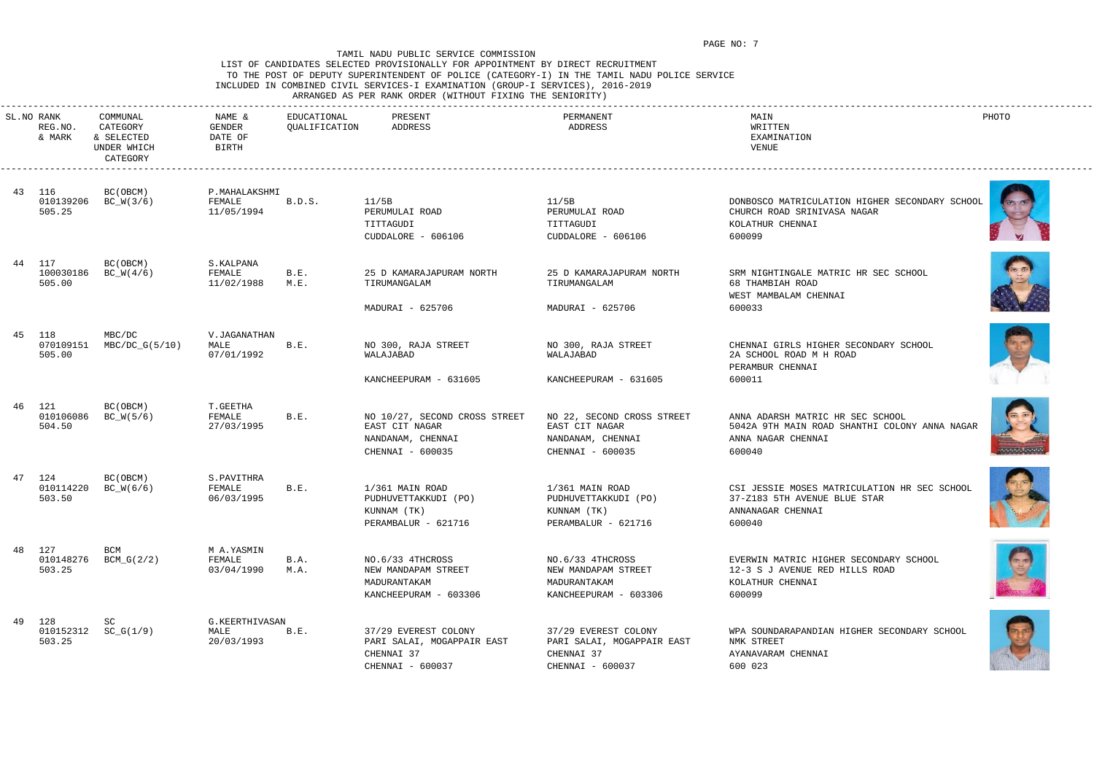## LIST OF CANDIDATES SELECTED PROVISIONALLY FOR APPOINTMENT BY DIRECT RECRUITMENT TO THE POST OF DEPUTY SUPERINTENDENT OF POLICE (CATEGORY-I) IN THE TAMIL NADU POLICE SERVICE INCLUDED IN COMBINED CIVIL SERVICES-I EXAMINATION (GROUP-I SERVICES), 2016-2019 ARRANGED AS PER RANK ORDER (WITHOUT FIXING THE SENIORITY)

| SL.NO RANK<br>REG.NO.<br>& MARK | COMMUNAL<br>CATEGORY<br>& SELECTED<br>UNDER WHICH<br>CATEGORY | NAME &<br>GENDER<br>DATE OF<br>BIRTH  | EDUCATIONAL<br>QUALIFICATION | PRESENT<br>ADDRESS                                                                                                | PERMANENT<br>ADDRESS                                                                                           | MAIN<br>WRITTEN<br>EXAMINATION<br>VENUE                                                                                     | PHOTO |
|---------------------------------|---------------------------------------------------------------|---------------------------------------|------------------------------|-------------------------------------------------------------------------------------------------------------------|----------------------------------------------------------------------------------------------------------------|-----------------------------------------------------------------------------------------------------------------------------|-------|
| 43 116<br>010139206<br>505.25   | BC(OBCM)<br>$BC_W(3/6)$                                       | P.MAHALAKSHMI<br>FEMALE<br>11/05/1994 | B.D.S.                       | 11/5B<br>PERUMULAI ROAD<br>TITTAGUDI<br>CUDDALORE - 606106                                                        | 11/5B<br>PERUMULAI ROAD<br>TITTAGUDI<br>CUDDALORE - 606106                                                     | DONBOSCO MATRICULATION HIGHER SECONDARY SCHOOL<br>CHURCH ROAD SRINIVASA NAGAR<br>KOLATHUR CHENNAI<br>600099                 |       |
| 44 117<br>100030186<br>505.00   | BC(OBCM)<br>$BC_W(4/6)$                                       | S.KALPANA<br>FEMALE<br>11/02/1988     | B.E.<br>M.E.                 | 25 D KAMARAJAPURAM NORTH<br>TIRUMANGALAM<br>MADURAI - 625706                                                      | 25 D KAMARAJAPURAM NORTH<br>TIRUMANGALAM<br>MADURAI - 625706                                                   | SRM NIGHTINGALE MATRIC HR SEC SCHOOL<br>68 THAMBIAH ROAD<br>WEST MAMBALAM CHENNAI<br>600033                                 |       |
| 45 118<br>070109151<br>505.00   | MBC/DC<br>MBC/DC_G(5/10)                                      | V.JAGANATHAN<br>MALE<br>07/01/1992    | B.E.                         | NO 300, RAJA STREET<br>WALAJABAD                                                                                  | NO 300, RAJA STREET<br>WALAJABAD                                                                               | CHENNAI GIRLS HIGHER SECONDARY SCHOOL<br>2A SCHOOL ROAD M H ROAD<br>PERAMBUR CHENNAI                                        |       |
| 46 121<br>010106086<br>504.50   | BC(OBCM)<br>$BC_W(5/6)$                                       | T.GEETHA<br>FEMALE<br>27/03/1995      | B.E.                         | KANCHEEPURAM - 631605<br>NO 10/27, SECOND CROSS STREET<br>EAST CIT NAGAR<br>NANDANAM, CHENNAI<br>CHENNAI - 600035 | KANCHEEPURAM - 631605<br>NO 22, SECOND CROSS STREET<br>EAST CIT NAGAR<br>NANDANAM, CHENNAI<br>CHENNAI - 600035 | 600011<br>ANNA ADARSH MATRIC HR SEC SCHOOL<br>5042A 9TH MAIN ROAD SHANTHI COLONY ANNA NAGAR<br>ANNA NAGAR CHENNAI<br>600040 |       |
| 47 124<br>010114220<br>503.50   | BC(OBCM)<br>$BC_W(6/6)$                                       | S.PAVITHRA<br>FEMALE<br>06/03/1995    | B.E.                         | 1/361 MAIN ROAD<br>PUDHUVETTAKKUDI (PO)<br>KUNNAM (TK)<br>PERAMBALUR - 621716                                     | 1/361 MAIN ROAD<br>PUDHUVETTAKKUDI (PO)<br>KUNNAM (TK)<br>PERAMBALUR - 621716                                  | CSI JESSIE MOSES MATRICULATION HR SEC SCHOOL<br>37-Z183 5TH AVENUE BLUE STAR<br>ANNANAGAR CHENNAI<br>600040                 |       |
| 48 127<br>503.25                | BCM<br>010148276 BCM_G(2/2)                                   | M A.YASMIN<br>FEMALE<br>03/04/1990    | B.A.<br>M.A.                 | NO.6/33 4THCROSS<br>NEW MANDAPAM STREET<br>MADURANTAKAM<br>KANCHEEPURAM - 603306                                  | NO.6/33 4THCROSS<br>NEW MANDAPAM STREET<br>MADURANTAKAM<br>KANCHEEPURAM - 603306                               | EVERWIN MATRIC HIGHER SECONDARY SCHOOL<br>12-3 S J AVENUE RED HILLS ROAD<br>KOLATHUR CHENNAI<br>600099                      |       |
| 49 128<br>503.25                | SC<br>$010152312$ $SC_G(1/9)$                                 | G.KEERTHIVASAN<br>MALE<br>20/03/1993  | B.E.                         | 37/29 EVEREST COLONY<br>PARI SALAI, MOGAPPAIR EAST<br>CHENNAI 37<br>CHENNAI - 600037                              | 37/29 EVEREST COLONY<br>PARI SALAI, MOGAPPAIR EAST<br>CHENNAI 37<br>CHENNAI - 600037                           | WPA SOUNDARAPANDIAN HIGHER SECONDARY SCHOOL<br>NMK STREET<br>AYANAVARAM CHENNAI<br>600 023                                  |       |













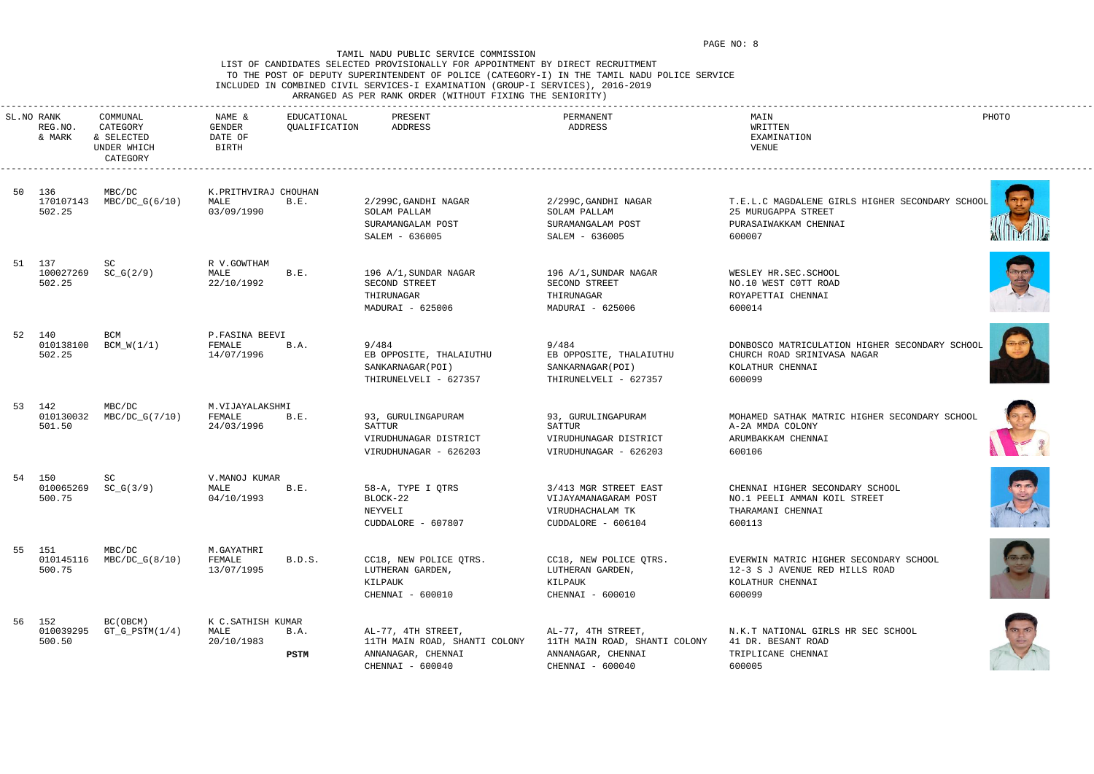## LIST OF CANDIDATES SELECTED PROVISIONALLY FOR APPOINTMENT BY DIRECT RECRUITMENT TO THE POST OF DEPUTY SUPERINTENDENT OF POLICE (CATEGORY-I) IN THE TAMIL NADU POLICE SERVICE INCLUDED IN COMBINED CIVIL SERVICES-I EXAMINATION (GROUP-I SERVICES), 2016-2019 ARRANGED AS PER RANK ORDER (WITHOUT FIXING THE SENIORITY)

| SL.NO RANK<br>REG.NO.<br>& MARK | COMMUNAL<br>CATEGORY<br>& SELECTED<br>UNDER WHICH<br>CATEGORY | NAME &<br>GENDER<br>DATE OF<br>BIRTH       | EDUCATIONAL<br>QUALIFICATION | PRESENT<br>ADDRESS                                                             | PERMANENT<br>ADDRESS                                                                    | MAIN<br>WRITTEN<br>EXAMINATION<br>VENUE                                                                     | PHOTO |
|---------------------------------|---------------------------------------------------------------|--------------------------------------------|------------------------------|--------------------------------------------------------------------------------|-----------------------------------------------------------------------------------------|-------------------------------------------------------------------------------------------------------------|-------|
| 50 136<br>170107143<br>502.25   | MBC/DC<br>MBC/DC_G(6/10)                                      | K.PRITHVIRAJ CHOUHAN<br>MALE<br>03/09/1990 | B.E.                         | 2/299C, GANDHI NAGAR<br>SOLAM PALLAM<br>SURAMANGALAM POST                      | 2/299C, GANDHI NAGAR<br>SOLAM PALLAM<br>SURAMANGALAM POST                               | T.E.L.C MAGDALENE GIRLS HIGHER SECONDARY SCHOOL<br>25 MURUGAPPA STREET<br>PURASAIWAKKAM CHENNAI             |       |
|                                 |                                                               |                                            |                              | SALEM - 636005                                                                 | SALEM - 636005                                                                          | 600007                                                                                                      |       |
| 51 137<br>100027269<br>502.25   | SC<br>$SC_G(2/9)$                                             | R V.GOWTHAM<br>MALE<br>22/10/1992          | B.E.                         | 196 A/1, SUNDAR NAGAR<br>SECOND STREET<br>THIRUNAGAR<br>MADURAI - 625006       | 196 A/1, SUNDAR NAGAR<br>SECOND STREET<br>THIRUNAGAR<br>MADURAI - 625006                | WESLEY HR.SEC.SCHOOL<br>NO.10 WEST COTT ROAD<br>ROYAPETTAI CHENNAI<br>600014                                |       |
| 52 140<br>010138100<br>502.25   | BCM<br>BCM_W(1/1)                                             | P.FASINA BEEVI<br>FEMALE<br>14/07/1996     | B.A.                         | 9/484<br>EB OPPOSITE, THALAIUTHU<br>SANKARNAGAR (POI)<br>THIRUNELVELI - 627357 | 9/484<br>EB OPPOSITE, THALAIUTHU<br>SANKARNAGAR (POI)<br>THIRUNELVELI - 627357          | DONBOSCO MATRICULATION HIGHER SECONDARY SCHOOL<br>CHURCH ROAD SRINIVASA NAGAR<br>KOLATHUR CHENNAI<br>600099 |       |
| 53 142<br>010130032<br>501.50   | MBC/DC<br>MBC/DC_G(7/10)                                      | M.VIJAYALAKSHMI<br>FEMALE<br>24/03/1996    | B.E.                         | 93, GURULINGAPURAM<br>SATTUR<br>VIRUDHUNAGAR DISTRICT<br>VIRUDHUNAGAR - 626203 | 93, GURULINGAPURAM<br>SATTUR<br>VIRUDHUNAGAR DISTRICT<br>VIRUDHUNAGAR - 626203          | MOHAMED SATHAK MATRIC HIGHER SECONDARY SCHOOL<br>A-2A MMDA COLONY<br>ARUMBAKKAM CHENNAI<br>600106           |       |
| 54 150<br>010065269<br>500.75   | SC<br>$SC_G(3/9)$                                             | V. MANOJ KUMAR<br>MALE<br>04/10/1993       | B.E.                         | 58-A, TYPE I QTRS<br>BLOCK-22<br>NEYVELI<br>CUDDALORE - 607807                 | 3/413 MGR STREET EAST<br>VIJAYAMANAGARAM POST<br>VIRUDHACHALAM TK<br>CUDDALORE - 606104 | CHENNAI HIGHER SECONDARY SCHOOL<br>NO.1 PEELI AMMAN KOIL STREET<br>THARAMANI CHENNAI<br>600113              |       |
| 55 151<br>010145116<br>500.75   | MBC/DC<br>MBC/DC_G(8/10)                                      | M.GAYATHRI<br>FEMALE<br>13/07/1995         | B.D.S.                       | CC18, NEW POLICE QTRS.<br>LUTHERAN GARDEN,<br>KILPAUK<br>CHENNAI - 600010      | CC18, NEW POLICE QTRS.<br>LUTHERAN GARDEN,<br>KILPAUK<br>CHENNAI - 600010               | EVERWIN MATRIC HIGHER SECONDARY SCHOOL<br>12-3 S J AVENUE RED HILLS ROAD<br>KOLATHUR CHENNAI<br>600099      |       |
| 56 152<br>010039295<br>500.50   | BC (OBCM)<br>$GT_G_PSTM(1/4)$                                 | K C.SATHISH KUMAR<br>MALE<br>20/10/1983    | B.A.                         | AL-77, 4TH STREET,<br>11TH MAIN ROAD, SHANTI COLONY                            | AL-77, 4TH STREET,<br>11TH MAIN ROAD, SHANTI COLONY                                     | N.K.T NATIONAL GIRLS HR SEC SCHOOL<br>41 DR. BESANT ROAD                                                    |       |
|                                 |                                                               |                                            | PSTM                         | ANNANAGAR, CHENNAI<br>CHENNAI - 600040                                         | ANNANAGAR, CHENNAI<br>CHENNAI - 600040                                                  | TRIPLICANE CHENNAI<br>600005                                                                                |       |













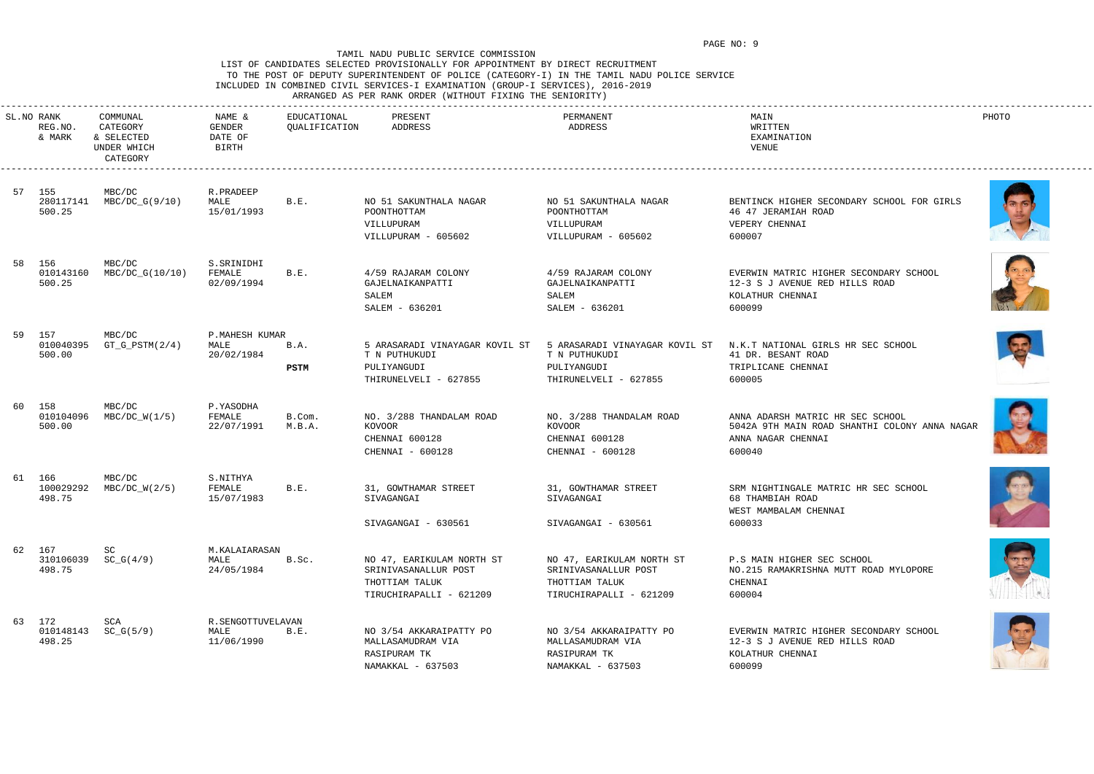## LIST OF CANDIDATES SELECTED PROVISIONALLY FOR APPOINTMENT BY DIRECT RECRUITMENT TO THE POST OF DEPUTY SUPERINTENDENT OF POLICE (CATEGORY-I) IN THE TAMIL NADU POLICE SERVICE INCLUDED IN COMBINED CIVIL SERVICES-I EXAMINATION (GROUP-I SERVICES), 2016-2019 ARRANGED AS PER RANK ORDER (WITHOUT FIXING THE SENIORITY)

|     | SL.NO RANK<br>REG.NO.<br>& MARK | COMMUNAL<br>CATEGORY<br>& SELECTED<br>UNDER WHICH<br>CATEGORY | NAME &<br>GENDER<br>DATE OF<br>BIRTH    | EDUCATIONAL<br>QUALIFICATION | PRESENT<br>ADDRESS                                                                             | PERMANENT<br>ADDRESS                                                                           | MAIN<br>WRITTEN<br>EXAMINATION<br>VENUE                                                                           | PHOTO |
|-----|---------------------------------|---------------------------------------------------------------|-----------------------------------------|------------------------------|------------------------------------------------------------------------------------------------|------------------------------------------------------------------------------------------------|-------------------------------------------------------------------------------------------------------------------|-------|
|     | 57 155<br>280117141<br>500.25   | MBC/DC<br>MBC/DC_G(9/10)                                      | R.PRADEEP<br>MALE<br>15/01/1993         | B.E.                         | NO 51 SAKUNTHALA NAGAR<br>POONTHOTTAM<br>VILLUPURAM<br>VILLUPURAM - 605602                     | NO 51 SAKUNTHALA NAGAR<br>POONTHOTTAM<br>VILLUPURAM<br>VILLUPURAM - 605602                     | BENTINCK HIGHER SECONDARY SCHOOL FOR GIRLS<br>46 47 JERAMIAH ROAD<br>VEPERY CHENNAI<br>600007                     |       |
|     | 58 156<br>010143160<br>500.25   | MBC/DC<br>MBC/DC_G(10/10)                                     | S.SRINIDHI<br>FEMALE<br>02/09/1994      | B.E.                         | 4/59 RAJARAM COLONY<br>GAJELNAIKANPATTI<br>SALEM<br>SALEM - 636201                             | 4/59 RAJARAM COLONY<br>GAJELNAIKANPATTI<br>SALEM<br>SALEM - 636201                             | EVERWIN MATRIC HIGHER SECONDARY SCHOOL<br>12-3 S J AVENUE RED HILLS ROAD<br>KOLATHUR CHENNAI<br>600099            |       |
|     | 59 157<br>010040395<br>500.00   | MBC/DC<br>$GT_G_PSTM(2/4)$                                    | P.MAHESH KUMAR<br>MALE<br>20/02/1984    | B.A.<br>PSTM                 | 5 ARASARADI VINAYAGAR KOVIL ST<br>T N PUTHUKUDI<br>PULIYANGUDI<br>THIRUNELVELI - 627855        | 5 ARASARADI VINAYAGAR KOVIL ST<br>T N PUTHUKUDI<br>PULIYANGUDI<br>THIRUNELVELI - 627855        | N.K.T NATIONAL GIRLS HR SEC SCHOOL<br>41 DR. BESANT ROAD<br>TRIPLICANE CHENNAI<br>600005                          |       |
| 60. | 158<br>010104096<br>500.00      | MBC/DC<br>$MBC/DC_W(1/5)$                                     | P.YASODHA<br>FEMALE<br>22/07/1991       | B.Com.<br>M.B.A.             | NO. 3/288 THANDALAM ROAD<br>KOVOOR<br>CHENNAI 600128<br>CHENNAI - 600128                       | NO. 3/288 THANDALAM ROAD<br>KOVOOR<br>CHENNAI 600128<br>CHENNAI - 600128                       | ANNA ADARSH MATRIC HR SEC SCHOOL<br>5042A 9TH MAIN ROAD SHANTHI COLONY ANNA NAGAR<br>ANNA NAGAR CHENNAI<br>600040 |       |
|     | 61 166<br>100029292<br>498.75   | MBC/DC<br>$MBC/DC_W(2/5)$                                     | S.NITHYA<br>FEMALE<br>15/07/1983        | B.E.                         | 31, GOWTHAMAR STREET<br>SIVAGANGAI<br>SIVAGANGAI - 630561                                      | 31, GOWTHAMAR STREET<br>SIVAGANGAI<br>SIVAGANGAI - 630561                                      | SRM NIGHTINGALE MATRIC HR SEC SCHOOL<br>68 THAMBIAH ROAD<br>WEST MAMBALAM CHENNAI<br>600033                       |       |
|     | 62 167<br>498.75                | SC<br>310106039 SC_G(4/9)                                     | M. KALAIARASAN<br>MALE<br>24/05/1984    | B.Sc.                        | NO 47, EARIKULAM NORTH ST<br>SRINIVASANALLUR POST<br>THOTTIAM TALUK<br>TIRUCHIRAPALLI - 621209 | NO 47, EARIKULAM NORTH ST<br>SRINIVASANALLUR POST<br>THOTTIAM TALUK<br>TIRUCHIRAPALLI - 621209 | P.S MAIN HIGHER SEC SCHOOL<br>NO.215 RAMAKRISHNA MUTT ROAD MYLOPORE<br>CHENNAI<br>600004                          |       |
|     | 63 172<br>498.25                | SCA<br>$010148143$ $SC_G(5/9)$                                | R.SENGOTTUVELAVAN<br>MALE<br>11/06/1990 | B.E.                         | NO 3/54 AKKARAIPATTY PO<br>MALLASAMUDRAM VIA<br>RASIPURAM TK<br>NAMAKKAL - 637503              | NO 3/54 AKKARAIPATTY PO<br>MALLASAMUDRAM VIA<br>RASIPURAM TK<br>NAMAKKAL - 637503              | EVERWIN MATRIC HIGHER SECONDARY SCHOOL<br>12-3 S J AVENUE RED HILLS ROAD<br>KOLATHUR CHENNAI<br>600099            |       |













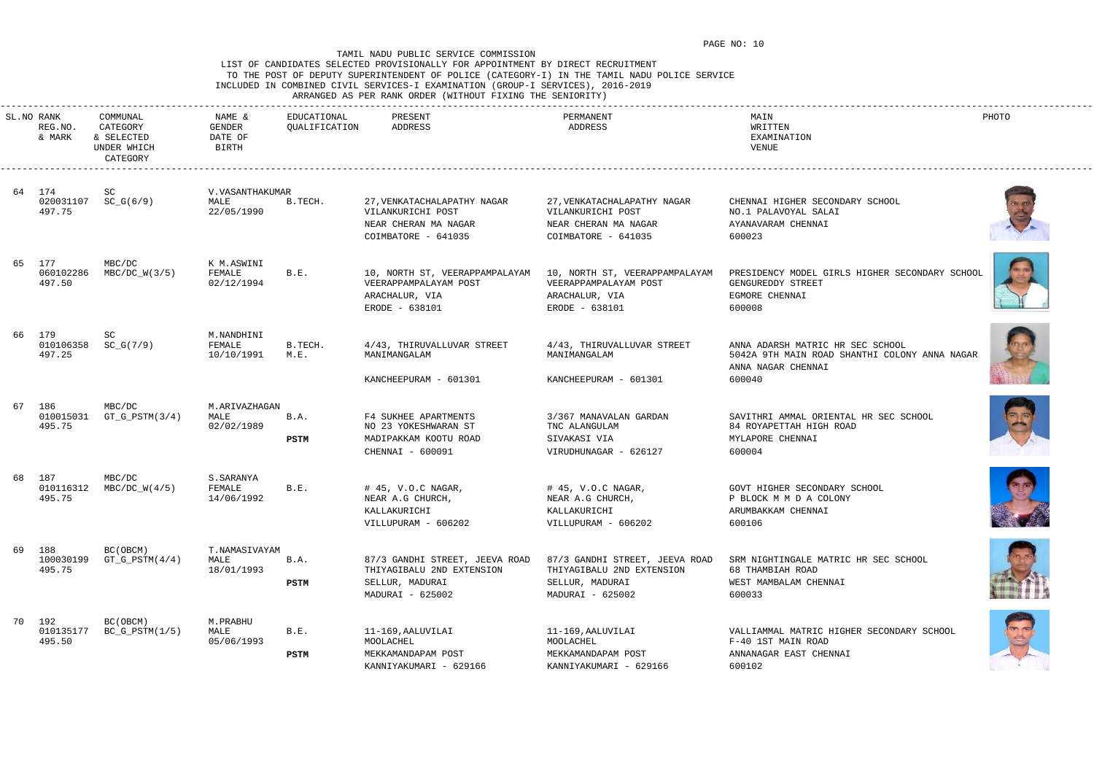# LIST OF CANDIDATES SELECTED PROVISIONALLY FOR APPOINTMENT BY DIRECT RECRUITMENT TO THE POST OF DEPUTY SUPERINTENDENT OF POLICE (CATEGORY-I) IN THE TAMIL NADU POLICE SERVICE INCLUDED IN COMBINED CIVIL SERVICES-I EXAMINATION (GROUP-I SERVICES), 2016-2019

ARRANGED AS PER RANK ORDER (WITHOUT FIXING THE SENIORITY)

|    | SL.NO RANK<br>REG.NO.<br>& MARK | COMMUNAL<br>CATEGORY<br>& SELECTED<br>UNDER WHICH<br>CATEGORY | NAME &<br>GENDER<br>DATE OF<br>BIRTH   | EDUCATIONAL<br>QUALIFICATION | PRESENT<br>ADDRESS                                                                                 | PERMANENT<br>ADDRESS                                                                               | MAIN<br>WRITTEN<br>EXAMINATION<br>VENUE                                                                           | PHOTO          |
|----|---------------------------------|---------------------------------------------------------------|----------------------------------------|------------------------------|----------------------------------------------------------------------------------------------------|----------------------------------------------------------------------------------------------------|-------------------------------------------------------------------------------------------------------------------|----------------|
|    | 64 174<br>020031107<br>497.75   | SC<br>$SC_G(6/9)$                                             | V. VASANTHAKUMAR<br>MALE<br>22/05/1990 | B.TECH.                      | 27, VENKATACHALAPATHY NAGAR<br>VILANKURICHI POST<br>NEAR CHERAN MA NAGAR<br>COIMBATORE - 641035    | 27, VENKATACHALAPATHY NAGAR<br>VILANKURICHI POST<br>NEAR CHERAN MA NAGAR<br>COIMBATORE - 641035    | CHENNAI HIGHER SECONDARY SCHOOL<br>NO.1 PALAVOYAL SALAI<br>AYANAVARAM CHENNAI<br>600023                           |                |
|    | 65 177<br>060102286<br>497.50   | MBC/DC<br>$MBC/DC_W(3/5)$                                     | K M.ASWINI<br>FEMALE<br>02/12/1994     | B.E.                         | 10, NORTH ST, VEERAPPAMPALAYAM<br>VEERAPPAMPALAYAM POST<br>ARACHALUR, VIA<br>ERODE - 638101        | 10, NORTH ST, VEERAPPAMPALAYAM<br>VEERAPPAMPALAYAM POST<br>ARACHALUR, VIA<br>ERODE - 638101        | PRESIDENCY MODEL GIRLS HIGHER SECONDARY SCHOOL<br>GENGUREDDY STREET<br>EGMORE CHENNAI<br>600008                   |                |
|    | 66 179<br>010106358<br>497.25   | SC<br>$SC_G(7/9)$                                             | M.NANDHINI<br>FEMALE<br>10/10/1991     | B.TECH.<br>M.E.              | 4/43, THIRUVALLUVAR STREET<br>MANIMANGALAM<br>KANCHEEPURAM - 601301                                | 4/43, THIRUVALLUVAR STREET<br>MANIMANGALAM<br>KANCHEEPURAM - 601301                                | ANNA ADARSH MATRIC HR SEC SCHOOL<br>5042A 9TH MAIN ROAD SHANTHI COLONY ANNA NAGAR<br>ANNA NAGAR CHENNAI<br>600040 |                |
| 67 | 186<br>010015031<br>495.75      | MBC/DC<br>$GT_G_PSTM(3/4)$                                    | M.ARIVAZHAGAN<br>MALE<br>02/02/1989    | B.A.<br>PSTM                 | F4 SUKHEE APARTMENTS<br>NO 23 YOKESHWARAN ST<br>MADIPAKKAM KOOTU ROAD<br>CHENNAI - 600091          | 3/367 MANAVALAN GARDAN<br>TNC ALANGULAM<br>SIVAKASI VIA<br>VIRUDHUNAGAR - 626127                   | SAVITHRI AMMAL ORIENTAL HR SEC SCHOOL<br>84 ROYAPETTAH HIGH ROAD<br>MYLAPORE CHENNAI<br>600004                    |                |
|    | 68 187<br>010116312<br>495.75   | MBC/DC<br>$MBC/DC_W(4/5)$                                     | S.SARANYA<br>FEMALE<br>14/06/1992      | B.E.                         | # 45, V.O.C NAGAR,<br>NEAR A.G CHURCH,<br>KALLAKURICHI<br>VILLUPURAM - 606202                      | # 45, V.O.C NAGAR,<br>NEAR A.G CHURCH,<br>KALLAKURICHI<br>VILLUPURAM - 606202                      | GOVT HIGHER SECONDARY SCHOOL<br>P BLOCK M M D A COLONY<br>ARUMBAKKAM CHENNAI<br>600106                            | <b>REACTOR</b> |
|    | 69 188<br>100030199<br>495.75   | BC (OBCM)<br>$GT_G_PSTM(4/4)$                                 | T.NAMASIVAYAM<br>MALE<br>18/01/1993    | B.A.<br>PSTM                 | 87/3 GANDHI STREET, JEEVA ROAD<br>THIYAGIBALU 2ND EXTENSION<br>SELLUR, MADURAI<br>MADURAI - 625002 | 87/3 GANDHI STREET, JEEVA ROAD<br>THIYAGIBALU 2ND EXTENSION<br>SELLUR, MADURAI<br>MADURAI - 625002 | SRM NIGHTINGALE MATRIC HR SEC SCHOOL<br>68 THAMBIAH ROAD<br>WEST MAMBALAM CHENNAI<br>600033                       |                |
|    | 70 192<br>010135177<br>495.50   | BC (OBCM)<br>$BC_G_PSTM(1/5)$                                 | M.PRABHU<br>MALE<br>05/06/1993         | B.E.<br><b>PSTM</b>          | 11-169, AALUVILAI<br>MOOLACHEL<br>MEKKAMANDAPAM POST<br>KANNIYAKUMARI - 629166                     | 11-169, AALUVILAI<br>MOOLACHEL<br>MEKKAMANDAPAM POST<br>KANNIYAKUMARI - 629166                     | VALLIAMMAL MATRIC HIGHER SECONDARY SCHOOL<br>F-40 1ST MAIN ROAD<br>ANNANAGAR EAST CHENNAI<br>600102               |                |













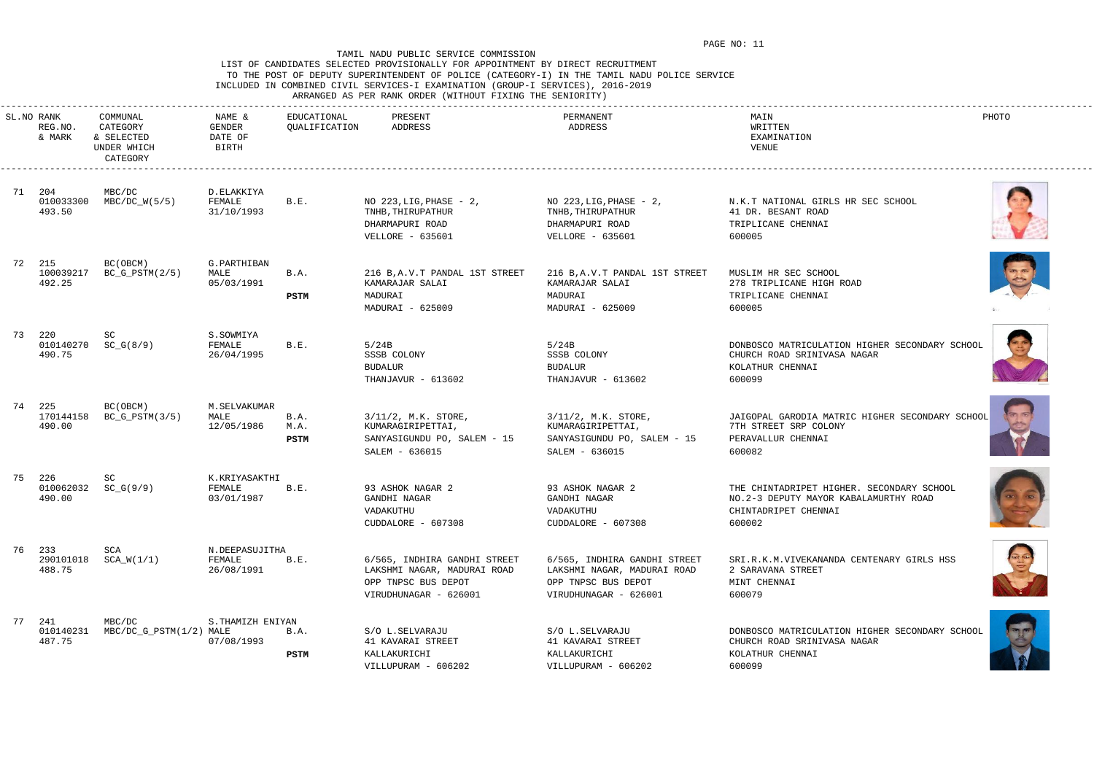# LIST OF CANDIDATES SELECTED PROVISIONALLY FOR APPOINTMENT BY DIRECT RECRUITMENT TO THE POST OF DEPUTY SUPERINTENDENT OF POLICE (CATEGORY-I) IN THE TAMIL NADU POLICE SERVICE INCLUDED IN COMBINED CIVIL SERVICES-I EXAMINATION (GROUP-I SERVICES), 2016-2019

ARRANGED AS PER RANK ORDER (WITHOUT FIXING THE SENIORITY)

















|    | SL.NO RANK<br>REG.NO.<br>& MARK | COMMUNAL<br>CATEGORY<br>& SELECTED<br>UNDER WHICH<br>CATEGORY | NAME &<br>GENDER<br>DATE OF<br>BIRTH   | EDUCATIONAL<br>QUALIFICATION | PRESENT<br>ADDRESS                                                                                          | PERMANENT<br>ADDRESS                                                                                        | MAIN<br>WRITTEN<br>EXAMINATION<br>VENUE                                                                              | PHOTO |
|----|---------------------------------|---------------------------------------------------------------|----------------------------------------|------------------------------|-------------------------------------------------------------------------------------------------------------|-------------------------------------------------------------------------------------------------------------|----------------------------------------------------------------------------------------------------------------------|-------|
|    | 71 204<br>010033300<br>493.50   | MBC/DC<br>$MBC/DC_W(5/5)$                                     | D.ELAKKIYA<br>FEMALE<br>31/10/1993     | B.E.                         | NO $223$ , LIG, PHASE - $2$ ,<br>TNHB, THIRUPATHUR<br>DHARMAPURI ROAD<br>VELLORE - 635601                   | NO $223$ , LIG, PHASE - $2$ ,<br>TNHB, THIRUPATHUR<br>DHARMAPURI ROAD<br><b>VELLORE - 635601</b>            | N.K.T NATIONAL GIRLS HR SEC SCHOOL<br>41 DR. BESANT ROAD<br>TRIPLICANE CHENNAI<br>600005                             |       |
|    | 72 215<br>100039217<br>492.25   | BC(OBCM)<br>$BC_G_PSTM(2/5)$                                  | G. PARTHIBAN<br>MALE<br>05/03/1991     | B.A.<br>PSTM                 | 216 B, A.V. T PANDAL 1ST STREET<br>KAMARAJAR SALAI<br>MADURAI<br>MADURAI - 625009                           | 216 B, A.V. T PANDAL 1ST STREET<br>KAMARAJAR SALAI<br>MADURAI<br>MADURAI - 625009                           | MUSLIM HR SEC SCHOOL<br>278 TRIPLICANE HIGH ROAD<br>TRIPLICANE CHENNAI<br>600005                                     |       |
| 73 | 220<br>010140270<br>490.75      | SC<br>$SC_G(8/9)$                                             | S.SOWMIYA<br>FEMALE<br>26/04/1995      | B.E.                         | 5/24B<br>SSSB COLONY<br><b>BUDALUR</b><br>THANJAVUR - 613602                                                | 5/24B<br>SSSB COLONY<br><b>BUDALUR</b><br>THANJAVUR - 613602                                                | DONBOSCO MATRICULATION HIGHER SECONDARY SCHOOL<br>CHURCH ROAD SRINIVASA NAGAR<br>KOLATHUR CHENNAI<br>600099          |       |
|    | 74 225<br>170144158<br>490.00   | BC(OBCM)<br>$BC_G_PSTM(3/5)$                                  | M.SELVAKUMAR<br>MALE<br>12/05/1986     | B.A.<br>M.A.<br>PSTM         | $3/11/2$ , M.K. STORE,<br>KUMARAGIRIPETTAI,<br>SANYASIGUNDU PO, SALEM - 15<br>SALEM - 636015                | 3/11/2, M.K. STORE,<br>KUMARAGIRIPETTAI,<br>SANYASIGUNDU PO, SALEM - 15<br>SALEM - 636015                   | JAIGOPAL GARODIA MATRIC HIGHER SECONDARY SCHOOL<br>7TH STREET SRP COLONY<br>PERAVALLUR CHENNAI<br>600082             |       |
|    | 75 226<br>010062032<br>490.00   | SC<br>$SC_G(9/9)$                                             | K.KRIYASAKTHI<br>FEMALE<br>03/01/1987  | B.E.                         | 93 ASHOK NAGAR 2<br>GANDHI NAGAR<br>VADAKUTHU<br>CUDDALORE - 607308                                         | 93 ASHOK NAGAR 2<br>GANDHI NAGAR<br>VADAKUTHU<br>CUDDALORE - 607308                                         | THE CHINTADRIPET HIGHER. SECONDARY SCHOOL<br>NO.2-3 DEPUTY MAYOR KABALAMURTHY ROAD<br>CHINTADRIPET CHENNAI<br>600002 |       |
|    | 76 233<br>488.75                | SCA<br>290101018 SCA_W(1/1)                                   | N.DEEPASUJITHA<br>FEMALE<br>26/08/1991 | B.E.                         | 6/565, INDHIRA GANDHI STREET<br>LAKSHMI NAGAR, MADURAI ROAD<br>OPP TNPSC BUS DEPOT<br>VIRUDHUNAGAR - 626001 | 6/565, INDHIRA GANDHI STREET<br>LAKSHMI NAGAR, MADURAI ROAD<br>OPP TNPSC BUS DEPOT<br>VIRUDHUNAGAR - 626001 | SRI.R.K.M.VIVEKANANDA CENTENARY GIRLS HSS<br>2 SARAVANA STREET<br>MINT CHENNAI<br>600079                             | RE    |
|    | 77 241<br>010140231<br>487.75   | MBC/DC<br>MBC/DC_G_PSTM(1/2) MALE                             | S.THAMIZH ENIYAN<br>07/08/1993         | B.A.<br><b>PSTM</b>          | S/O L.SELVARAJU<br>41 KAVARAI STREET<br>KALLAKURICHI<br>VILLUPURAM - 606202                                 | S/O L.SELVARAJU<br>41 KAVARAI STREET<br>KALLAKURICHI<br>VILLUPURAM - 606202                                 | DONBOSCO MATRICULATION HIGHER SECONDARY SCHOOL<br>CHURCH ROAD SRINIVASA NAGAR<br>KOLATHUR CHENNAI<br>600099          |       |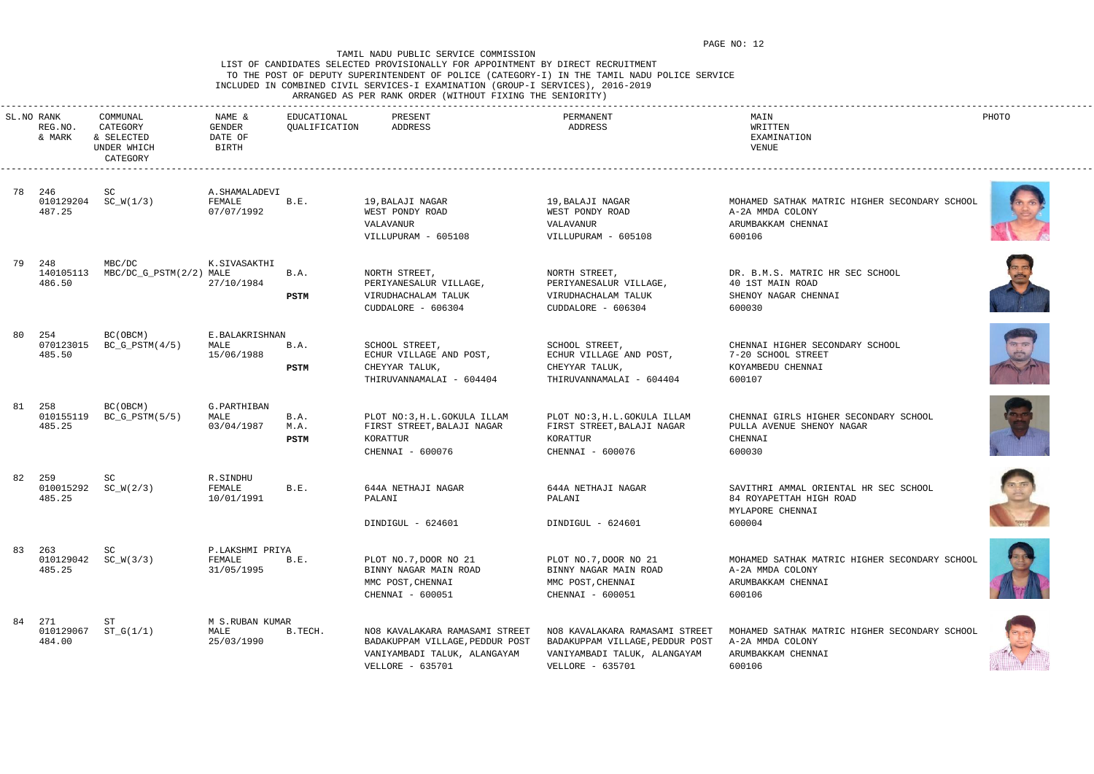# LIST OF CANDIDATES SELECTED PROVISIONALLY FOR APPOINTMENT BY DIRECT RECRUITMENT TO THE POST OF DEPUTY SUPERINTENDENT OF POLICE (CATEGORY-I) IN THE TAMIL NADU POLICE SERVICE INCLUDED IN COMBINED CIVIL SERVICES-I EXAMINATION (GROUP-I SERVICES), 2016-2019

ARRANGED AS PER RANK ORDER (WITHOUT FIXING THE SENIORITY)

|    | SL.NO RANK<br>REG.NO.<br>& MARK | COMMUNAL<br>CATEGORY<br>& SELECTED<br>UNDER WHICH<br>CATEGORY | NAME &<br>GENDER<br>DATE OF<br>BIRTH    | EDUCATIONAL<br>QUALIFICATION | PRESENT<br>ADDRESS                                                                                                    | PERMANENT<br>ADDRESS                                                                                                  | MAIN<br>WRITTEN<br>EXAMINATION<br>VENUE                                                           | PHOTO |
|----|---------------------------------|---------------------------------------------------------------|-----------------------------------------|------------------------------|-----------------------------------------------------------------------------------------------------------------------|-----------------------------------------------------------------------------------------------------------------------|---------------------------------------------------------------------------------------------------|-------|
|    | 78 246<br>487.25                | SC<br>$010129204$ SC_W(1/3)                                   | A.SHAMALADEVI<br>FEMALE<br>07/07/1992   | B.E.                         | 19, BALAJI NAGAR<br>WEST PONDY ROAD<br>VALAVANUR<br>VILLUPURAM - 605108                                               | 19, BALAJI NAGAR<br>WEST PONDY ROAD<br>VALAVANUR<br>VILLUPURAM - 605108                                               | MOHAMED SATHAK MATRIC HIGHER SECONDARY SCHOOL<br>A-2A MMDA COLONY<br>ARUMBAKKAM CHENNAI<br>600106 |       |
|    | 79 248<br>140105113<br>486.50   | MBC/DC<br>MBC/DC_G_PSTM(2/2) MALE                             | K.SIVASAKTHI<br>27/10/1984              | B.A.<br>PSTM                 | NORTH STREET,<br>PERIYANESALUR VILLAGE,<br>VIRUDHACHALAM TALUK<br>CUDDALORE - 606304                                  | NORTH STREET,<br>PERIYANESALUR VILLAGE,<br>VIRUDHACHALAM TALUK<br>CUDDALORE - 606304                                  | DR. B.M.S. MATRIC HR SEC SCHOOL<br>40 1ST MAIN ROAD<br>SHENOY NAGAR CHENNAI<br>600030             |       |
| 80 | 254<br>070123015<br>485.50      | BC(OBCM)<br>$BC_G_PSTM(4/5)$                                  | E.BALAKRISHNAN<br>MALE<br>15/06/1988    | B.A.<br>PSTM                 | SCHOOL STREET,<br>ECHUR VILLAGE AND POST,<br>CHEYYAR TALUK,<br>THIRUVANNAMALAI - 604404                               | SCHOOL STREET,<br>ECHUR VILLAGE AND POST,<br>CHEYYAR TALUK,<br>THIRUVANNAMALAI - 604404                               | CHENNAI HIGHER SECONDARY SCHOOL<br>7-20 SCHOOL STREET<br>KOYAMBEDU CHENNAI<br>600107              |       |
|    | 81 258<br>010155119<br>485.25   | BC(OBCM)<br>$BC_G_PSTM(5/5)$                                  | G.PARTHIBAN<br>MALE<br>03/04/1987       | B.A.<br>M.A.<br>PSTM         | PLOT NO: 3, H.L.GOKULA ILLAM<br>FIRST STREET, BALAJI NAGAR<br>KORATTUR<br>CHENNAI - 600076                            | PLOT NO: 3, H.L.GOKULA ILLAM<br>FIRST STREET, BALAJI NAGAR<br>KORATTUR<br>CHENNAI - 600076                            | CHENNAI GIRLS HIGHER SECONDARY SCHOOL<br>PULLA AVENUE SHENOY NAGAR<br>CHENNAI<br>600030           |       |
| 82 | 259<br>010015292<br>485.25      | SC<br>$SC_W(2/3)$                                             | R.SINDHU<br>FEMALE<br>10/01/1991        | B.E.                         | 644A NETHAJI NAGAR<br>PALANI<br>DINDIGUL - 624601                                                                     | 644A NETHAJI NAGAR<br>PALANI<br>DINDIGUL - 624601                                                                     | SAVITHRI AMMAL ORIENTAL HR SEC SCHOOL<br>84 ROYAPETTAH HIGH ROAD<br>MYLAPORE CHENNAI<br>600004    |       |
|    | 83 263<br>485.25                | SC<br>$010129042$ SC_W(3/3)                                   | P.LAKSHMI PRIYA<br>FEMALE<br>31/05/1995 | B.E.                         | PLOT NO.7, DOOR NO 21<br>BINNY NAGAR MAIN ROAD<br>MMC POST, CHENNAI<br>CHENNAI - 600051                               | PLOT NO.7, DOOR NO 21<br>BINNY NAGAR MAIN ROAD<br>MMC POST, CHENNAI<br>CHENNAI - 600051                               | MOHAMED SATHAK MATRIC HIGHER SECONDARY SCHOOL<br>A-2A MMDA COLONY<br>ARUMBAKKAM CHENNAI<br>600106 |       |
|    | 84 271<br>010129067<br>484.00   | ST<br>$ST_G(1/1)$                                             | M S.RUBAN KUMAR<br>MALE<br>25/03/1990   | B.TECH.                      | NO8 KAVALAKARA RAMASAMI STREET<br>BADAKUPPAM VILLAGE, PEDDUR POST<br>VANIYAMBADI TALUK, ALANGAYAM<br>VELLORE - 635701 | NO8 KAVALAKARA RAMASAMI STREET<br>BADAKUPPAM VILLAGE, PEDDUR POST<br>VANIYAMBADI TALUK, ALANGAYAM<br>VELLORE - 635701 | MOHAMED SATHAK MATRIC HIGHER SECONDARY SCHOOL<br>A-2A MMDA COLONY<br>ARUMBAKKAM CHENNAI<br>600106 |       |













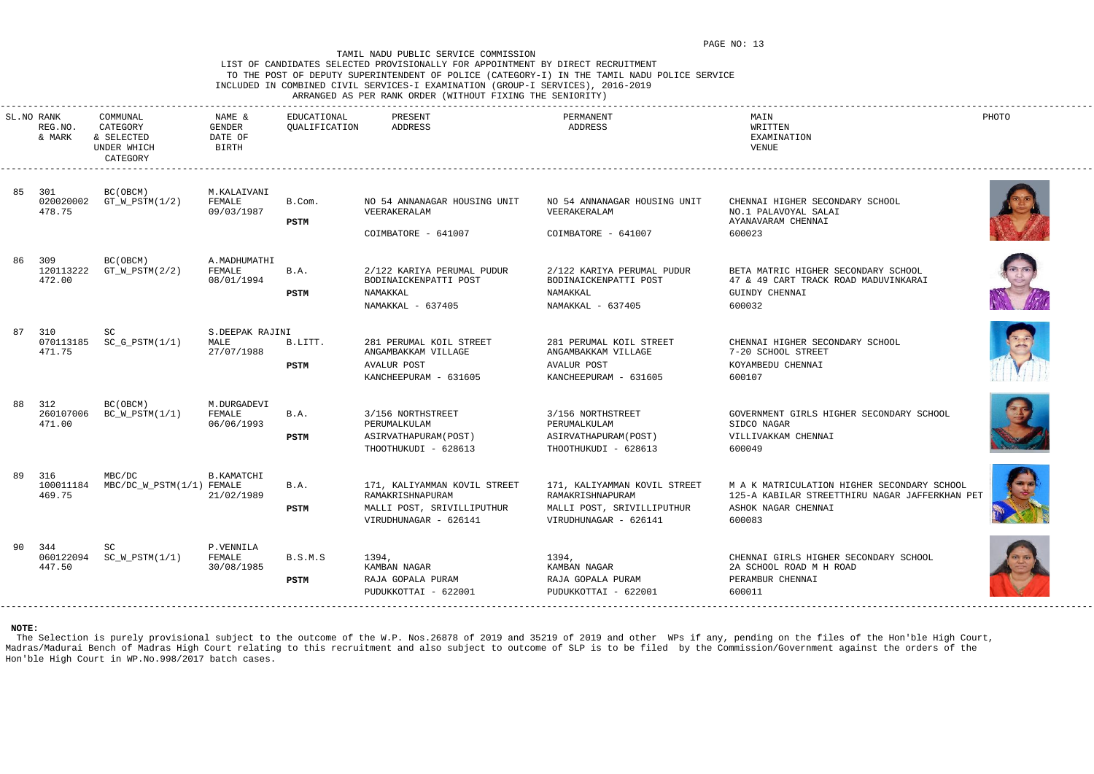# LIST OF CANDIDATES SELECTED PROVISIONALLY FOR APPOINTMENT BY DIRECT RECRUITMENT TO THE POST OF DEPUTY SUPERINTENDENT OF POLICE (CATEGORY-I) IN THE TAMIL NADU POLICE SERVICE INCLUDED IN COMBINED CIVIL SERVICES-I EXAMINATION (GROUP-I SERVICES), 2016-2019

# ARRANGED AS PER RANK ORDER (WITHOUT FIXING THE SENIORITY)

|    | SL.NO RANK<br>REG.NO.<br>& MARK | COMMUNAL<br>CATEGORY<br>& SELECTED<br>UNDER WHICH<br>CATEGORY | NAME &<br>GENDER<br>DATE OF<br>BIRTH  | EDUCATIONAL<br>QUALIFICATION | PRESENT<br>ADDRESS                                                                                      | PERMANENT<br>ADDRESS                                                                                    | MAIN<br>WRITTEN<br>EXAMINATION<br>VENUE                                                                                        | PHOTO |
|----|---------------------------------|---------------------------------------------------------------|---------------------------------------|------------------------------|---------------------------------------------------------------------------------------------------------|---------------------------------------------------------------------------------------------------------|--------------------------------------------------------------------------------------------------------------------------------|-------|
|    | 85 301<br>020020002<br>478.75   | BC(OBCM)<br>$GT_W_PSTM(1/2)$                                  | M.KALAIVANI<br>FEMALE<br>09/03/1987   | B.Com.<br>PSTM               | NO 54 ANNANAGAR HOUSING UNIT<br>VEERAKERALAM<br>COIMBATORE - 641007                                     | NO 54 ANNANAGAR HOUSING UNIT<br>VEERAKERALAM<br>COIMBATORE - 641007                                     | CHENNAI HIGHER SECONDARY SCHOOL<br>NO.1 PALAVOYAL SALAI<br>AYANAVARAM CHENNAI<br>600023                                        |       |
|    | 86 309<br>120113222<br>472.00   | BC(OBCM)<br>$GT_W_PSTM(2/2)$                                  | A.MADHUMATHI<br>FEMALE<br>08/01/1994  | B.A.<br>PSTM                 | 2/122 KARIYA PERUMAL PUDUR<br>BODINAICKENPATTI POST<br>NAMAKKAL<br>NAMAKKAL - 637405                    | 2/122 KARIYA PERUMAL PUDUR<br>BODINAICKENPATTI POST<br>NAMAKKAL<br>NAMAKKAL - 637405                    | BETA MATRIC HIGHER SECONDARY SCHOOL<br>47 & 49 CART TRACK ROAD MADUVINKARAI<br><b>GUINDY CHENNAI</b><br>600032                 |       |
| 87 | 310<br>070113185<br>471.75      | SC<br>$SC_G_PSTM(1/1)$                                        | S.DEEPAK RAJINI<br>MALE<br>27/07/1988 | B.LITT.<br>PSTM              | 281 PERUMAL KOIL STREET<br>ANGAMBAKKAM VILLAGE<br><b>AVALUR POST</b><br>KANCHEEPURAM - 631605           | 281 PERUMAL KOIL STREET<br>ANGAMBAKKAM VILLAGE<br><b>AVALUR POST</b><br>KANCHEEPURAM - 631605           | CHENNAI HIGHER SECONDARY SCHOOL<br>7-20 SCHOOL STREET<br>KOYAMBEDU CHENNAI<br>600107                                           |       |
| 88 | 312<br>260107006<br>471.00      | BC (OBCM)<br>$BC_W_PSTM(1/1)$                                 | M.DURGADEVI<br>FEMALE<br>06/06/1993   | B.A.<br>PSTM                 | 3/156 NORTHSTREET<br>PERUMALKULAM<br>ASIRVATHAPURAM (POST)<br>THOOTHUKUDI - 628613                      | 3/156 NORTHSTREET<br>PERUMALKULAM<br>ASIRVATHAPURAM (POST)<br>THOOTHUKUDI - 628613                      | GOVERNMENT GIRLS HIGHER SECONDARY SCHOOL<br>SIDCO NAGAR<br>VILLIVAKKAM CHENNAI<br>600049                                       |       |
|    | 89 316<br>100011184<br>469.75   | MBC/DC<br>MBC/DC_W_PSTM(1/1) FEMALE                           | <b>B.KAMATCHI</b><br>21/02/1989       | B.A.<br><b>PSTM</b>          | 171, KALIYAMMAN KOVIL STREET<br>RAMAKRISHNAPURAM<br>MALLI POST, SRIVILLIPUTHUR<br>VIRUDHUNAGAR - 626141 | 171, KALIYAMMAN KOVIL STREET<br>RAMAKRISHNAPURAM<br>MALLI POST, SRIVILLIPUTHUR<br>VIRUDHUNAGAR - 626141 | M A K MATRICULATION HIGHER SECONDARY SCHOOL<br>125-A KABILAR STREETTHIRU NAGAR JAFFERKHAN PET<br>ASHOK NAGAR CHENNAI<br>600083 |       |
|    | 90 344<br>447.50                | SC<br>060122094 SC_W_PSTM(1/1)                                | P.VENNILA<br>FEMALE<br>30/08/1985     | B.S.M.S<br>PSTM              | 1394,<br>KAMBAN NAGAR<br>RAJA GOPALA PURAM<br>PUDUKKOTTAI - 622001                                      | 1394,<br>KAMBAN NAGAR<br>RAJA GOPALA PURAM<br>PUDUKKOTTAI - 622001                                      | CHENNAI GIRLS HIGHER SECONDARY SCHOOL<br>2A SCHOOL ROAD M H ROAD<br>PERAMBUR CHENNAI<br>600011                                 |       |

The Selection is purely provisional subject to the outcome of the W.P. Nos.26878 of 2019 and 35219 of 2019 and other WPs if any, pending on the files of the Hon'ble High Court, Madras/Madurai Bench of Madras High Court relating to this recruitment and also subject to outcome of SLP is to be filed by the Commission/Government against the orders of the Hon'ble High Court in WP.No.998/2017 batch cases.











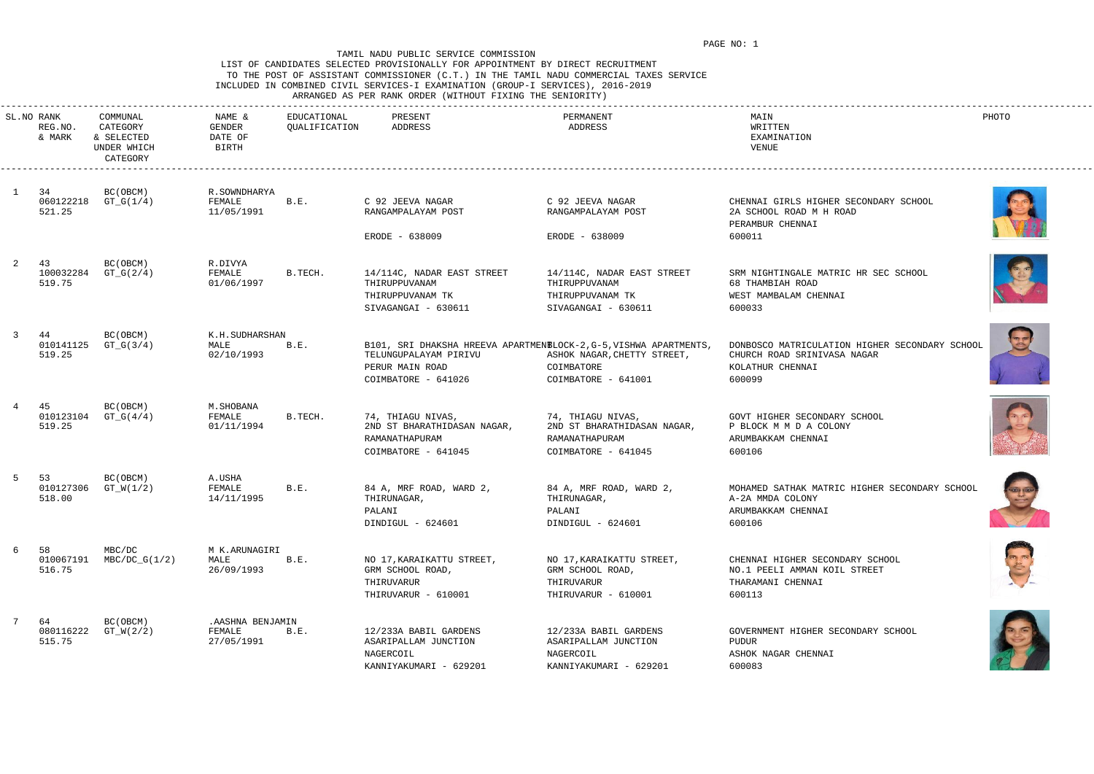### LIST OF CANDIDATES SELECTED PROVISIONALLY FOR APPOINTMENT BY DIRECT RECRUITMENT TO THE POST OF ASSISTANT COMMISSIONER (C.T.) IN THE TAMIL NADU COMMERCIAL TAXES SERVICE INCLUDED IN COMBINED CIVIL SERVICES-I EXAMINATION (GROUP-I SERVICES), 2016-2019 ARRANGED AS PER RANK ORDER (WITHOUT FIXING THE SENIORITY)

|  |  |  |  | NNANGED AS FEN NANN ONDEN (WIINOUI FIAING INE SENIONIII) |  |
|--|--|--|--|----------------------------------------------------------|--|
|  |  |  |  |                                                          |  |















|    | SL.NO RANK<br>REG.NO.<br>& MARK | COMMUNAL<br>CATEGORY<br>& SELECTED<br>UNDER WHICH<br>CATEGORY | NAME &<br>GENDER<br>DATE OF<br>BIRTH      | EDUCATIONAL<br>QUALIFICATION | PRESENT<br>ADDRESS                                                                        | PERMANENT<br>ADDRESS                                                                                                                   | MAIN<br>WRITTEN<br>EXAMINATION<br>VENUE                                                                     | PHOTO |
|----|---------------------------------|---------------------------------------------------------------|-------------------------------------------|------------------------------|-------------------------------------------------------------------------------------------|----------------------------------------------------------------------------------------------------------------------------------------|-------------------------------------------------------------------------------------------------------------|-------|
|    | 34<br>060122218<br>521.25       | BC (OBCM)<br>$GT_G(1/4)$                                      | R.SOWNDHARYA<br>FEMALE<br>11/05/1991      | B.E.                         | C 92 JEEVA NAGAR<br>RANGAMPALAYAM POST                                                    | C 92 JEEVA NAGAR<br>RANGAMPALAYAM POST                                                                                                 | CHENNAI GIRLS HIGHER SECONDARY SCHOOL<br>2A SCHOOL ROAD M H ROAD<br>PERAMBUR CHENNAI                        |       |
|    |                                 |                                                               |                                           |                              | ERODE - 638009                                                                            | ERODE - 638009                                                                                                                         | 600011                                                                                                      |       |
|    | 43<br>100032284<br>519.75       | BC(OBCM)<br>$GT_G(2/4)$                                       | R.DIVYA<br>FEMALE<br>01/06/1997           | B.TECH.                      | 14/114C, NADAR EAST STREET<br>THIRUPPUVANAM<br>THIRUPPUVANAM TK<br>SIVAGANGAI - 630611    | 14/114C, NADAR EAST STREET<br>THIRUPPUVANAM<br>THIRUPPUVANAM TK<br>SIVAGANGAI - 630611                                                 | SRM NIGHTINGALE MATRIC HR SEC SCHOOL<br>68 THAMBIAH ROAD<br>WEST MAMBALAM CHENNAI<br>600033                 | O     |
| -3 | 44<br>010141125<br>519.25       | BC (OBCM)<br>$GT_G(3/4)$                                      | K.H.SUDHARSHAN<br>MALE<br>02/10/1993      | B.E.                         | TELUNGUPALAYAM PIRIVU<br>PERUR MAIN ROAD<br>COIMBATORE - 641026                           | B101, SRI DHAKSHA HREEVA APARTMEN ELOCK-2, G-5, VISHWA APARTMENTS,<br>ASHOK NAGAR, CHETTY STREET,<br>COIMBATORE<br>COIMBATORE - 641001 | DONBOSCO MATRICULATION HIGHER SECONDARY SCHOOL<br>CHURCH ROAD SRINIVASA NAGAR<br>KOLATHUR CHENNAI<br>600099 |       |
|    | 45<br>010123104<br>519.25       | BC (OBCM)<br>$GT_G(4/4)$                                      | M.SHOBANA<br>FEMALE<br>01/11/1994         | B.TECH.                      | 74, THIAGU NIVAS,<br>2ND ST BHARATHIDASAN NAGAR,<br>RAMANATHAPURAM<br>COIMBATORE - 641045 | 74, THIAGU NIVAS,<br>2ND ST BHARATHIDASAN NAGAR,<br>RAMANATHAPURAM<br>COIMBATORE - 641045                                              | GOVT HIGHER SECONDARY SCHOOL<br>P BLOCK M M D A COLONY<br>ARUMBAKKAM CHENNAI<br>600106                      |       |
| -5 | 53<br>010127306<br>518.00       | BC(OBCM)<br>$GT_N(1/2)$                                       | A.USHA<br>FEMALE<br>14/11/1995            | B.E.                         | 84 A, MRF ROAD, WARD 2,<br>THIRUNAGAR,<br>PALANI<br>DINDIGUL - 624601                     | 84 A, MRF ROAD, WARD 2,<br>THIRUNAGAR,<br>PALANI<br>DINDIGUL - 624601                                                                  | MOHAMED SATHAK MATRIC HIGHER SECONDARY SCHOOL<br>A-2A MMDA COLONY<br>ARUMBAKKAM CHENNAI<br>600106           |       |
| 6  | 58<br>010067191<br>516.75       | MBC/DC<br>$MBC/DC_G(1/2)$                                     | M K.ARUNAGIRI<br>MALE<br>26/09/1993       | B.E.                         | NO 17, KARAIKATTU STREET,<br>GRM SCHOOL ROAD,<br>THIRUVARUR<br>THIRUVARUR - 610001        | NO 17, KARAIKATTU STREET,<br>GRM SCHOOL ROAD,<br>THIRUVARUR<br>THIRUVARUR - 610001                                                     | CHENNAI HIGHER SECONDARY SCHOOL<br>NO.1 PEELI AMMAN KOIL STREET<br>THARAMANI CHENNAI<br>600113              |       |
| 7  | 64<br>080116222<br>515.75       | BC (OBCM)<br>$GT_W(2/2)$                                      | . AASHNA BENJAMIN<br>FEMALE<br>27/05/1991 | B.E.                         | 12/233A BABIL GARDENS<br>ASARIPALLAM JUNCTION<br>NAGERCOIL<br>KANNIYAKUMARI - 629201      | 12/233A BABIL GARDENS<br>ASARIPALLAM JUNCTION<br>NAGERCOIL<br>KANNIYAKUMARI - 629201                                                   | GOVERNMENT HIGHER SECONDARY SCHOOL<br>PUDUR<br>ASHOK NAGAR CHENNAI<br>600083                                |       |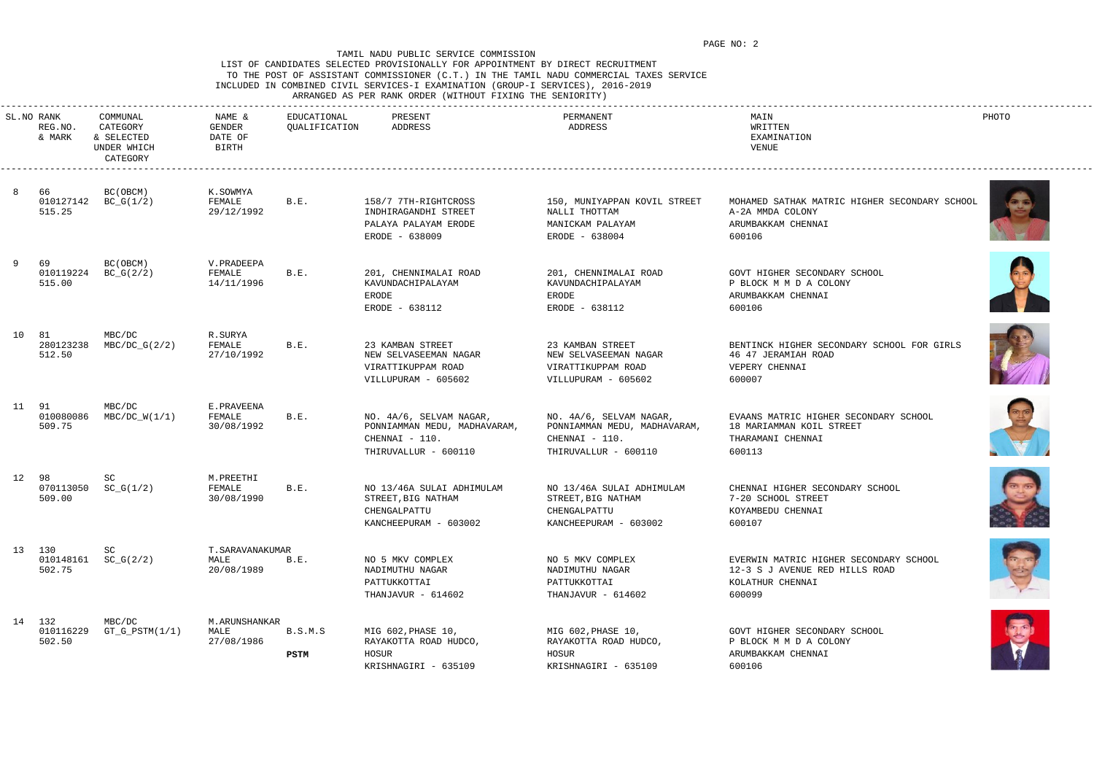### LIST OF CANDIDATES SELECTED PROVISIONALLY FOR APPOINTMENT BY DIRECT RECRUITMENT TO THE POST OF ASSISTANT COMMISSIONER (C.T.) IN THE TAMIL NADU COMMERCIAL TAXES SERVICE INCLUDED IN COMBINED CIVIL SERVICES-I EXAMINATION (GROUP-I SERVICES), 2016-2019 ARRANGED AS PER RANK ORDER (WITHOUT FIXING THE SENIORITY)















|       | SL.NO RANK<br>REG.NO.<br>& MARK | COMMUNAL<br>CATEGORY<br>& SELECTED<br>UNDER WHICH<br>CATEGORY | NAME &<br>GENDER<br>DATE OF<br>BIRTH   | EDUCATIONAL<br>QUALIFICATION | PRESENT<br>ADDRESS                                                                                | PERMANENT<br>ADDRESS                                                                              | MAIN<br>WRITTEN<br>EXAMINATION<br>VENUE                                                                | PHOTO |
|-------|---------------------------------|---------------------------------------------------------------|----------------------------------------|------------------------------|---------------------------------------------------------------------------------------------------|---------------------------------------------------------------------------------------------------|--------------------------------------------------------------------------------------------------------|-------|
| 8     | - 66<br>515.25                  | BC (OBCM)<br>010127142 BC_G(1/2)                              | K.SOWMYA<br>FEMALE<br>29/12/1992       | B.E.                         | 158/7 7TH-RIGHTCROSS<br>INDHIRAGANDHI STREET<br>PALAYA PALAYAM ERODE<br>ERODE - 638009            | 150, MUNIYAPPAN KOVIL STREET<br>NALLI THOTTAM<br>MANICKAM PALAYAM<br>ERODE - 638004               | MOHAMED SATHAK MATRIC HIGHER SECONDARY SCHOOL<br>A-2A MMDA COLONY<br>ARUMBAKKAM CHENNAI<br>600106      |       |
| 9     | 69<br>010119224<br>515.00       | BC(OBCM)<br>$BC_G(2/2)$                                       | V.PRADEEPA<br>FEMALE<br>14/11/1996     | B.E.                         | 201, CHENNIMALAI ROAD<br>KAVUNDACHIPALAYAM<br>ERODE<br>ERODE - 638112                             | 201, CHENNIMALAI ROAD<br>KAVUNDACHIPALAYAM<br>ERODE<br>ERODE - 638112                             | GOVT HIGHER SECONDARY SCHOOL<br>P BLOCK M M D A COLONY<br>ARUMBAKKAM CHENNAI<br>600106                 |       |
| 10 81 | 280123238<br>512.50             | MBC/DC<br>$MBC/DC_G(2/2)$                                     | R.SURYA<br>FEMALE<br>27/10/1992        | B.E.                         | 23 KAMBAN STREET<br>NEW SELVASEEMAN NAGAR<br>VIRATTIKUPPAM ROAD<br>VILLUPURAM - 605602            | 23 KAMBAN STREET<br>NEW SELVASEEMAN NAGAR<br>VIRATTIKUPPAM ROAD<br>VILLUPURAM - 605602            | BENTINCK HIGHER SECONDARY SCHOOL FOR GIRLS<br>46 47 JERAMIAH ROAD<br>VEPERY CHENNAI<br>600007          |       |
| 11 91 | 010080086<br>509.75             | MBC/DC<br>$MBC/DC_W(1/1)$                                     | E.PRAVEENA<br>FEMALE<br>30/08/1992     | B.E.                         | NO. 4A/6, SELVAM NAGAR,<br>PONNIAMMAN MEDU, MADHAVARAM,<br>CHENNAI - 110.<br>THIRUVALLUR - 600110 | NO. 4A/6, SELVAM NAGAR,<br>PONNIAMMAN MEDU, MADHAVARAM,<br>CHENNAI - 110.<br>THIRUVALLUR - 600110 | EVAANS MATRIC HIGHER SECONDARY SCHOOL<br>18 MARIAMMAN KOIL STREET<br>THARAMANI CHENNAI<br>600113       |       |
| 12 98 | 070113050<br>509.00             | SC<br>$SC_G(1/2)$                                             | M.PREETHI<br>FEMALE<br>30/08/1990      | B.E.                         | NO 13/46A SULAI ADHIMULAM<br>STREET, BIG NATHAM<br>CHENGALPATTU<br>KANCHEEPURAM - 603002          | NO 13/46A SULAI ADHIMULAM<br>STREET, BIG NATHAM<br>CHENGALPATTU<br>KANCHEEPURAM - 603002          | CHENNAI HIGHER SECONDARY SCHOOL<br>7-20 SCHOOL STREET<br>KOYAMBEDU CHENNAI<br>600107                   |       |
|       | 13 130<br>502.75                | SC<br>$010148161$ $SC_G(2/2)$                                 | T. SARAVANAKUMAR<br>MALE<br>20/08/1989 | B.E.                         | NO 5 MKV COMPLEX<br>NADIMUTHU NAGAR<br>PATTUKKOTTAI<br>THANJAVUR - 614602                         | NO 5 MKV COMPLEX<br>NADIMUTHU NAGAR<br>PATTUKKOTTAI<br>THANJAVUR - 614602                         | EVERWIN MATRIC HIGHER SECONDARY SCHOOL<br>12-3 S J AVENUE RED HILLS ROAD<br>KOLATHUR CHENNAI<br>600099 |       |
|       | 14 132<br>010116229<br>502.50   | MBC/DC<br>$GT_G_PSTM(1/1)$                                    | M. ARUNSHANKAR<br>MALE<br>27/08/1986   | B.S.M.S<br><b>PSTM</b>       | MIG 602, PHASE 10,<br>RAYAKOTTA ROAD HUDCO,<br>HOSUR<br>KRISHNAGIRI - 635109                      | MIG 602, PHASE 10,<br>RAYAKOTTA ROAD HUDCO,<br>HOSUR<br>KRISHNAGIRI - 635109                      | GOVT HIGHER SECONDARY SCHOOL<br>P BLOCK M M D A COLONY<br>ARUMBAKKAM CHENNAI<br>600106                 | Q     |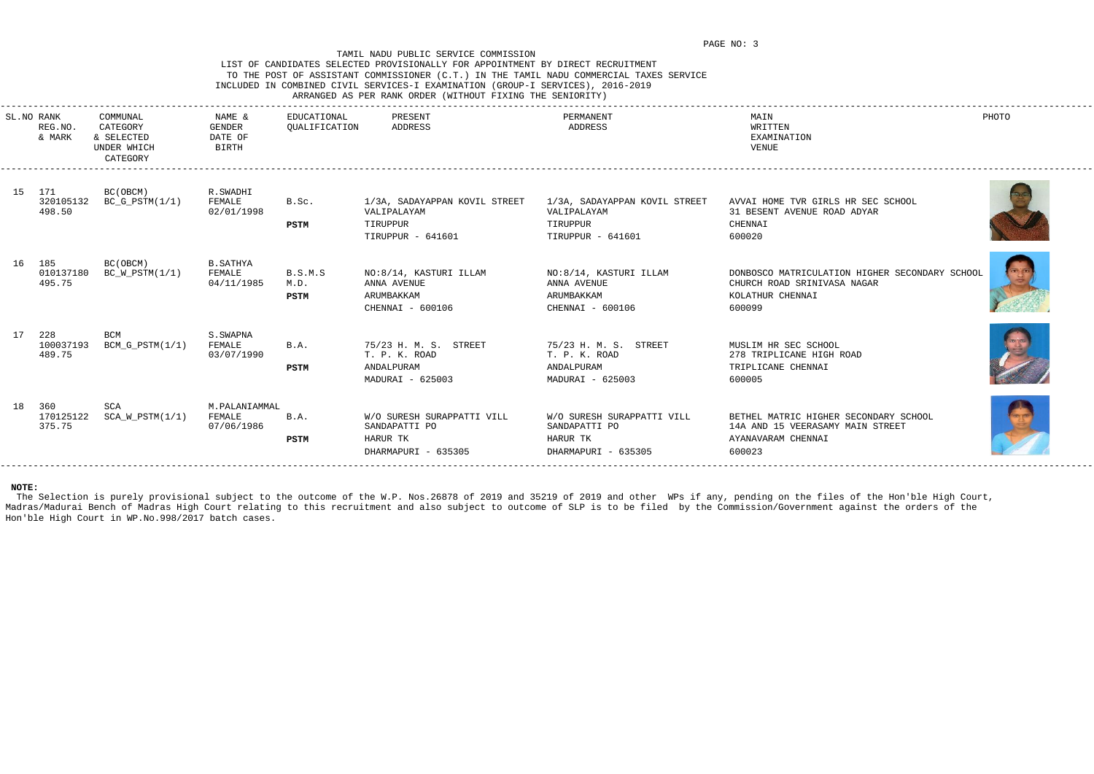## LIST OF CANDIDATES SELECTED PROVISIONALLY FOR APPOINTMENT BY DIRECT RECRUITMENT TO THE POST OF ASSISTANT COMMISSIONER (C.T.) IN THE TAMIL NADU COMMERCIAL TAXES SERVICE INCLUDED IN COMBINED CIVIL SERVICES-I EXAMINATION (GROUP-I SERVICES), 2016-2019 ARRANGED AS PER RANK ORDER (WITHOUT FIXING THE SENIORITY)

| SL.NO RANK | REG.NO.<br>& MARK          | COMMUNAL<br>CATEGORY<br>& SELECTED<br>UNDER WHICH<br>CATEGORY | NAME &<br>GENDER<br>DATE OF<br>BIRTH  | EDUCATIONAL<br>QUALIFICATION | PRESENT<br>ADDRESS                                                             | PERMANENT<br>ADDRESS                                                           | MAIN<br>WRITTEN<br>EXAMINATION<br>VENUE                                                                     | PHOTO |
|------------|----------------------------|---------------------------------------------------------------|---------------------------------------|------------------------------|--------------------------------------------------------------------------------|--------------------------------------------------------------------------------|-------------------------------------------------------------------------------------------------------------|-------|
| 15 171     | 320105132<br>498.50        | BC(OBCM)<br>$BC_G_PSTM(1/1)$                                  | R.SWADHI<br>FEMALE<br>02/01/1998      | B.Sc.<br>PSTM                | 1/3A, SADAYAPPAN KOVIL STREET<br>VALIPALAYAM<br>TIRUPPUR<br>TIRUPPUR - 641601  | 1/3A, SADAYAPPAN KOVIL STREET<br>VALIPALAYAM<br>TIRUPPUR<br>TIRUPPUR - 641601  | AVVAI HOME TVR GIRLS HR SEC SCHOOL<br>31 BESENT AVENUE ROAD ADYAR<br>CHENNAI<br>600020                      |       |
| 16 185     | 010137180<br>495.75        | BC(OBCM)<br>$BC_W_PSTM(1/1)$                                  | B.SATHYA<br>FEMALE<br>04/11/1985      | B.S.M.S<br>M.D.<br>PSTM      | NO:8/14, KASTURI ILLAM<br>ANNA AVENUE<br>ARUMBAKKAM<br>CHENNAI - 600106        | NO:8/14, KASTURI ILLAM<br>ANNA AVENUE<br>ARUMBAKKAM<br>CHENNAI - 600106        | DONBOSCO MATRICULATION HIGHER SECONDARY SCHOOL<br>CHURCH ROAD SRINIVASA NAGAR<br>KOLATHUR CHENNAI<br>600099 |       |
|            | 228<br>100037193<br>489.75 | BCM<br>$BCM_G_PSTM(1/1)$                                      | S.SWAPNA<br>FEMALE<br>03/07/1990      | B.A.<br><b>PSTM</b>          | 75/23 H. M. S. STREET<br>T. P. K. ROAD<br>ANDALPURAM<br>MADURAI - 625003       | 75/23 H. M. S. STREET<br>T. P. K. ROAD<br>ANDALPURAM<br>MADURAI - 625003       | MUSLIM HR SEC SCHOOL<br>278 TRIPLICANE HIGH ROAD<br>TRIPLICANE CHENNAI<br>600005                            |       |
| 18 360     | 170125122<br>375.75        | SCA<br>$SCA_W_PSTM(1/1)$                                      | M.PALANIAMMAL<br>FEMALE<br>07/06/1986 | B.A.<br><b>PSTM</b>          | W/O SURESH SURAPPATTI VILL<br>SANDAPATTI PO<br>HARUR TK<br>DHARMAPURI - 635305 | W/O SURESH SURAPPATTI VILL<br>SANDAPATTI PO<br>HARUR TK<br>DHARMAPURI - 635305 | BETHEL MATRIC HIGHER SECONDARY SCHOOL<br>14A AND 15 VEERASAMY MAIN STREET<br>AYANAVARAM CHENNAI<br>600023   |       |
|            |                            |                                                               |                                       |                              |                                                                                |                                                                                |                                                                                                             |       |

The Selection is purely provisional subject to the outcome of the W.P. Nos.26878 of 2019 and 35219 of 2019 and other WPs if any, pending on the files of the Hon'ble High Court, Madras/Madurai Bench of Madras High Court relating to this recruitment and also subject to outcome of SLP is to be filed by the Commission/Government against the orders of the Hon'ble High Court in WP.No.998/2017 batch cases.







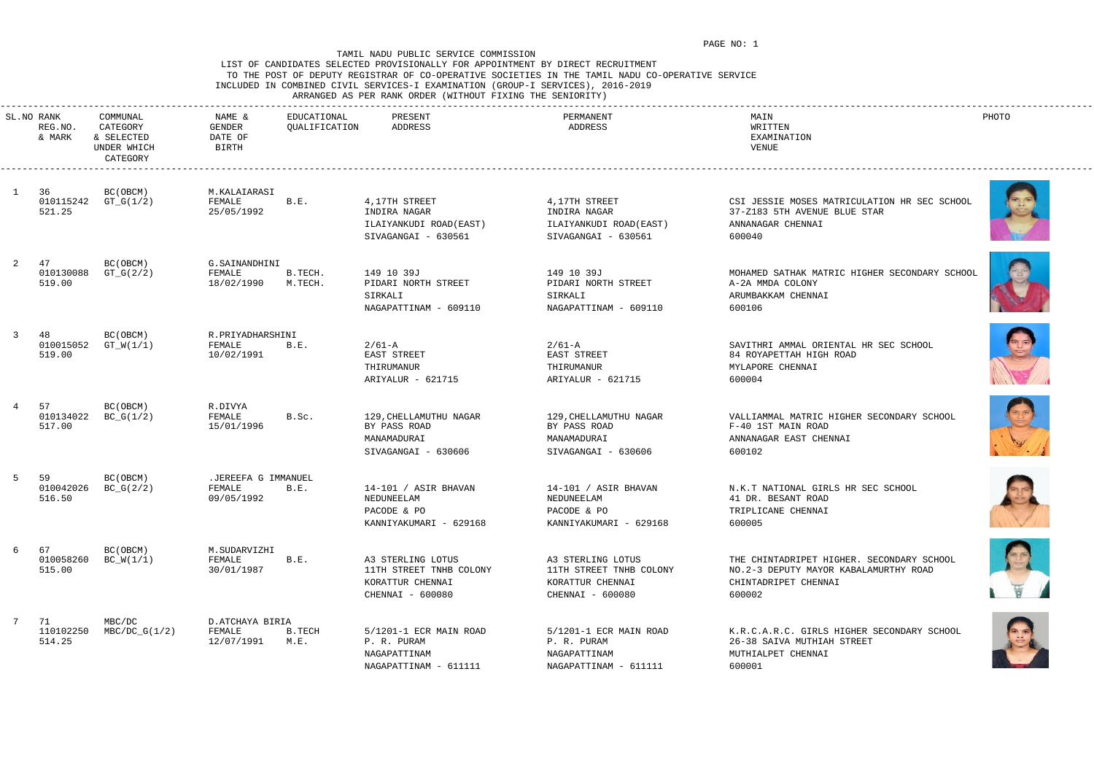# LIST OF CANDIDATES SELECTED PROVISIONALLY FOR APPOINTMENT BY DIRECT RECRUITMENT TO THE POST OF DEPUTY REGISTRAR OF CO-OPERATIVE SOCIETIES IN THE TAMIL NADU CO-OPERATIVE SERVICE INCLUDED IN COMBINED CIVIL SERVICES-I EXAMINATION (GROUP-I SERVICES), 2016-2019

ARRANGED AS PER RANK ORDER (WITHOUT FIXING THE SENIORITY)















|    | SL.NO RANK<br>REG.NO.<br>& MARK | COMMUNAL<br>CATEGORY<br>& SELECTED<br>UNDER WHICH<br>CATEGORY | NAME &<br>GENDER<br>DATE OF<br>BIRTH        | EDUCATIONAL<br>QUALIFICATION | PRESENT<br>ADDRESS                                                                   | PERMANENT<br>ADDRESS                                                                 | MAIN<br>WRITTEN<br>EXAMINATION<br>VENUE                                                                              | PHOTO |
|----|---------------------------------|---------------------------------------------------------------|---------------------------------------------|------------------------------|--------------------------------------------------------------------------------------|--------------------------------------------------------------------------------------|----------------------------------------------------------------------------------------------------------------------|-------|
|    | 36<br>010115242<br>521.25       | BC(OBCM)<br>$GT_G(1/2)$                                       | M.KALAIARASI<br>FEMALE<br>25/05/1992        | B.E.                         | 4,17TH STREET<br>INDIRA NAGAR<br>ILAIYANKUDI ROAD (EAST)<br>SIVAGANGAI - 630561      | 4,17TH STREET<br>INDIRA NAGAR<br>ILAIYANKUDI ROAD(EAST)<br>SIVAGANGAI - 630561       | CSI JESSIE MOSES MATRICULATION HR SEC SCHOOL<br>37-Z183 5TH AVENUE BLUE STAR<br>ANNANAGAR CHENNAI<br>600040          |       |
|    | 47<br>010130088<br>519.00       | BC(OBCM)<br>$GT_G(2/2)$                                       | G.SAINANDHINI<br>FEMALE<br>18/02/1990       | B.TECH.<br>M.TECH.           | 149 10 39J<br>PIDARI NORTH STREET<br>SIRKALI<br>NAGAPATTINAM - 609110                | 149 10 39J<br>PIDARI NORTH STREET<br>SIRKALI<br>NAGAPATTINAM - 609110                | MOHAMED SATHAK MATRIC HIGHER SECONDARY SCHOOL<br>A-2A MMDA COLONY<br>ARUMBAKKAM CHENNAI<br>600106                    |       |
|    | 48<br>010015052<br>519.00       | BC(OBCM)<br>$GT_W(1/1)$                                       | R. PRIYADHARSHINI<br>FEMALE<br>10/02/1991   | B.E.                         | $2/61 - A$<br>EAST STREET<br>THIRUMANUR<br>ARIYALUR - 621715                         | $2/61 - A$<br>EAST STREET<br>THIRUMANUR<br>ARIYALUR - 621715                         | SAVITHRI AMMAL ORIENTAL HR SEC SCHOOL<br>84 ROYAPETTAH HIGH ROAD<br>MYLAPORE CHENNAI<br>600004                       |       |
|    | 57<br>010134022<br>517.00       | BC(OBCM)<br>$BC_G(1/2)$                                       | R.DIVYA<br>FEMALE<br>15/01/1996             | B.Sc.                        | 129, CHELLAMUTHU NAGAR<br>BY PASS ROAD<br>MANAMADURAI<br>SIVAGANGAI - 630606         | 129, CHELLAMUTHU NAGAR<br>BY PASS ROAD<br>MANAMADURAI<br>SIVAGANGAI - 630606         | VALLIAMMAL MATRIC HIGHER SECONDARY SCHOOL<br>F-40 1ST MAIN ROAD<br>ANNANAGAR EAST CHENNAI<br>600102                  |       |
|    | 59<br>010042026<br>516.50       | BC(OBCM)<br>$BC_G(2/2)$                                       | .JEREEFA G IMMANUEL<br>FEMALE<br>09/05/1992 | B.E.                         | 14-101 / ASIR BHAVAN<br>NEDUNEELAM<br>PACODE & PO<br>KANNIYAKUMARI - 629168          | 14-101 / ASIR BHAVAN<br>NEDUNEELAM<br>PACODE & PO<br>KANNIYAKUMARI - 629168          | N.K.T NATIONAL GIRLS HR SEC SCHOOL<br>41 DR. BESANT ROAD<br>TRIPLICANE CHENNAI<br>600005                             |       |
| 6  | 67<br>010058260<br>515.00       | BC (OBCM)<br>$BC_W(1/1)$                                      | M.SUDARVIZHI<br>FEMALE<br>30/01/1987        | B.E.                         | A3 STERLING LOTUS<br>11TH STREET TNHB COLONY<br>KORATTUR CHENNAI<br>CHENNAI - 600080 | A3 STERLING LOTUS<br>11TH STREET TNHB COLONY<br>KORATTUR CHENNAI<br>CHENNAI - 600080 | THE CHINTADRIPET HIGHER. SECONDARY SCHOOL<br>NO.2-3 DEPUTY MAYOR KABALAMURTHY ROAD<br>CHINTADRIPET CHENNAI<br>600002 |       |
| -7 | 71<br>110102250<br>514.25       | MBC/DC<br>$MBC/DC_G(1/2)$                                     | D. ATCHAYA BIRIA<br>FEMALE<br>12/07/1991    | B.TECH<br>M.E.               | 5/1201-1 ECR MAIN ROAD<br>P. R. PURAM<br>NAGAPATTINAM<br>NAGAPATTINAM - 611111       | 5/1201-1 ECR MAIN ROAD<br>P. R. PURAM<br>NAGAPATTINAM<br>NAGAPATTINAM - 611111       | K.R.C.A.R.C. GIRLS HIGHER SECONDARY SCHOOL<br>26-38 SAIVA MUTHIAH STREET<br>MUTHIALPET CHENNAI<br>600001             |       |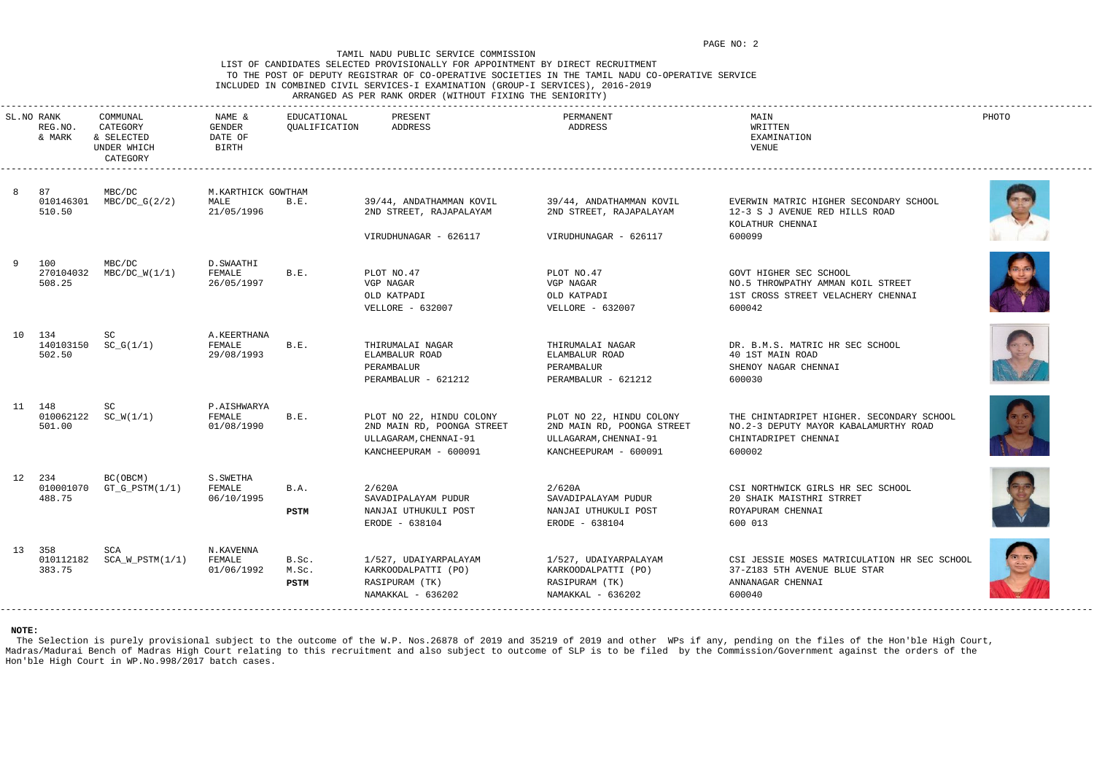### LIST OF CANDIDATES SELECTED PROVISIONALLY FOR APPOINTMENT BY DIRECT RECRUITMENT TO THE POST OF DEPUTY REGISTRAR OF CO-OPERATIVE SOCIETIES IN THE TAMIL NADU CO-OPERATIVE SERVICE INCLUDED IN COMBINED CIVIL SERVICES-I EXAMINATION (GROUP-I SERVICES), 2016-2019

### ARRANGED AS PER RANK ORDER (WITHOUT FIXING THE SENIORITY)

| SL.NO RANK<br>REG.NO.<br>& MARK | COMMUNAL<br>CATEGORY<br>& SELECTED<br>UNDER WHICH<br>CATEGORY | NAME &<br>GENDER<br>DATE OF<br>BIRTH     | EDUCATIONAL<br>QUALIFICATION  | PRESENT<br>ADDRESS                                                                                       | PERMANENT<br>ADDRESS                                                                                     | MAIN<br>WRITTEN<br>EXAMINATION<br>VENUE                                                                              | PHOTO |
|---------------------------------|---------------------------------------------------------------|------------------------------------------|-------------------------------|----------------------------------------------------------------------------------------------------------|----------------------------------------------------------------------------------------------------------|----------------------------------------------------------------------------------------------------------------------|-------|
| 87<br>010146301<br>510.50       | MBC/DC<br>$MBC/DC_G(2/2)$                                     | M.KARTHICK GOWTHAM<br>MALE<br>21/05/1996 | B.E.                          | 39/44, ANDATHAMMAN KOVIL<br>2ND STREET, RAJAPALAYAM<br>VIRUDHUNAGAR - 626117                             | 39/44, ANDATHAMMAN KOVIL<br>2ND STREET, RAJAPALAYAM<br>VIRUDHUNAGAR - 626117                             | EVERWIN MATRIC HIGHER SECONDARY SCHOOL<br>12-3 S J AVENUE RED HILLS ROAD<br>KOLATHUR CHENNAI<br>600099               |       |
| 100<br>270104032<br>508.25      | MBC/DC<br>$MBC/DC_W(1/1)$                                     | D.SWAATHI<br>FEMALE<br>26/05/1997        | B.E.                          | PLOT NO.47<br>VGP NAGAR<br>OLD KATPADI<br><b>VELLORE - 632007</b>                                        | PLOT NO.47<br>VGP NAGAR<br>OLD KATPADI<br>VELLORE - 632007                                               | GOVT HIGHER SEC SCHOOL<br>NO.5 THROWPATHY AMMAN KOIL STREET<br>1ST CROSS STREET VELACHERY CHENNAI<br>600042          |       |
| 10 134<br>502.50                | SC<br>$140103150$ $SC_G(1/1)$                                 | A.KEERTHANA<br>FEMALE<br>29/08/1993      | B.E.                          | THIRUMALAI NAGAR<br>ELAMBALUR ROAD<br>PERAMBALUR<br>PERAMBALUR - 621212                                  | THIRUMALAI NAGAR<br>ELAMBALUR ROAD<br>PERAMBALUR<br>PERAMBALUR - 621212                                  | DR. B.M.S. MATRIC HR SEC SCHOOL<br>40 1ST MAIN ROAD<br>SHENOY NAGAR CHENNAI<br>600030                                |       |
| 11 148<br>010062122<br>501.00   | SC<br>$SC_W(1/1)$                                             | P.AISHWARYA<br>FEMALE<br>01/08/1990      | B.E.                          | PLOT NO 22, HINDU COLONY<br>2ND MAIN RD, POONGA STREET<br>ULLAGARAM, CHENNAI-91<br>KANCHEEPURAM - 600091 | PLOT NO 22, HINDU COLONY<br>2ND MAIN RD, POONGA STREET<br>ULLAGARAM, CHENNAI-91<br>KANCHEEPURAM - 600091 | THE CHINTADRIPET HIGHER. SECONDARY SCHOOL<br>NO.2-3 DEPUTY MAYOR KABALAMURTHY ROAD<br>CHINTADRIPET CHENNAI<br>600002 |       |
| 12 234<br>010001070<br>488.75   | BC(OBCM)<br>$GT_G_PSTM(1/1)$                                  | S.SWETHA<br>FEMALE<br>06/10/1995         | B.A.<br><b>PSTM</b>           | 2/620A<br>SAVADIPALAYAM PUDUR<br>NANJAI UTHUKULI POST<br>ERODE - 638104                                  | 2/620A<br>SAVADIPALAYAM PUDUR<br>NANJAI UTHUKULI POST<br>ERODE - 638104                                  | CSI NORTHWICK GIRLS HR SEC SCHOOL<br>20 SHAIK MAISTHRI STRRET<br>ROYAPURAM CHENNAI<br>600 013                        |       |
| 13 358<br>383.75                | SCA                                                           | N.KAVENNA<br>FEMALE<br>01/06/1992        | B.Sc.<br>M.Sc.<br><b>PSTM</b> | 1/527, UDAIYARPALAYAM<br>KARKOODALPATTI (PO)<br>RASIPURAM (TK)<br>NAMAKKAL - 636202                      | 1/527, UDAIYARPALAYAM<br>KARKOODALPATTI (PO)<br>RASIPURAM (TK)<br>NAMAKKAL - 636202                      | CSI JESSIE MOSES MATRICULATION HR SEC SCHOOL<br>37-Z183 5TH AVENUE BLUE STAR<br>ANNANAGAR CHENNAI<br>600040          |       |

The Selection is purely provisional subject to the outcome of the W.P. Nos.26878 of 2019 and 35219 of 2019 and other WPs if any, pending on the files of the Hon'ble High Court, Madras/Madurai Bench of Madras High Court relating to this recruitment and also subject to outcome of SLP is to be filed by the Commission/Government against the orders of the Hon'ble High Court in WP.No.998/2017 batch cases.











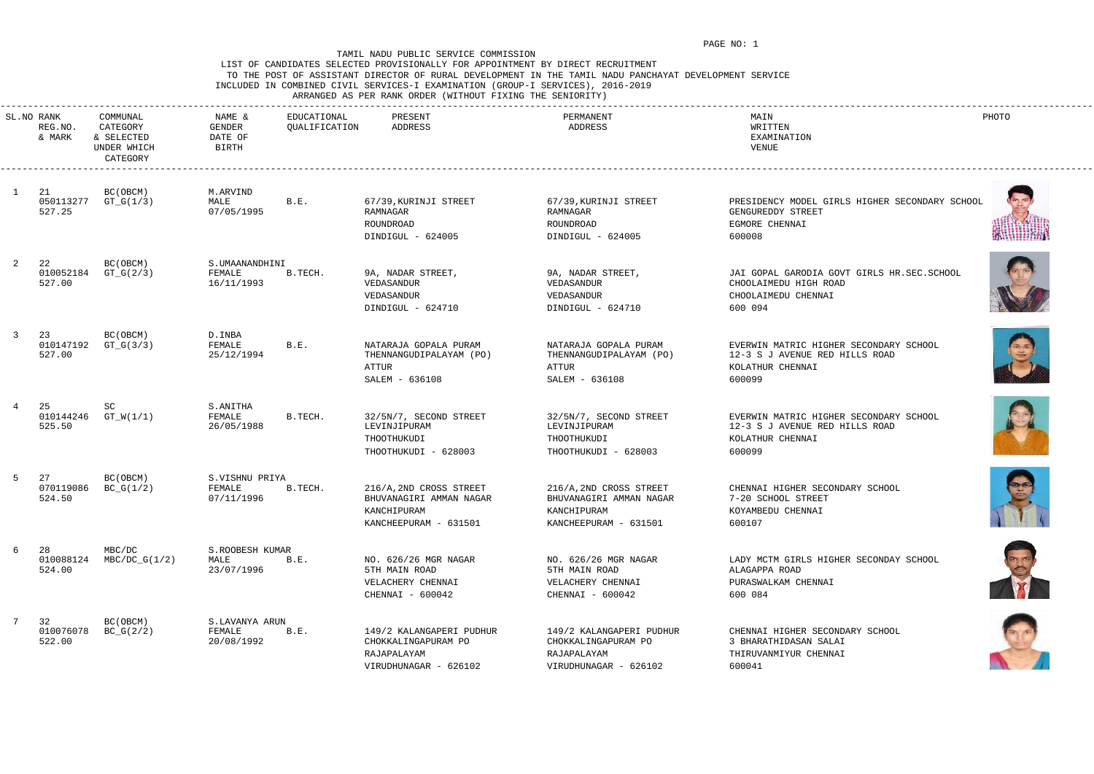# LIST OF CANDIDATES SELECTED PROVISIONALLY FOR APPOINTMENT BY DIRECT RECRUITMENT TO THE POST OF ASSISTANT DIRECTOR OF RURAL DEVELOPMENT IN THE TAMIL NADU PANCHAYAT DEVELOPMENT SERVICE INCLUDED IN COMBINED CIVIL SERVICES-I EXAMINATION (GROUP-I SERVICES), 2016-2019

ARRANGED AS PER RANK ORDER (WITHOUT FIXING THE SENIORITY)

|              | SL.NO RANK<br>REG.NO.<br>& MARK | COMMUNAL<br>CATEGORY<br>& SELECTED<br>UNDER WHICH<br>CATEGORY | NAME &<br>GENDER<br>DATE OF<br>BIRTH   | EDUCATIONAL<br>QUALIFICATION | PRESENT<br>ADDRESS                                                                         | PERMANENT<br>ADDRESS                                                                       | MAIN<br>WRITTEN<br>EXAMINATION<br>VENUE                                                                | PHOTO |
|--------------|---------------------------------|---------------------------------------------------------------|----------------------------------------|------------------------------|--------------------------------------------------------------------------------------------|--------------------------------------------------------------------------------------------|--------------------------------------------------------------------------------------------------------|-------|
| $\mathbf{1}$ | - 21<br>050113277<br>527.25     | BC (OBCM)<br>$GT_G(1/3)$                                      | M.ARVIND<br>MALE<br>07/05/1995         | B.E.                         | 67/39, KURINJI STREET<br>RAMNAGAR<br>ROUNDROAD<br>DINDIGUL - 624005                        | 67/39, KURINJI STREET<br>RAMNAGAR<br>ROUNDROAD<br>DINDIGUL - 624005                        | PRESIDENCY MODEL GIRLS HIGHER SECONDARY SCHOOL<br>GENGUREDDY STREET<br>EGMORE CHENNAI<br>600008        |       |
|              | 22<br>010052184<br>527.00       | BC (OBCM)<br>$GT_G(2/3)$                                      | S.UMAANANDHINI<br>FEMALE<br>16/11/1993 | B.TECH.                      | 9A, NADAR STREET,<br>VEDASANDUR<br>VEDASANDUR<br>DINDIGUL - 624710                         | 9A, NADAR STREET,<br>VEDASANDUR<br>VEDASANDUR<br>DINDIGUL - 624710                         | JAI GOPAL GARODIA GOVT GIRLS HR.SEC.SCHOOL<br>CHOOLAIMEDU HIGH ROAD<br>CHOOLAIMEDU CHENNAI<br>600 094  |       |
| 3            | 23<br>010147192<br>527.00       | BC (OBCM)<br>$GT_G(3/3)$                                      | D.INBA<br>FEMALE<br>25/12/1994         | B.E.                         | NATARAJA GOPALA PURAM<br>THENNANGUDIPALAYAM (PO)<br>ATTUR<br>SALEM - 636108                | NATARAJA GOPALA PURAM<br>THENNANGUDIPALAYAM (PO)<br>ATTUR<br>SALEM - 636108                | EVERWIN MATRIC HIGHER SECONDARY SCHOOL<br>12-3 S J AVENUE RED HILLS ROAD<br>KOLATHUR CHENNAI<br>600099 | S     |
|              | 25<br>525.50                    | SC<br>010144246 GT_W(1/1)                                     | S.ANITHA<br>FEMALE<br>26/05/1988       | B.TECH.                      | 32/5N/7, SECOND STREET<br>LEVINJIPURAM<br>THOOTHUKUDI<br>THOOTHUKUDI - 628003              | 32/5N/7, SECOND STREET<br>LEVINJIPURAM<br>THOOTHUKUDI<br>THOOTHUKUDI - 628003              | EVERWIN MATRIC HIGHER SECONDARY SCHOOL<br>12-3 S J AVENUE RED HILLS ROAD<br>KOLATHUR CHENNAI<br>600099 |       |
|              | 27<br>070119086<br>524.50       | BC (OBCM)<br>$BC_G(1/2)$                                      | S.VISHNU PRIYA<br>FEMALE<br>07/11/1996 | B.TECH.                      | 216/A, 2ND CROSS STREET<br>BHUVANAGIRI AMMAN NAGAR<br>KANCHIPURAM<br>KANCHEEPURAM - 631501 | 216/A, 2ND CROSS STREET<br>BHUVANAGIRI AMMAN NAGAR<br>KANCHIPURAM<br>KANCHEEPURAM - 631501 | CHENNAI HIGHER SECONDARY SCHOOL<br>7-20 SCHOOL STREET<br>KOYAMBEDU CHENNAI<br>600107                   |       |
| 6            | 28<br>010088124<br>524.00       | MBC/DC<br>$MBC/DC_G(1/2)$                                     | S.ROOBESH KUMAR<br>MALE<br>23/07/1996  | B.E.                         | NO. 626/26 MGR NAGAR<br>5TH MAIN ROAD<br>VELACHERY CHENNAI<br>CHENNAI - 600042             | NO. 626/26 MGR NAGAR<br>5TH MAIN ROAD<br>VELACHERY CHENNAI<br>CHENNAI - 600042             | LADY MCTM GIRLS HIGHER SECONDAY SCHOOL<br>ALAGAPPA ROAD<br>PURASWALKAM CHENNAI<br>600 084              |       |
|              | 32<br>010076078<br>522.00       | BC (OBCM)<br>$BC_G(2/2)$                                      | S.LAVANYA ARUN<br>FEMALE<br>20/08/1992 | B.E.                         | 149/2 KALANGAPERI PUDHUR<br>CHOKKALINGAPURAM PO<br>RAJAPALAYAM<br>VIRUDHUNAGAR - 626102    | 149/2 KALANGAPERI PUDHUR<br>CHOKKALINGAPURAM PO<br>RAJAPALAYAM<br>VIRUDHUNAGAR - 626102    | CHENNAI HIGHER SECONDARY SCHOOL<br>3 BHARATHIDASAN SALAI<br>THIRUVANMIYUR CHENNAI<br>600041            |       |













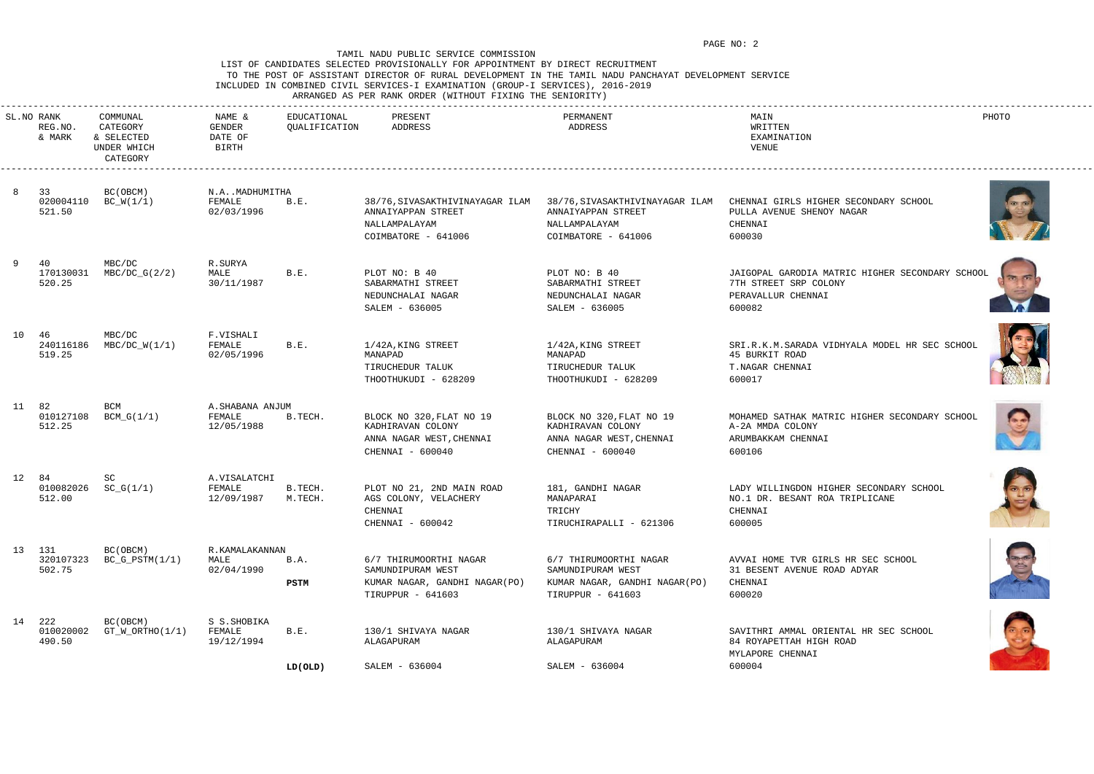## LIST OF CANDIDATES SELECTED PROVISIONALLY FOR APPOINTMENT BY DIRECT RECRUITMENT TO THE POST OF ASSISTANT DIRECTOR OF RURAL DEVELOPMENT IN THE TAMIL NADU PANCHAYAT DEVELOPMENT SERVICE INCLUDED IN COMBINED CIVIL SERVICES-I EXAMINATION (GROUP-I SERVICES), 2016-2019

ARRANGED AS PER RANK ORDER (WITHOUT FIXING THE SENIORITY)

|    | SL.NO RANK<br>REG.NO.<br>& MARK | COMMUNAL<br>CATEGORY<br>& SELECTED<br>UNDER WHICH<br>CATEGORY | NAME &<br>GENDER<br>DATE OF<br>BIRTH     | EDUCATIONAL<br>QUALIFICATION | PRESENT<br>ADDRESS                                                                                | PERMANENT<br>ADDRESS                                                                              | MAIN<br>WRITTEN<br>EXAMINATION<br>VENUE                                                                  | PHOTO |
|----|---------------------------------|---------------------------------------------------------------|------------------------------------------|------------------------------|---------------------------------------------------------------------------------------------------|---------------------------------------------------------------------------------------------------|----------------------------------------------------------------------------------------------------------|-------|
| -8 | 33<br>020004110<br>521.50       | BC (OBCM)<br>$BC_W(1/1)$                                      | N.AMADHUMITHA<br>FEMALE<br>02/03/1996    | B.E.                         | 38/76, SIVASAKTHIVINAYAGAR ILAM<br>ANNAIYAPPAN STREET<br>NALLAMPALAYAM<br>COIMBATORE - 641006     | 38/76, SIVASAKTHIVINAYAGAR ILAM<br>ANNAIYAPPAN STREET<br>NALLAMPALAYAM<br>COIMBATORE - 641006     | CHENNAI GIRLS HIGHER SECONDARY SCHOOL<br>PULLA AVENUE SHENOY NAGAR<br>CHENNAI<br>600030                  |       |
|    | 40<br>170130031<br>520.25       | MBC/DC<br>$MBC/DC_G(2/2)$                                     | R.SURYA<br>MALE<br>30/11/1987            | B.E.                         | PLOT NO: B 40<br>SABARMATHI STREET<br>NEDUNCHALAI NAGAR<br>SALEM - 636005                         | PLOT NO: B 40<br>SABARMATHI STREET<br>NEDUNCHALAI NAGAR<br>SALEM - 636005                         | JAIGOPAL GARODIA MATRIC HIGHER SECONDARY SCHOOL<br>7TH STREET SRP COLONY<br>PERAVALLUR CHENNAI<br>600082 |       |
|    | 10 46<br>240116186<br>519.25    | MBC/DC<br>$MBC/DC_W(1/1)$                                     | F.VISHALI<br>FEMALE<br>02/05/1996        | B.E.                         | 1/42A, KING STREET<br>MANAPAD<br>TIRUCHEDUR TALUK<br>THOOTHUKUDI - 628209                         | 1/42A, KING STREET<br>MANAPAD<br>TIRUCHEDUR TALUK<br>THOOTHUKUDI - 628209                         | SRI.R.K.M.SARADA VIDHYALA MODEL HR SEC SCHOOL<br>45 BURKIT ROAD<br>T.NAGAR CHENNAI<br>600017             |       |
|    | 11 82<br>010127108<br>512.25    | BCM<br>$BCM_G(1/1)$                                           | A. SHABANA ANJUM<br>FEMALE<br>12/05/1988 | B.TECH.                      | BLOCK NO 320, FLAT NO 19<br>KADHIRAVAN COLONY<br>ANNA NAGAR WEST, CHENNAI<br>CHENNAI - 600040     | BLOCK NO 320, FLAT NO 19<br>KADHIRAVAN COLONY<br>ANNA NAGAR WEST, CHENNAI<br>CHENNAI - 600040     | MOHAMED SATHAK MATRIC HIGHER SECONDARY SCHOOL<br>A-2A MMDA COLONY<br>ARUMBAKKAM CHENNAI<br>600106        | S     |
| 12 | 84<br>010082026<br>512.00       | SC<br>$SC_G(1/1)$                                             | A.VISALATCHI<br>FEMALE<br>12/09/1987     | B.TECH.<br>M.TECH.           | PLOT NO 21, 2ND MAIN ROAD<br>AGS COLONY, VELACHERY<br>CHENNAI<br>CHENNAI - 600042                 | 181, GANDHI NAGAR<br>MANAPARAI<br>TRICHY<br>TIRUCHIRAPALLI - 621306                               | LADY WILLINGDON HIGHER SECONDARY SCHOOL<br>NO.1 DR. BESANT ROA TRIPLICANE<br>CHENNAI<br>600005           |       |
|    | 13 131<br>320107323<br>502.75   | BC (OBCM)<br>$BC_G_PSTM(1/1)$                                 | R.KAMALAKANNAN<br>MALE<br>02/04/1990     | B.A.<br>PSTM                 | 6/7 THIRUMOORTHI NAGAR<br>SAMUNDIPURAM WEST<br>KUMAR NAGAR, GANDHI NAGAR(PO)<br>TIRUPPUR - 641603 | 6/7 THIRUMOORTHI NAGAR<br>SAMUNDIPURAM WEST<br>KUMAR NAGAR, GANDHI NAGAR(PO)<br>TIRUPPUR - 641603 | AVVAI HOME TVR GIRLS HR SEC SCHOOL<br>31 BESENT AVENUE ROAD ADYAR<br>CHENNAI<br>600020                   |       |
|    | 14 222<br>010020002<br>490.50   | BC (OBCM)<br>$GT_W_ORTHO(1/1)$                                | S S. SHOBIKA<br>FEMALE<br>19/12/1994     | B.E.                         | 130/1 SHIVAYA NAGAR<br>ALAGAPURAM                                                                 | 130/1 SHIVAYA NAGAR<br>ALAGAPURAM                                                                 | SAVITHRI AMMAL ORIENTAL HR SEC SCHOOL<br>84 ROYAPETTAH HIGH ROAD<br>MYLAPORE CHENNAI                     |       |
|    |                                 |                                                               |                                          | LD(OLD)                      | SALEM - 636004                                                                                    | SALEM - 636004                                                                                    | 600004                                                                                                   |       |













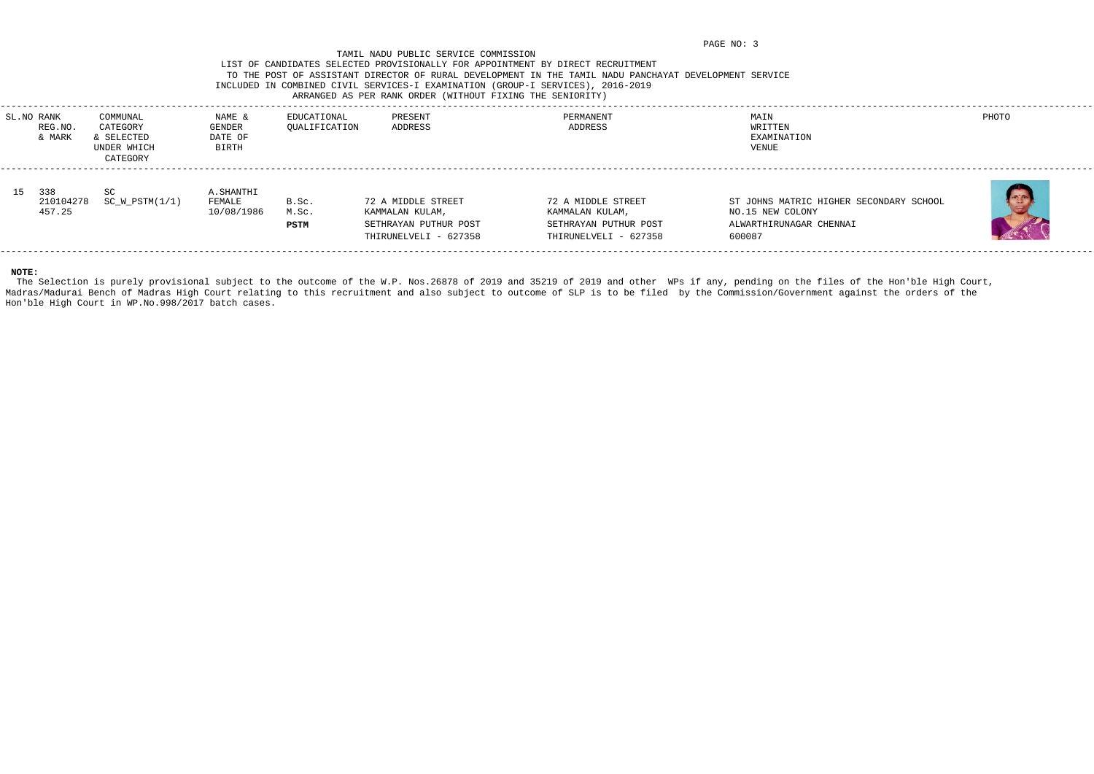# LIST OF CANDIDATES SELECTED PROVISIONALLY FOR APPOINTMENT BY DIRECT RECRUITMENT TO THE POST OF ASSISTANT DIRECTOR OF RURAL DEVELOPMENT IN THE TAMIL NADU PANCHAYAT DEVELOPMENT SERVICE INCLUDED IN COMBINED CIVIL SERVICES-I EXAMINATION (GROUP-I SERVICES), 2016-2019

# ARRANGED AS PER RANK ORDER (WITHOUT FIXING THE SENIORITY)

| MAIN<br>PHOTO<br>PRESENT<br>PERMANENT<br>SL.NO RANK<br>COMMUNAL<br>EDUCATIONAL<br>NAME &<br>CATEGORY<br>ADDRESS<br>WRITTEN<br>QUALIFICATION<br>ADDRESS<br>REG.NO<br><b>GENDER</b><br>SELECTED<br>DATE OF<br>EXAMINATION<br>& MARK<br>UNDER WHICH<br><b>BIRTH</b><br>VENUE<br>CATEGORY<br>15 338<br><b>SC</b><br>A.SHANTHI<br>$SC_W_PSTM(1/1)$<br>72 A MIDDLE STREET<br>72 A MIDDLE STREET<br>ST JOHNS MATRIC HIGHER SECONDARY SCHOOL<br>210104278<br>FEMALE<br>B.Sc.<br>10/08/1986<br>457.25<br>M.Sc.<br>KAMMALAN KULAM,<br>KAMMALAN KULAM,<br>NO.15 NEW COLONY<br>SETHRAYAN PUTHUR POST<br>SETHRAYAN PUTHUR POST<br>ALWARTHIRUNAGAR CHENNAI<br><b>PSTM</b><br>THIRUNELVELI - 627358<br>THIRUNELVELI - 627358<br>600087 |  |  |  |  |  |
|-------------------------------------------------------------------------------------------------------------------------------------------------------------------------------------------------------------------------------------------------------------------------------------------------------------------------------------------------------------------------------------------------------------------------------------------------------------------------------------------------------------------------------------------------------------------------------------------------------------------------------------------------------------------------------------------------------------------------|--|--|--|--|--|
|                                                                                                                                                                                                                                                                                                                                                                                                                                                                                                                                                                                                                                                                                                                         |  |  |  |  |  |
|                                                                                                                                                                                                                                                                                                                                                                                                                                                                                                                                                                                                                                                                                                                         |  |  |  |  |  |

The Selection is purely provisional subject to the outcome of the W.P. Nos.26878 of 2019 and 35219 of 2019 and other WPs if any, pending on the files of the Hon'ble High Court, Madras/Madurai Bench of Madras High Court relating to this recruitment and also subject to outcome of SLP is to be filed by the Commission/Government against the orders of the Hon'ble High Court in WP.No.998/2017 batch cases.

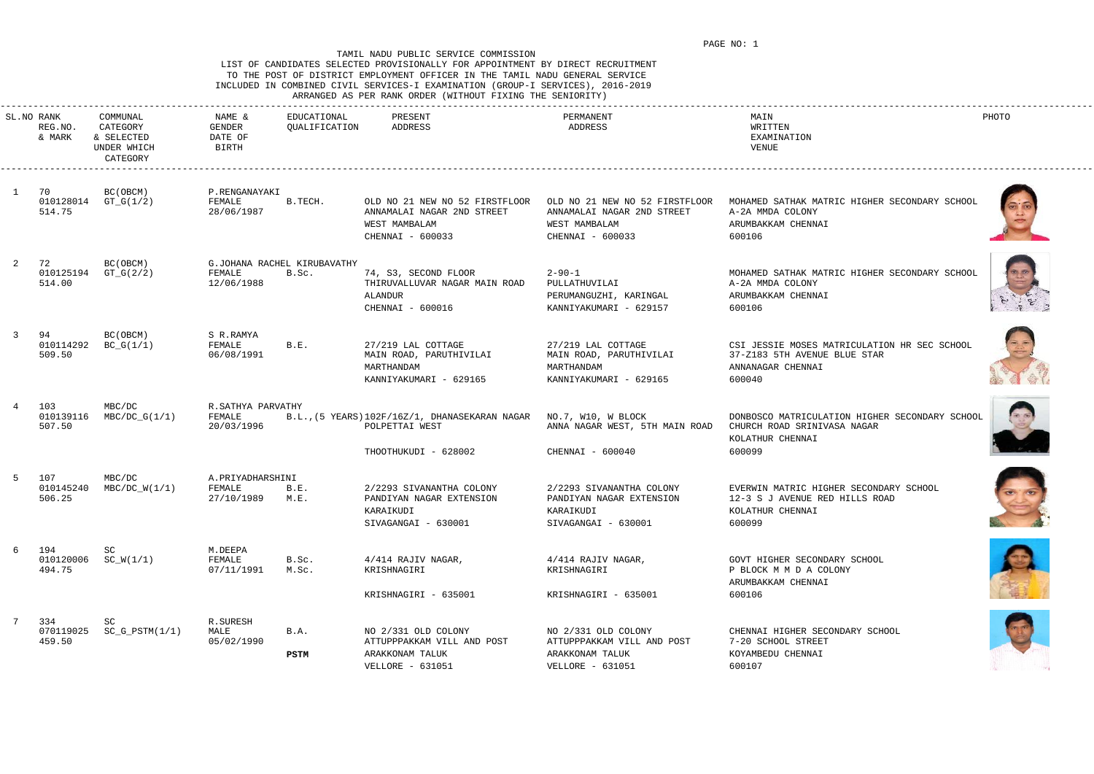### LIST OF CANDIDATES SELECTED PROVISIONALLY FOR APPOINTMENT BY DIRECT RECRUITMENT TO THE POST OF DISTRICT EMPLOYMENT OFFICER IN THE TAMIL NADU GENERAL SERVICE INCLUDED IN COMBINED CIVIL SERVICES-I EXAMINATION (GROUP-I SERVICES), 2016-2019 ARRANGED AS PER RANK ORDER (WITHOUT FIXING THE SENIORITY)

|    |                                 |                                                               |                                           |                                      | ARAGUL AN FER KARR ORDER (MIINOGI FIAING IND DERIORIII                                                      |                                                                                                   |                                                                                                             |       |
|----|---------------------------------|---------------------------------------------------------------|-------------------------------------------|--------------------------------------|-------------------------------------------------------------------------------------------------------------|---------------------------------------------------------------------------------------------------|-------------------------------------------------------------------------------------------------------------|-------|
|    | SL.NO RANK<br>REG.NO.<br>& MARK | COMMUNAL<br>CATEGORY<br>& SELECTED<br>UNDER WHICH<br>CATEGORY | NAME &<br>GENDER<br>DATE OF<br>BIRTH      | EDUCATIONAL<br>QUALIFICATION         | PRESENT<br>ADDRESS                                                                                          | PERMANENT<br>ADDRESS                                                                              | MAIN<br>WRITTEN<br>EXAMINATION<br>VENUE                                                                     | PHOTO |
| -1 | 70<br>514.75                    | BC (OBCM)<br>010128014 GT_G(1/2)                              | P.RENGANAYAKI<br>FEMALE<br>28/06/1987     | B.TECH.                              | OLD NO 21 NEW NO 52 FIRSTFLOOR<br>ANNAMALAI NAGAR 2ND STREET<br>WEST MAMBALAM<br>CHENNAI - 600033           | OLD NO 21 NEW NO 52 FIRSTFLOOR<br>ANNAMALAI NAGAR 2ND STREET<br>WEST MAMBALAM<br>CHENNAI - 600033 | MOHAMED SATHAK MATRIC HIGHER SECONDARY SCHOOI<br>A-2A MMDA COLONY<br>ARUMBAKKAM CHENNAI<br>600106           |       |
|    | 72<br>010125194<br>514.00       | BC (OBCM)<br>$GT_G(2/2)$                                      | FEMALE<br>12/06/1988                      | G.JOHANA RACHEL KIRUBAVATHY<br>B.Sc. | 74, S3, SECOND FLOOR<br>THIRUVALLUVAR NAGAR MAIN ROAD<br>ALANDUR<br>CHENNAI - 600016                        | $2 - 90 - 1$<br>PULLATHUVILAI<br>PERUMANGUZHI, KARINGAL<br>KANNIYAKUMARI - 629157                 | MOHAMED SATHAK MATRIC HIGHER SECONDARY SCHOOL<br>A-2A MMDA COLONY<br>ARUMBAKKAM CHENNAI<br>600106           |       |
| 3  | 94<br>010114292<br>509.50       | BC(OBCM)<br>$BC_G(1/1)$                                       | S R.RAMYA<br>FEMALE<br>06/08/1991         | B.E.                                 | 27/219 LAL COTTAGE<br>MAIN ROAD, PARUTHIVILAI<br>MARTHANDAM<br>KANNIYAKUMARI - 629165                       | 27/219 LAL COTTAGE<br>MAIN ROAD, PARUTHIVILAI<br>MARTHANDAM<br>KANNIYAKUMARI - 629165             | CSI JESSIE MOSES MATRICULATION HR SEC SCHOOL<br>37-Z183 5TH AVENUE BLUE STAR<br>ANNANAGAR CHENNAI<br>600040 |       |
| 4  | 103<br>010139116<br>507.50      | MBC/DC<br>$MBC/DC_G(1/1)$                                     | R.SATHYA PARVATHY<br>FEMALE<br>20/03/1996 |                                      | B.L., (5 YEARS) 102F/16Z/1, DHANASEKARAN NAGAR NO.7, W10, W BLOCK<br>POLPETTAI WEST<br>THOOTHUKUDI - 628002 | ANNA NAGAR WEST, 5TH MAIN ROAD<br>CHENNAI - 600040                                                | DONBOSCO MATRICULATION HIGHER SECONDARY SCHOOL<br>CHURCH ROAD SRINIVASA NAGAR<br>KOLATHUR CHENNAI<br>600099 |       |
| 5  | 107<br>010145240<br>506.25      | MBC/DC<br>$MBC/DC_W(1/1)$                                     | A.PRIYADHARSHINI<br>FEMALE<br>27/10/1989  | B.E.<br>M.E.                         | 2/2293 SIVANANTHA COLONY<br>PANDIYAN NAGAR EXTENSION<br>KARAIKUDI<br>SIVAGANGAI - 630001                    | 2/2293 SIVANANTHA COLONY<br>PANDIYAN NAGAR EXTENSION<br>KARAIKUDI<br>SIVAGANGAI - 630001          | EVERWIN MATRIC HIGHER SECONDARY SCHOOL<br>12-3 S J AVENUE RED HILLS ROAD<br>KOLATHUR CHENNAI<br>600099      |       |
|    | 6 194<br>494.75                 | SC<br>$010120006$ SC_W(1/1)                                   | M.DEEPA<br>FEMALE<br>07/11/1991           | B.Sc.<br>M.Sc.                       | 4/414 RAJIV NAGAR,<br>KRISHNAGIRI<br>KRISHNAGIRI - 635001                                                   | 4/414 RAJIV NAGAR,<br>KRISHNAGIRI<br>KRISHNAGIRI - 635001                                         | GOVT HIGHER SECONDARY SCHOOL<br>P BLOCK M M D A COLONY<br>ARUMBAKKAM CHENNAI<br>600106                      |       |
|    | 334<br>070119025<br>459.50      | SC<br>$SC_G_PSTM(1/1)$                                        | R.SURESH<br>MALE<br>05/02/1990            | B.A.<br><b>PSTM</b>                  | NO 2/331 OLD COLONY<br>ATTUPPPAKKAM VILL AND POST<br>ARAKKONAM TALUK<br>VELLORE - 631051                    | NO 2/331 OLD COLONY<br>ATTUPPPAKKAM VILL AND POST<br>ARAKKONAM TALUK<br>VELLORE - 631051          | CHENNAI HIGHER SECONDARY SCHOOL<br>7-20 SCHOOL STREET<br>KOYAMBEDU CHENNAI<br>600107                        |       |













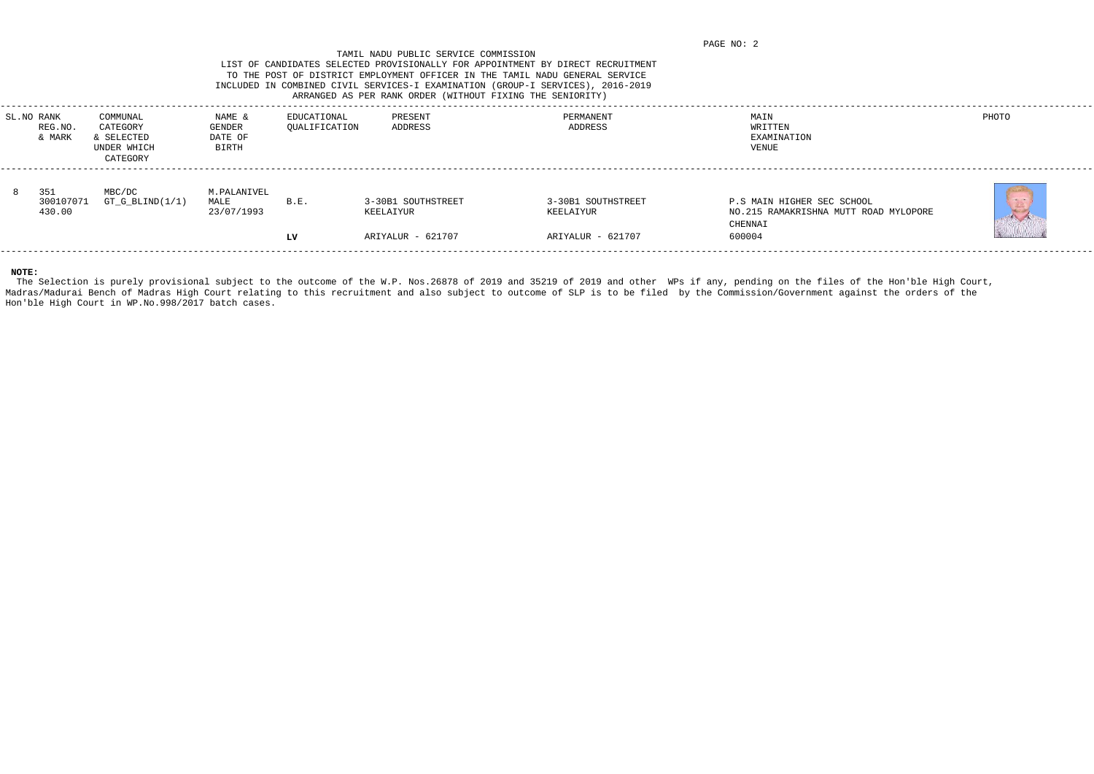## TAMIL NADU PUBLIC SERVICE COMMISSION LIST OF CANDIDATES SELECTED PROVISIONALLY FOR APPOINTMENT BY DIRECT RECRUITMENT TO THE POST OF DISTRICT EMPLOYMENT OFFICER IN THE TAMIL NADU GENERAL SERVICE INCLUDED IN COMBINED CIVIL SERVICES-I EXAMINATION (GROUP-I SERVICES), 2016-2019 ARRANGED AS PER RANK ORDER (WITHOUT FIXING THE SENIORITY)

| SL.NO RANK<br>REG.NO<br>& MARK | COMMUNAL<br>CATEGORY<br>SELECTED<br>UNDER WHICH<br>CATEGORY | NAME &<br><b>GENDER</b><br>DATE OF<br>BIRTH | EDUCATIONAL<br>QUALIFICATION | PRESENT<br>ADDRESS                                   | PERMANENT<br>ADDRESS                                 | MAIN<br>WRITTEN<br>EXAMINATION<br>VENUE                                                  | PHOTO        |
|--------------------------------|-------------------------------------------------------------|---------------------------------------------|------------------------------|------------------------------------------------------|------------------------------------------------------|------------------------------------------------------------------------------------------|--------------|
| 351<br>300107071<br>430.00     | MBC/DC<br>$GT_G_BLIND(1/1)$                                 | M.PALANIVEL<br>MALE<br>23/07/1993           | B.E.<br>LV                   | 3-30B1 SOUTHSTREET<br>KEELAIYUR<br>ARIYALUR - 621707 | 3-30B1 SOUTHSTREET<br>KEELAIYUR<br>ARIYALUR - 621707 | P.S MAIN HIGHER SEC SCHOOL<br>NO.215 RAMAKRISHNA MUTT ROAD MYLOPORE<br>CHENNAI<br>600004 | $\mathbb{E}$ |
|                                |                                                             |                                             |                              |                                                      |                                                      |                                                                                          |              |

The Selection is purely provisional subject to the outcome of the W.P. Nos.26878 of 2019 and 35219 of 2019 and other WPs if any, pending on the files of the Hon'ble High Court, Madras/Madurai Bench of Madras High Court relating to this recruitment and also subject to outcome of SLP is to be filed by the Commission/Government against the orders of the Hon'ble High Court in WP.No.998/2017 batch cases.